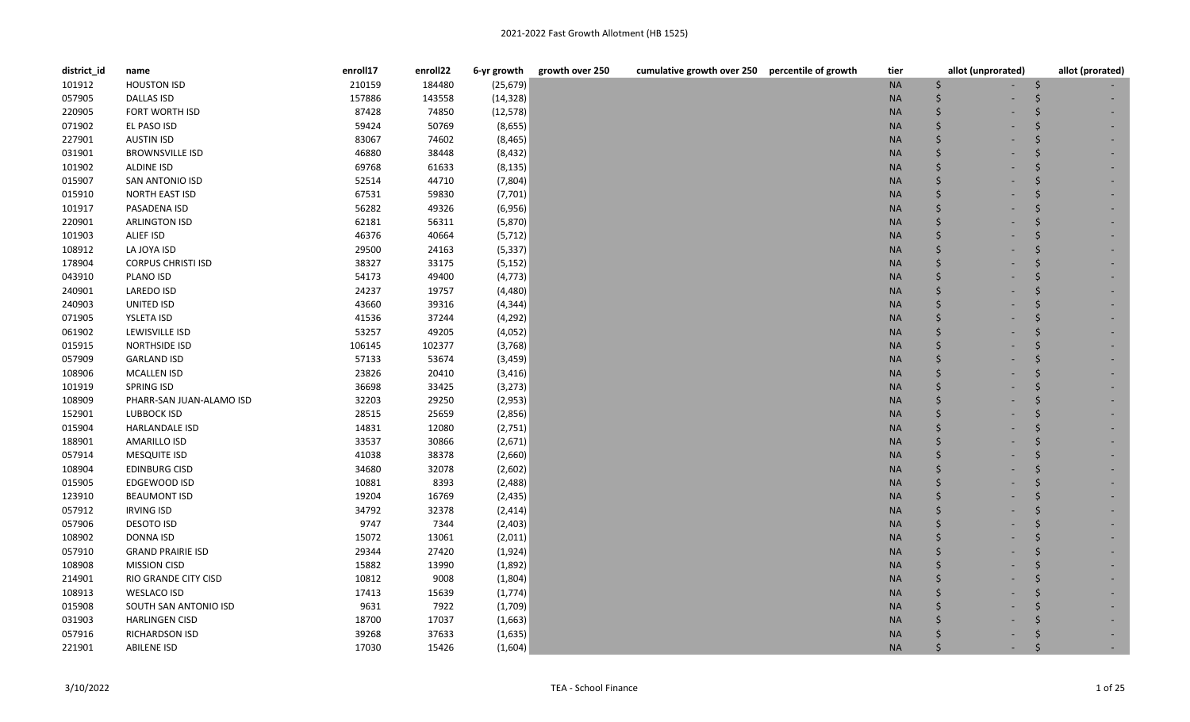| district_id | name                      | enroll17 | enroll22 | 6-yr growth | growth over 250 | cumulative growth over 250 percentile of growth | tier      | allot (unprorated) | allot (prorated) |
|-------------|---------------------------|----------|----------|-------------|-----------------|-------------------------------------------------|-----------|--------------------|------------------|
| 101912      | <b>HOUSTON ISD</b>        | 210159   | 184480   | (25, 679)   |                 |                                                 | <b>NA</b> | Ś                  |                  |
| 057905      | <b>DALLAS ISD</b>         | 157886   | 143558   | (14, 328)   |                 |                                                 | <b>NA</b> |                    |                  |
| 220905      | FORT WORTH ISD            | 87428    | 74850    | (12, 578)   |                 |                                                 | <b>NA</b> |                    |                  |
| 071902      | EL PASO ISD               | 59424    | 50769    | (8,655)     |                 |                                                 | <b>NA</b> |                    |                  |
| 227901      | <b>AUSTIN ISD</b>         | 83067    | 74602    | (8, 465)    |                 |                                                 | <b>NA</b> |                    |                  |
| 031901      | <b>BROWNSVILLE ISD</b>    | 46880    | 38448    | (8, 432)    |                 |                                                 | <b>NA</b> |                    |                  |
| 101902      | <b>ALDINE ISD</b>         | 69768    | 61633    | (8, 135)    |                 |                                                 | <b>NA</b> |                    |                  |
| 015907      | SAN ANTONIO ISD           | 52514    | 44710    | (7,804)     |                 |                                                 | <b>NA</b> |                    |                  |
| 015910      | NORTH EAST ISD            | 67531    | 59830    | (7, 701)    |                 |                                                 | <b>NA</b> |                    |                  |
| 101917      | PASADENA ISD              | 56282    | 49326    | (6,956)     |                 |                                                 | <b>NA</b> |                    |                  |
| 220901      | ARLINGTON ISD             | 62181    | 56311    | (5,870)     |                 |                                                 | <b>NA</b> |                    |                  |
| 101903      | ALIEF ISD                 | 46376    | 40664    | (5, 712)    |                 |                                                 | <b>NA</b> |                    |                  |
| 108912      | LA JOYA ISD               | 29500    | 24163    | (5, 337)    |                 |                                                 | <b>NA</b> |                    |                  |
| 178904      | <b>CORPUS CHRISTI ISD</b> | 38327    | 33175    | (5, 152)    |                 |                                                 | <b>NA</b> |                    |                  |
| 043910      | PLANO ISD                 | 54173    | 49400    | (4, 773)    |                 |                                                 | <b>NA</b> |                    |                  |
| 240901      | LAREDO ISD                | 24237    | 19757    | (4, 480)    |                 |                                                 | <b>NA</b> |                    |                  |
| 240903      | UNITED ISD                | 43660    | 39316    | (4, 344)    |                 |                                                 | <b>NA</b> |                    |                  |
| 071905      | YSLETA ISD                | 41536    | 37244    | (4, 292)    |                 |                                                 | <b>NA</b> |                    |                  |
| 061902      | LEWISVILLE ISD            | 53257    | 49205    | (4,052)     |                 |                                                 | <b>NA</b> |                    |                  |
| 015915      | NORTHSIDE ISD             | 106145   | 102377   | (3,768)     |                 |                                                 | <b>NA</b> |                    |                  |
| 057909      | <b>GARLAND ISD</b>        | 57133    | 53674    | (3, 459)    |                 |                                                 | <b>NA</b> |                    |                  |
| 108906      | <b>MCALLEN ISD</b>        | 23826    | 20410    | (3, 416)    |                 |                                                 | <b>NA</b> |                    |                  |
| 101919      | <b>SPRING ISD</b>         | 36698    | 33425    | (3, 273)    |                 |                                                 | <b>NA</b> |                    |                  |
| 108909      | PHARR-SAN JUAN-ALAMO ISD  | 32203    | 29250    | (2,953)     |                 |                                                 | <b>NA</b> |                    |                  |
| 152901      | <b>LUBBOCK ISD</b>        | 28515    | 25659    | (2,856)     |                 |                                                 | <b>NA</b> |                    |                  |
| 015904      | HARLANDALE ISD            | 14831    | 12080    | (2,751)     |                 |                                                 | <b>NA</b> |                    |                  |
| 188901      | <b>AMARILLO ISD</b>       | 33537    | 30866    | (2,671)     |                 |                                                 | <b>NA</b> |                    |                  |
| 057914      | <b>MESQUITE ISD</b>       | 41038    | 38378    | (2,660)     |                 |                                                 | <b>NA</b> |                    |                  |
| 108904      | <b>EDINBURG CISD</b>      | 34680    | 32078    | (2,602)     |                 |                                                 | <b>NA</b> |                    |                  |
| 015905      | EDGEWOOD ISD              | 10881    | 8393     | (2, 488)    |                 |                                                 | <b>NA</b> |                    |                  |
| 123910      | <b>BEAUMONT ISD</b>       | 19204    | 16769    | (2, 435)    |                 |                                                 | <b>NA</b> |                    |                  |
| 057912      | <b>IRVING ISD</b>         | 34792    | 32378    | (2, 414)    |                 |                                                 | <b>NA</b> |                    |                  |
| 057906      | <b>DESOTO ISD</b>         | 9747     | 7344     | (2,403)     |                 |                                                 | <b>NA</b> |                    |                  |
| 108902      | <b>DONNA ISD</b>          | 15072    | 13061    | (2,011)     |                 |                                                 | <b>NA</b> |                    |                  |
| 057910      | <b>GRAND PRAIRIE ISD</b>  | 29344    | 27420    | (1,924)     |                 |                                                 | <b>NA</b> |                    |                  |
| 108908      | <b>MISSION CISD</b>       | 15882    | 13990    | (1,892)     |                 |                                                 | <b>NA</b> |                    |                  |
| 214901      | RIO GRANDE CITY CISD      | 10812    | 9008     | (1,804)     |                 |                                                 | <b>NA</b> |                    |                  |
| 108913      | WESLACO ISD               | 17413    | 15639    | (1,774)     |                 |                                                 | <b>NA</b> |                    |                  |
| 015908      | SOUTH SAN ANTONIO ISD     | 9631     | 7922     | (1,709)     |                 |                                                 | <b>NA</b> |                    |                  |
| 031903      | <b>HARLINGEN CISD</b>     | 18700    | 17037    | (1,663)     |                 |                                                 | <b>NA</b> |                    |                  |
| 057916      | RICHARDSON ISD            | 39268    | 37633    | (1,635)     |                 |                                                 | <b>NA</b> |                    |                  |
| 221901      | <b>ABILENE ISD</b>        | 17030    | 15426    | (1,604)     |                 |                                                 | <b>NA</b> |                    |                  |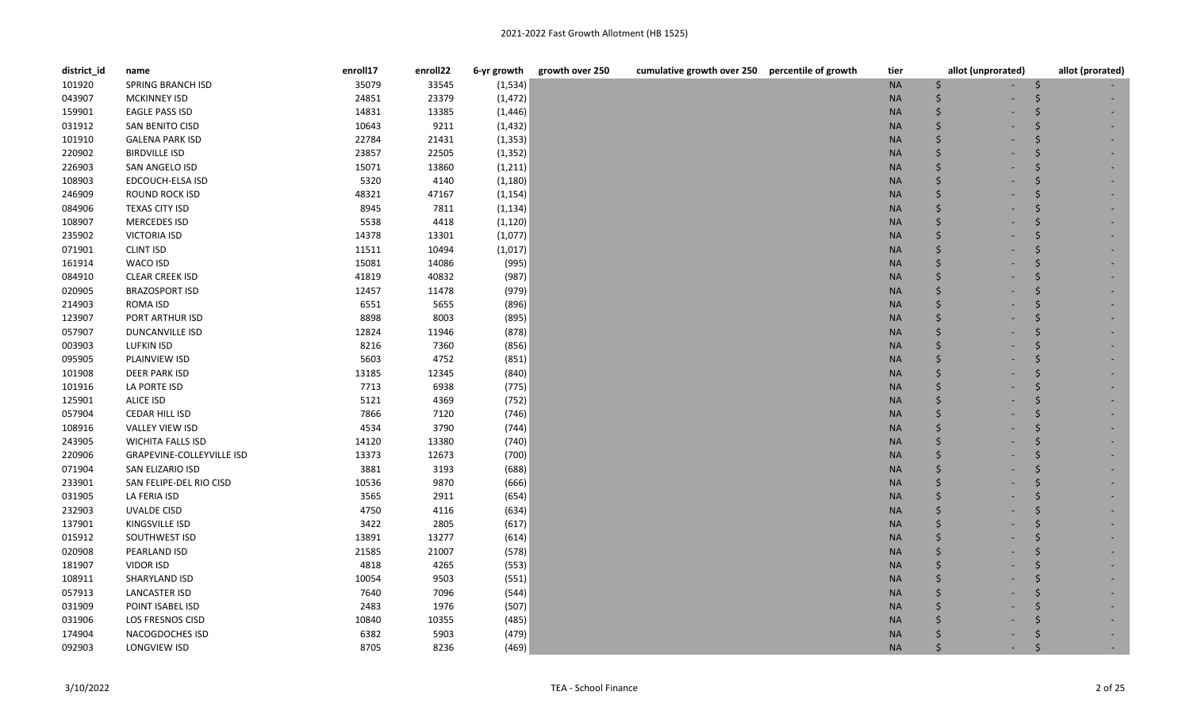| district_id | name                             | enroll17 | enroll22 | 6-yr growth | growth over 250<br>cumulative growth over 250 percentile of growth | tier      | allot (unprorated)                  | allot (prorated) |
|-------------|----------------------------------|----------|----------|-------------|--------------------------------------------------------------------|-----------|-------------------------------------|------------------|
| 101920      | SPRING BRANCH ISD                | 35079    | 33545    | (1, 534)    |                                                                    | <b>NA</b> | \$                                  |                  |
| 043907      | <b>MCKINNEY ISD</b>              | 24851    | 23379    | (1, 472)    |                                                                    | $\sf NA$  | Ś                                   |                  |
| 159901      | <b>EAGLE PASS ISD</b>            | 14831    | 13385    | (1, 446)    |                                                                    | $\sf NA$  | \$                                  |                  |
| 031912      | SAN BENITO CISD                  | 10643    | 9211     | (1, 432)    |                                                                    | <b>NA</b> | \$                                  |                  |
| 101910      | <b>GALENA PARK ISD</b>           | 22784    | 21431    | (1, 353)    |                                                                    | <b>NA</b> | Ś                                   |                  |
| 220902      | <b>BIRDVILLE ISD</b>             | 23857    | 22505    | (1, 352)    |                                                                    | <b>NA</b> | Ś                                   |                  |
| 226903      | SAN ANGELO ISD                   | 15071    | 13860    | (1, 211)    |                                                                    | <b>NA</b> |                                     |                  |
| 108903      | EDCOUCH-ELSA ISD                 | 5320     | 4140     | (1, 180)    |                                                                    | <b>NA</b> | Ś                                   |                  |
| 246909      | ROUND ROCK ISD                   | 48321    | 47167    | (1, 154)    |                                                                    | <b>NA</b> | \$                                  |                  |
| 084906      | <b>TEXAS CITY ISD</b>            | 8945     | 7811     | (1, 134)    |                                                                    | <b>NA</b> | Ś                                   |                  |
| 108907      | MERCEDES ISD                     | 5538     | 4418     | (1, 120)    |                                                                    | <b>NA</b> | Ś                                   |                  |
| 235902      | <b>VICTORIA ISD</b>              | 14378    | 13301    | (1,077)     |                                                                    | <b>NA</b> | \$                                  |                  |
| 071901      | <b>CLINT ISD</b>                 | 11511    | 10494    | (1,017)     |                                                                    | <b>NA</b> | Ś                                   |                  |
| 161914      | WACO ISD                         | 15081    | 14086    | (995)       |                                                                    | <b>NA</b> |                                     |                  |
| 084910      | <b>CLEAR CREEK ISD</b>           | 41819    | 40832    | (987)       |                                                                    | <b>NA</b> |                                     |                  |
| 020905      | <b>BRAZOSPORT ISD</b>            | 12457    | 11478    | (979)       |                                                                    | <b>NA</b> | Ś                                   |                  |
| 214903      | ROMA ISD                         | 6551     | 5655     | (896)       |                                                                    | <b>NA</b> | Ś                                   |                  |
| 123907      | PORT ARTHUR ISD                  | 8898     | 8003     | (895)       |                                                                    | <b>NA</b> | Ś                                   |                  |
| 057907      | DUNCANVILLE ISD                  | 12824    | 11946    | (878)       |                                                                    | <b>NA</b> | Ś                                   |                  |
| 003903      | <b>LUFKIN ISD</b>                | 8216     | 7360     | (856)       |                                                                    | <b>NA</b> | Ś                                   |                  |
| 095905      | PLAINVIEW ISD                    | 5603     | 4752     | (851)       |                                                                    | <b>NA</b> | Ś                                   |                  |
| 101908      | DEER PARK ISD                    | 13185    | 12345    | (840)       |                                                                    | <b>NA</b> | \$                                  |                  |
| 101916      | LA PORTE ISD                     | 7713     | 6938     | (775)       |                                                                    | <b>NA</b> | \$                                  |                  |
| 125901      | <b>ALICE ISD</b>                 | 5121     | 4369     | (752)       |                                                                    | <b>NA</b> | \$                                  |                  |
| 057904      | CEDAR HILL ISD                   | 7866     | 7120     | (746)       |                                                                    | <b>NA</b> | Ś                                   |                  |
| 108916      | <b>VALLEY VIEW ISD</b>           | 4534     | 3790     | (744)       |                                                                    | <b>NA</b> | Ś                                   |                  |
| 243905      | <b>WICHITA FALLS ISD</b>         | 14120    | 13380    | (740)       |                                                                    | <b>NA</b> | \$                                  |                  |
| 220906      | <b>GRAPEVINE-COLLEYVILLE ISD</b> | 13373    | 12673    | (700)       |                                                                    | <b>NA</b> | \$                                  |                  |
| 071904      | SAN ELIZARIO ISD                 | 3881     | 3193     | (688)       |                                                                    | <b>NA</b> | Ś                                   |                  |
| 233901      | SAN FELIPE-DEL RIO CISD          | 10536    | 9870     | (666)       |                                                                    | <b>NA</b> | Ś                                   |                  |
| 031905      | LA FERIA ISD                     | 3565     | 2911     | (654)       |                                                                    | <b>NA</b> | \$                                  |                  |
| 232903      | <b>UVALDE CISD</b>               | 4750     | 4116     | (634)       |                                                                    | $\sf NA$  | \$                                  |                  |
| 137901      | KINGSVILLE ISD                   | 3422     | 2805     | (617)       |                                                                    | <b>NA</b> | Ś                                   |                  |
| 015912      | SOUTHWEST ISD                    | 13891    | 13277    | (614)       |                                                                    | <b>NA</b> | \$                                  |                  |
| 020908      | PEARLAND ISD                     | 21585    | 21007    | (578)       |                                                                    | <b>NA</b> | Ś                                   |                  |
| 181907      | <b>VIDOR ISD</b>                 | 4818     | 4265     | (553)       |                                                                    | <b>NA</b> | Ś                                   |                  |
| 108911      | SHARYLAND ISD                    | 10054    | 9503     | (551)       |                                                                    | <b>NA</b> | Ś                                   |                  |
| 057913      | <b>LANCASTER ISD</b>             | 7640     | 7096     | (544)       |                                                                    | <b>NA</b> |                                     |                  |
| 031909      | POINT ISABEL ISD                 | 2483     | 1976     | (507)       |                                                                    | <b>NA</b> | Ś                                   |                  |
| 031906      | LOS FRESNOS CISD                 | 10840    | 10355    | (485)       |                                                                    | <b>NA</b> |                                     |                  |
| 174904      | NACOGDOCHES ISD                  | 6382     | 5903     | (479)       |                                                                    | <b>NA</b> |                                     |                  |
| 092903      | LONGVIEW ISD                     | 8705     | 8236     | (469)       |                                                                    | <b>NA</b> | $\zeta$<br>$\overline{\phantom{a}}$ |                  |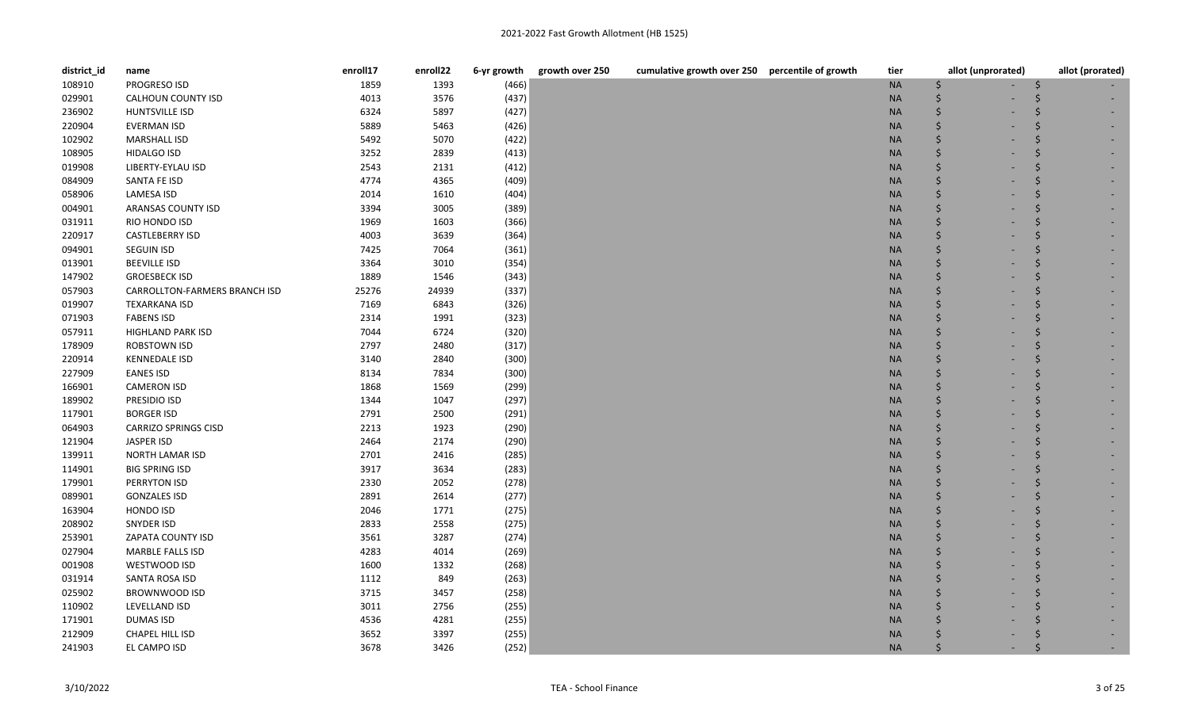| district_id | name                          | enroll17 | enroll22 | 6-yr growth | growth over 250 | cumulative growth over 250 percentile of growth | tier      | allot (unprorated) | allot (prorated) |
|-------------|-------------------------------|----------|----------|-------------|-----------------|-------------------------------------------------|-----------|--------------------|------------------|
| 108910      | PROGRESO ISD                  | 1859     | 1393     | (466)       |                 |                                                 | <b>NA</b> | Ś                  |                  |
| 029901      | CALHOUN COUNTY ISD            | 4013     | 3576     | (437)       |                 |                                                 | <b>NA</b> |                    |                  |
| 236902      | HUNTSVILLE ISD                | 6324     | 5897     | (427)       |                 |                                                 | <b>NA</b> |                    |                  |
| 220904      | EVERMAN ISD                   | 5889     | 5463     | (426)       |                 |                                                 | <b>NA</b> |                    |                  |
| 102902      | <b>MARSHALL ISD</b>           | 5492     | 5070     | (422)       |                 |                                                 | <b>NA</b> |                    |                  |
| 108905      | <b>HIDALGO ISD</b>            | 3252     | 2839     | (413)       |                 |                                                 | <b>NA</b> |                    |                  |
| 019908      | LIBERTY-EYLAU ISD             | 2543     | 2131     | (412)       |                 |                                                 | <b>NA</b> |                    |                  |
| 084909      | SANTA FE ISD                  | 4774     | 4365     | (409)       |                 |                                                 | <b>NA</b> |                    |                  |
| 058906      | LAMESA ISD                    | 2014     | 1610     | (404)       |                 |                                                 | <b>NA</b> |                    |                  |
| 004901      | ARANSAS COUNTY ISD            | 3394     | 3005     | (389)       |                 |                                                 | <b>NA</b> |                    |                  |
| 031911      | RIO HONDO ISD                 | 1969     | 1603     | (366)       |                 |                                                 | <b>NA</b> |                    |                  |
| 220917      | <b>CASTLEBERRY ISD</b>        | 4003     | 3639     | (364)       |                 |                                                 | <b>NA</b> |                    |                  |
| 094901      | SEGUIN ISD                    | 7425     | 7064     | (361)       |                 |                                                 | <b>NA</b> |                    |                  |
| 013901      | <b>BEEVILLE ISD</b>           | 3364     | 3010     | (354)       |                 |                                                 | <b>NA</b> |                    |                  |
| 147902      | <b>GROESBECK ISD</b>          | 1889     | 1546     | (343)       |                 |                                                 | <b>NA</b> |                    |                  |
| 057903      | CARROLLTON-FARMERS BRANCH ISD | 25276    | 24939    | (337)       |                 |                                                 | <b>NA</b> |                    |                  |
| 019907      | <b>TEXARKANA ISD</b>          | 7169     | 6843     | (326)       |                 |                                                 | <b>NA</b> |                    |                  |
| 071903      | <b>FABENS ISD</b>             | 2314     | 1991     | (323)       |                 |                                                 | <b>NA</b> |                    |                  |
| 057911      | <b>HIGHLAND PARK ISD</b>      | 7044     | 6724     | (320)       |                 |                                                 | <b>NA</b> |                    |                  |
| 178909      | ROBSTOWN ISD                  | 2797     | 2480     | (317)       |                 |                                                 | <b>NA</b> |                    |                  |
| 220914      | <b>KENNEDALE ISD</b>          | 3140     | 2840     | (300)       |                 |                                                 | <b>NA</b> |                    |                  |
| 227909      | <b>EANES ISD</b>              | 8134     | 7834     | (300)       |                 |                                                 | <b>NA</b> |                    |                  |
| 166901      | <b>CAMERON ISD</b>            | 1868     | 1569     | (299)       |                 |                                                 | <b>NA</b> |                    |                  |
| 189902      | PRESIDIO ISD                  | 1344     | 1047     | (297)       |                 |                                                 | <b>NA</b> |                    |                  |
| 117901      | <b>BORGER ISD</b>             | 2791     | 2500     | (291)       |                 |                                                 | <b>NA</b> |                    |                  |
| 064903      | <b>CARRIZO SPRINGS CISD</b>   | 2213     | 1923     | (290)       |                 |                                                 | <b>NA</b> |                    |                  |
| 121904      | JASPER ISD                    | 2464     | 2174     | (290)       |                 |                                                 | <b>NA</b> |                    |                  |
| 139911      | <b>NORTH LAMAR ISD</b>        | 2701     | 2416     | (285)       |                 |                                                 | <b>NA</b> |                    |                  |
| 114901      | <b>BIG SPRING ISD</b>         | 3917     | 3634     | (283)       |                 |                                                 | <b>NA</b> |                    |                  |
| 179901      | PERRYTON ISD                  | 2330     | 2052     | (278)       |                 |                                                 | <b>NA</b> |                    |                  |
| 089901      | <b>GONZALES ISD</b>           | 2891     | 2614     | (277)       |                 |                                                 | <b>NA</b> |                    |                  |
| 163904      | HONDO ISD                     | 2046     | 1771     | (275)       |                 |                                                 | <b>NA</b> |                    |                  |
| 208902      | SNYDER ISD                    | 2833     | 2558     | (275)       |                 |                                                 | <b>NA</b> |                    |                  |
| 253901      | ZAPATA COUNTY ISD             | 3561     | 3287     | (274)       |                 |                                                 | <b>NA</b> |                    |                  |
| 027904      | <b>MARBLE FALLS ISD</b>       | 4283     | 4014     | (269)       |                 |                                                 | <b>NA</b> |                    |                  |
| 001908      | WESTWOOD ISD                  | 1600     | 1332     | (268)       |                 |                                                 | <b>NA</b> |                    |                  |
| 031914      | SANTA ROSA ISD                | 1112     | 849      | (263)       |                 |                                                 | <b>NA</b> |                    |                  |
| 025902      | <b>BROWNWOOD ISD</b>          | 3715     | 3457     | (258)       |                 |                                                 | <b>NA</b> |                    |                  |
| 110902      | LEVELLAND ISD                 | 3011     | 2756     | (255)       |                 |                                                 | <b>NA</b> |                    |                  |
| 171901      | <b>DUMAS ISD</b>              | 4536     | 4281     | (255)       |                 |                                                 | <b>NA</b> |                    |                  |
| 212909      | CHAPEL HILL ISD               | 3652     | 3397     | (255)       |                 |                                                 | <b>NA</b> |                    |                  |
| 241903      | EL CAMPO ISD                  | 3678     | 3426     | (252)       |                 |                                                 | <b>NA</b> |                    |                  |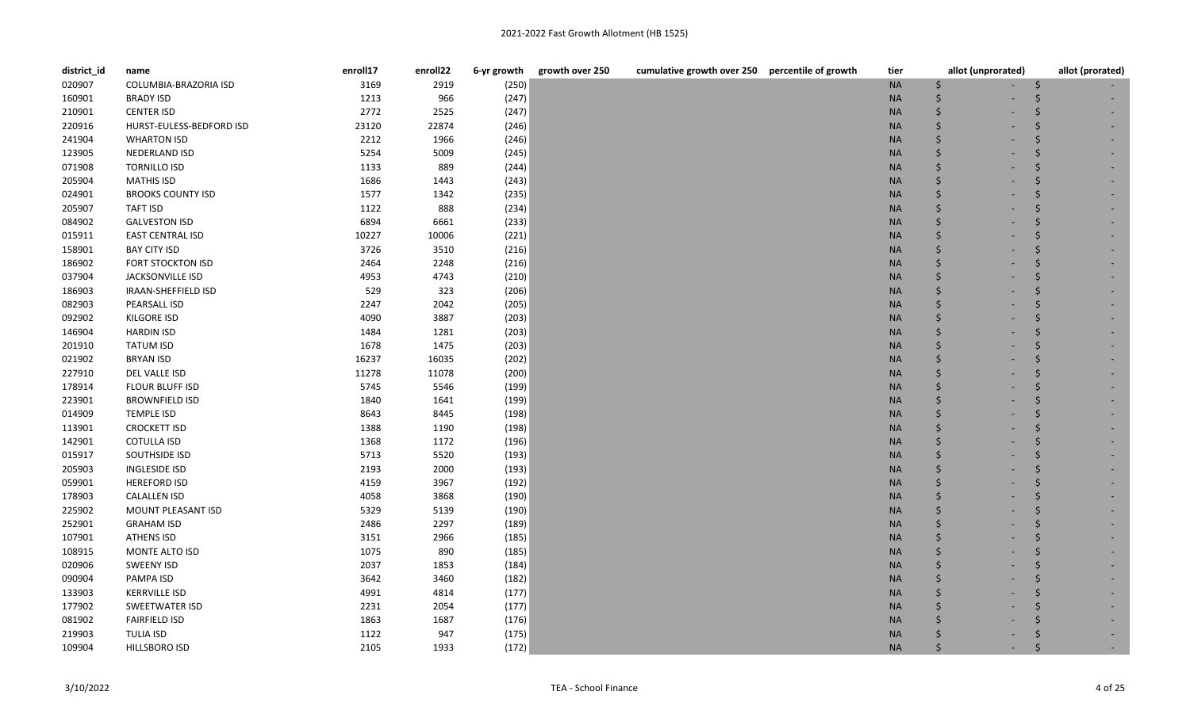| district_id | name                     | enroll17 | enroll22 | 6-yr growth | growth over 250 | cumulative growth over 250 percentile of growth | tier      | allot (unprorated) | allot (prorated) |
|-------------|--------------------------|----------|----------|-------------|-----------------|-------------------------------------------------|-----------|--------------------|------------------|
| 020907      | COLUMBIA-BRAZORIA ISD    | 3169     | 2919     | (250)       |                 |                                                 | $\sf NA$  | \$                 |                  |
| 160901      | <b>BRADY ISD</b>         | 1213     | 966      | (247)       |                 |                                                 | <b>NA</b> | Ś                  |                  |
| 210901      | <b>CENTER ISD</b>        | 2772     | 2525     | (247)       |                 |                                                 | <b>NA</b> | \$                 |                  |
| 220916      | HURST-EULESS-BEDFORD ISD | 23120    | 22874    | (246)       |                 |                                                 | <b>NA</b> | Ś                  |                  |
| 241904      | <b>WHARTON ISD</b>       | 2212     | 1966     | (246)       |                 |                                                 | <b>NA</b> |                    |                  |
| 123905      | NEDERLAND ISD            | 5254     | 5009     | (245)       |                 |                                                 | <b>NA</b> |                    |                  |
| 071908      | <b>TORNILLO ISD</b>      | 1133     | 889      | (244)       |                 |                                                 | <b>NA</b> |                    |                  |
| 205904      | <b>MATHIS ISD</b>        | 1686     | 1443     | (243)       |                 |                                                 | <b>NA</b> |                    |                  |
| 024901      | <b>BROOKS COUNTY ISD</b> | 1577     | 1342     | (235)       |                 |                                                 | $\sf NA$  |                    |                  |
| 205907      | TAFT ISD                 | 1122     | 888      | (234)       |                 |                                                 | <b>NA</b> |                    |                  |
| 084902      | <b>GALVESTON ISD</b>     | 6894     | 6661     | (233)       |                 |                                                 | <b>NA</b> |                    |                  |
| 015911      | <b>EAST CENTRAL ISD</b>  | 10227    | 10006    | (221)       |                 |                                                 | <b>NA</b> |                    |                  |
| 158901      | <b>BAY CITY ISD</b>      | 3726     | 3510     | (216)       |                 |                                                 | $\sf NA$  |                    |                  |
| 186902      | FORT STOCKTON ISD        | 2464     | 2248     | (216)       |                 |                                                 | <b>NA</b> |                    |                  |
| 037904      | <b>JACKSONVILLE ISD</b>  | 4953     | 4743     | (210)       |                 |                                                 | <b>NA</b> |                    |                  |
| 186903      | IRAAN-SHEFFIELD ISD      | 529      | 323      | (206)       |                 |                                                 | <b>NA</b> |                    |                  |
| 082903      | PEARSALL ISD             | 2247     | 2042     | (205)       |                 |                                                 | <b>NA</b> |                    |                  |
| 092902      | <b>KILGORE ISD</b>       | 4090     | 3887     | (203)       |                 |                                                 | <b>NA</b> |                    |                  |
| 146904      | <b>HARDIN ISD</b>        | 1484     | 1281     | (203)       |                 |                                                 | <b>NA</b> |                    |                  |
| 201910      | TATUM ISD                | 1678     | 1475     | (203)       |                 |                                                 | <b>NA</b> |                    |                  |
| 021902      | <b>BRYAN ISD</b>         | 16237    | 16035    | (202)       |                 |                                                 | <b>NA</b> |                    |                  |
| 227910      | DEL VALLE ISD            | 11278    | 11078    | (200)       |                 |                                                 | <b>NA</b> |                    |                  |
| 178914      | FLOUR BLUFF ISD          | 5745     | 5546     | (199)       |                 |                                                 | <b>NA</b> |                    |                  |
| 223901      | <b>BROWNFIELD ISD</b>    | 1840     | 1641     | (199)       |                 |                                                 | <b>NA</b> |                    |                  |
| 014909      | <b>TEMPLE ISD</b>        | 8643     | 8445     | (198)       |                 |                                                 | <b>NA</b> |                    |                  |
| 113901      | <b>CROCKETT ISD</b>      | 1388     | 1190     | (198)       |                 |                                                 | <b>NA</b> |                    |                  |
| 142901      | <b>COTULLA ISD</b>       | 1368     | 1172     | (196)       |                 |                                                 | <b>NA</b> |                    |                  |
| 015917      | SOUTHSIDE ISD            | 5713     | 5520     | (193)       |                 |                                                 | <b>NA</b> |                    |                  |
| 205903      | <b>INGLESIDE ISD</b>     | 2193     | 2000     | (193)       |                 |                                                 | <b>NA</b> |                    |                  |
| 059901      | <b>HEREFORD ISD</b>      | 4159     | 3967     | (192)       |                 |                                                 | <b>NA</b> |                    |                  |
| 178903      | <b>CALALLEN ISD</b>      | 4058     | 3868     | (190)       |                 |                                                 | <b>NA</b> |                    |                  |
| 225902      | MOUNT PLEASANT ISD       | 5329     | 5139     | (190)       |                 |                                                 | <b>NA</b> |                    |                  |
| 252901      | <b>GRAHAM ISD</b>        | 2486     | 2297     | (189)       |                 |                                                 | <b>NA</b> |                    |                  |
| 107901      | <b>ATHENS ISD</b>        | 3151     | 2966     | (185)       |                 |                                                 | <b>NA</b> |                    |                  |
| 108915      | MONTE ALTO ISD           | 1075     | 890      | (185)       |                 |                                                 | <b>NA</b> |                    |                  |
| 020906      | <b>SWEENY ISD</b>        | 2037     | 1853     | (184)       |                 |                                                 | <b>NA</b> |                    |                  |
| 090904      | PAMPA ISD                | 3642     | 3460     | (182)       |                 |                                                 | <b>NA</b> |                    |                  |
| 133903      | <b>KERRVILLE ISD</b>     | 4991     | 4814     | (177)       |                 |                                                 | <b>NA</b> |                    |                  |
| 177902      | SWEETWATER ISD           | 2231     | 2054     | (177)       |                 |                                                 | <b>NA</b> |                    |                  |
| 081902      | <b>FAIRFIELD ISD</b>     | 1863     | 1687     | (176)       |                 |                                                 | <b>NA</b> |                    |                  |
| 219903      | <b>TULIA ISD</b>         | 1122     | 947      | (175)       |                 |                                                 | <b>NA</b> |                    |                  |
| 109904      | <b>HILLSBORO ISD</b>     | 2105     | 1933     | (172)       |                 |                                                 | <b>NA</b> |                    |                  |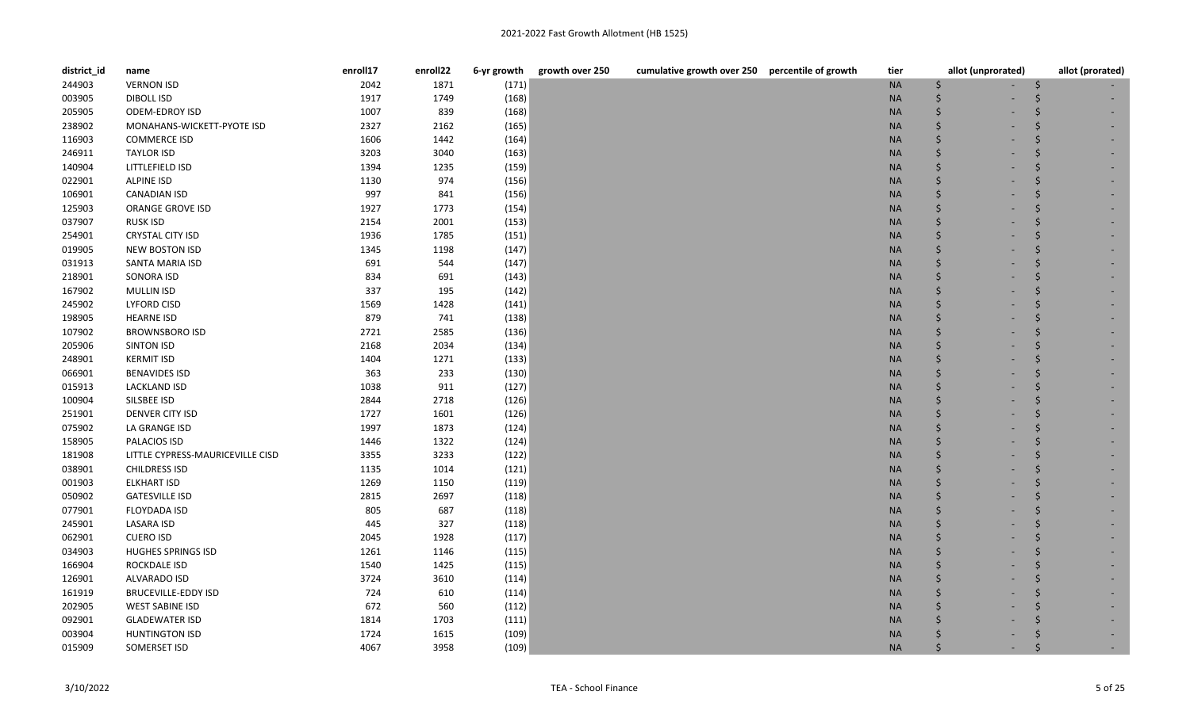| district_id | name                             | enroll17 | enroll22 | 6-yr growth | growth over 250 | cumulative growth over 250 percentile of growth | tier      | allot (unprorated) | allot (prorated) |
|-------------|----------------------------------|----------|----------|-------------|-----------------|-------------------------------------------------|-----------|--------------------|------------------|
| 244903      | <b>VERNON ISD</b>                | 2042     | 1871     | (171)       |                 |                                                 | <b>NA</b> | \$                 |                  |
| 003905      | <b>DIBOLL ISD</b>                | 1917     | 1749     | (168)       |                 |                                                 | <b>NA</b> | Ś                  |                  |
| 205905      | ODEM-EDROY ISD                   | 1007     | 839      | (168)       |                 |                                                 | <b>NA</b> | \$                 |                  |
| 238902      | MONAHANS-WICKETT-PYOTE ISD       | 2327     | 2162     | (165)       |                 |                                                 | <b>NA</b> | \$                 |                  |
| 116903      | <b>COMMERCE ISD</b>              | 1606     | 1442     | (164)       |                 |                                                 | <b>NA</b> | \$                 |                  |
| 246911      | <b>TAYLOR ISD</b>                | 3203     | 3040     | (163)       |                 |                                                 | <b>NA</b> | Ś                  |                  |
| 140904      | LITTLEFIELD ISD                  | 1394     | 1235     | (159)       |                 |                                                 | <b>NA</b> |                    |                  |
| 022901      | <b>ALPINE ISD</b>                | 1130     | 974      | (156)       |                 |                                                 | <b>NA</b> | Ś                  |                  |
| 106901      | <b>CANADIAN ISD</b>              | 997      | 841      | (156)       |                 |                                                 | <b>NA</b> | \$                 |                  |
| 125903      | ORANGE GROVE ISD                 | 1927     | 1773     | (154)       |                 |                                                 | <b>NA</b> | Ś                  |                  |
| 037907      | <b>RUSK ISD</b>                  | 2154     | 2001     | (153)       |                 |                                                 | <b>NA</b> | \$                 |                  |
| 254901      | <b>CRYSTAL CITY ISD</b>          | 1936     | 1785     | (151)       |                 |                                                 | <b>NA</b> | Ś                  |                  |
| 019905      | <b>NEW BOSTON ISD</b>            | 1345     | 1198     | (147)       |                 |                                                 | <b>NA</b> | Ś                  |                  |
| 031913      | SANTA MARIA ISD                  | 691      | 544      | (147)       |                 |                                                 | <b>NA</b> | Ś                  |                  |
| 218901      | SONORA ISD                       | 834      | 691      | (143)       |                 |                                                 | <b>NA</b> |                    |                  |
| 167902      | <b>MULLIN ISD</b>                | 337      | 195      | (142)       |                 |                                                 | <b>NA</b> | Ś                  |                  |
| 245902      | <b>LYFORD CISD</b>               | 1569     | 1428     | (141)       |                 |                                                 | <b>NA</b> | Ś                  |                  |
| 198905      | <b>HEARNE ISD</b>                | 879      | 741      | (138)       |                 |                                                 | <b>NA</b> | Ś                  |                  |
| 107902      | <b>BROWNSBORO ISD</b>            | 2721     | 2585     | (136)       |                 |                                                 | <b>NA</b> | \$                 |                  |
| 205906      | <b>SINTON ISD</b>                | 2168     | 2034     | (134)       |                 |                                                 | <b>NA</b> | Ś.                 |                  |
| 248901      | <b>KERMIT ISD</b>                | 1404     | 1271     | (133)       |                 |                                                 | <b>NA</b> | Ś                  |                  |
| 066901      | <b>BENAVIDES ISD</b>             | 363      | 233      | (130)       |                 |                                                 | <b>NA</b> | \$                 |                  |
| 015913      | <b>LACKLAND ISD</b>              | 1038     | 911      | (127)       |                 |                                                 | <b>NA</b> | \$                 |                  |
| 100904      | SILSBEE ISD                      | 2844     | 2718     | (126)       |                 |                                                 | <b>NA</b> | \$                 |                  |
| 251901      | <b>DENVER CITY ISD</b>           | 1727     | 1601     | (126)       |                 |                                                 | <b>NA</b> | Ś                  |                  |
| 075902      | LA GRANGE ISD                    | 1997     | 1873     | (124)       |                 |                                                 | <b>NA</b> | \$                 |                  |
| 158905      | PALACIOS ISD                     | 1446     | 1322     | (124)       |                 |                                                 | <b>NA</b> | Ś                  |                  |
| 181908      | LITTLE CYPRESS-MAURICEVILLE CISD | 3355     | 3233     | (122)       |                 |                                                 | <b>NA</b> | \$                 |                  |
| 038901      | <b>CHILDRESS ISD</b>             | 1135     | 1014     | (121)       |                 |                                                 | <b>NA</b> | Ś                  |                  |
| 001903      | <b>ELKHART ISD</b>               | 1269     | 1150     | (119)       |                 |                                                 | <b>NA</b> | \$                 |                  |
| 050902      | <b>GATESVILLE ISD</b>            | 2815     | 2697     | (118)       |                 |                                                 | <b>NA</b> | \$                 |                  |
| 077901      | <b>FLOYDADA ISD</b>              | 805      | 687      | (118)       |                 |                                                 | <b>NA</b> | \$                 |                  |
| 245901      | <b>LASARA ISD</b>                | 445      | 327      | (118)       |                 |                                                 | <b>NA</b> | Ś                  |                  |
| 062901      | <b>CUERO ISD</b>                 | 2045     | 1928     | (117)       |                 |                                                 | <b>NA</b> | \$                 |                  |
| 034903      | <b>HUGHES SPRINGS ISD</b>        | 1261     | 1146     | (115)       |                 |                                                 | <b>NA</b> | \$                 |                  |
| 166904      | <b>ROCKDALE ISD</b>              | 1540     | 1425     | (115)       |                 |                                                 | <b>NA</b> | \$                 |                  |
| 126901      | ALVARADO ISD                     | 3724     | 3610     | (114)       |                 |                                                 | <b>NA</b> | Ś                  |                  |
| 161919      | <b>BRUCEVILLE-EDDY ISD</b>       | 724      | 610      | (114)       |                 |                                                 | <b>NA</b> |                    |                  |
| 202905      | <b>WEST SABINE ISD</b>           | 672      | 560      | (112)       |                 |                                                 | <b>NA</b> | Ś                  |                  |
| 092901      | <b>GLADEWATER ISD</b>            | 1814     | 1703     | (111)       |                 |                                                 | <b>NA</b> | Ś                  |                  |
| 003904      | <b>HUNTINGTON ISD</b>            | 1724     | 1615     | (109)       |                 |                                                 | <b>NA</b> |                    |                  |
| 015909      | SOMERSET ISD                     | 4067     | 3958     | (109)       |                 |                                                 | <b>NA</b> | Ś                  |                  |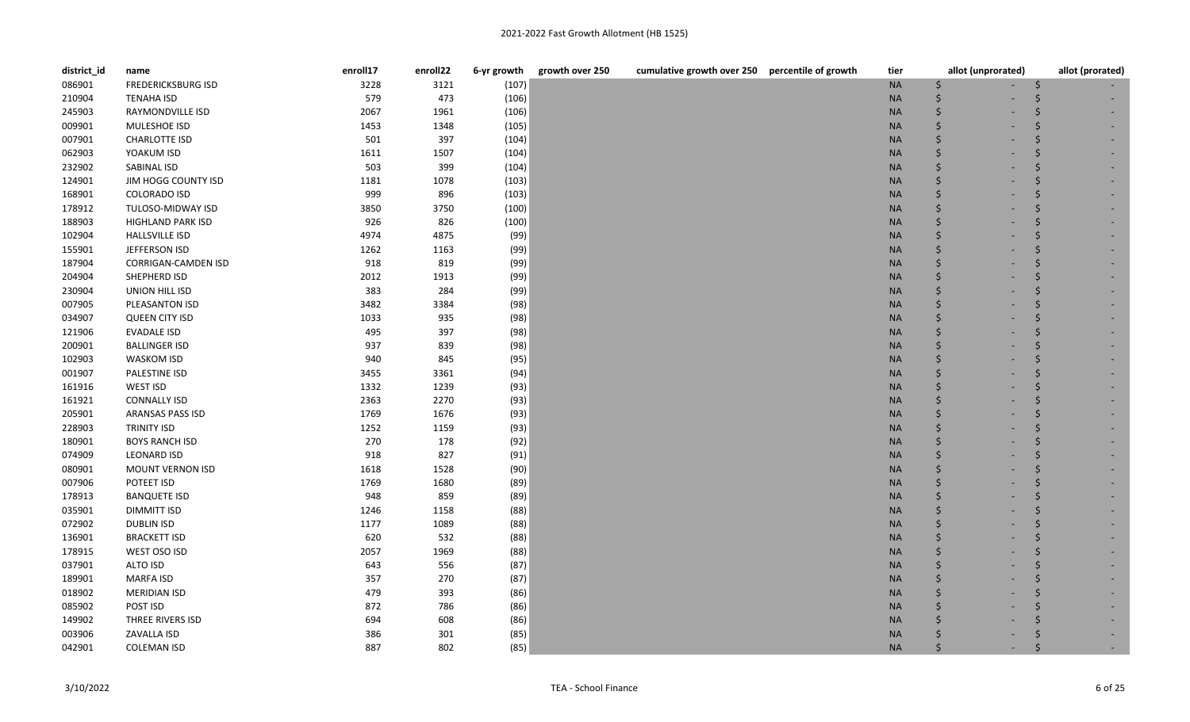| district_id | name                      | enroll17 | enroll22 | 6-yr growth | cumulative growth over 250 percentile of growth<br>growth over 250 | tier      | allot (unprorated) | allot (prorated) |
|-------------|---------------------------|----------|----------|-------------|--------------------------------------------------------------------|-----------|--------------------|------------------|
| 086901      | <b>FREDERICKSBURG ISD</b> | 3228     | 3121     | (107)       |                                                                    | $\sf NA$  | \$                 |                  |
| 210904      | <b>TENAHA ISD</b>         | 579      | 473      | (106)       |                                                                    | <b>NA</b> | Ś                  |                  |
| 245903      | RAYMONDVILLE ISD          | 2067     | 1961     | (106)       |                                                                    | $\sf NA$  | \$                 |                  |
| 009901      | MULESHOE ISD              | 1453     | 1348     | (105)       |                                                                    | <b>NA</b> | \$                 |                  |
| 007901      | <b>CHARLOTTE ISD</b>      | 501      | 397      | (104)       |                                                                    | <b>NA</b> | Ś                  |                  |
| 062903      | YOAKUM ISD                | 1611     | 1507     | (104)       |                                                                    | <b>NA</b> | Ś                  |                  |
| 232902      | SABINAL ISD               | 503      | 399      | (104)       |                                                                    | <b>NA</b> |                    |                  |
| 124901      | JIM HOGG COUNTY ISD       | 1181     | 1078     | (103)       |                                                                    | <b>NA</b> | Ś                  |                  |
| 168901      | <b>COLORADO ISD</b>       | 999      | 896      | (103)       |                                                                    | <b>NA</b> | \$                 |                  |
| 178912      | TULOSO-MIDWAY ISD         | 3850     | 3750     | (100)       |                                                                    | <b>NA</b> | Ś                  |                  |
| 188903      | <b>HIGHLAND PARK ISD</b>  | 926      | 826      | (100)       |                                                                    | <b>NA</b> | \$                 |                  |
| 102904      | <b>HALLSVILLE ISD</b>     | 4974     | 4875     | (99)        |                                                                    | <b>NA</b> | Ś                  |                  |
| 155901      | JEFFERSON ISD             | 1262     | 1163     | (99)        |                                                                    | $\sf NA$  | Ś                  |                  |
| 187904      | CORRIGAN-CAMDEN ISD       | 918      | 819      | (99)        |                                                                    | <b>NA</b> | Ś                  |                  |
| 204904      | SHEPHERD ISD              | 2012     | 1913     | (99)        |                                                                    | <b>NA</b> |                    |                  |
| 230904      | UNION HILL ISD            | 383      | 284      | (99)        |                                                                    | <b>NA</b> | Ś                  |                  |
| 007905      | PLEASANTON ISD            | 3482     | 3384     | (98)        |                                                                    | <b>NA</b> | Ś                  |                  |
| 034907      | <b>QUEEN CITY ISD</b>     | 1033     | 935      | (98)        |                                                                    | <b>NA</b> | Ś                  |                  |
| 121906      | EVADALE ISD               | 495      | 397      | (98)        |                                                                    | <b>NA</b> | Ś                  |                  |
| 200901      | <b>BALLINGER ISD</b>      | 937      | 839      | (98)        |                                                                    | <b>NA</b> | Ś                  |                  |
| 102903      | <b>WASKOM ISD</b>         | 940      | 845      | (95)        |                                                                    | <b>NA</b> | Ś                  |                  |
| 001907      | PALESTINE ISD             | 3455     | 3361     | (94)        |                                                                    | <b>NA</b> |                    |                  |
| 161916      | WEST ISD                  | 1332     | 1239     | (93)        |                                                                    | <b>NA</b> |                    |                  |
| 161921      | <b>CONNALLY ISD</b>       | 2363     | 2270     | (93)        |                                                                    | <b>NA</b> | Ś                  |                  |
| 205901      | ARANSAS PASS ISD          | 1769     | 1676     | (93)        |                                                                    | <b>NA</b> | Ś                  |                  |
| 228903      | <b>TRINITY ISD</b>        | 1252     | 1159     | (93)        |                                                                    | <b>NA</b> | Ś                  |                  |
| 180901      | <b>BOYS RANCH ISD</b>     | 270      | 178      | (92)        |                                                                    | <b>NA</b> | Ś                  |                  |
| 074909      | <b>LEONARD ISD</b>        | 918      | 827      | (91)        |                                                                    | <b>NA</b> | Ś                  |                  |
| 080901      | MOUNT VERNON ISD          | 1618     | 1528     | (90)        |                                                                    | <b>NA</b> | Ś                  |                  |
| 007906      | POTEET ISD                | 1769     | 1680     | (89)        |                                                                    | <b>NA</b> |                    |                  |
| 178913      | <b>BANQUETE ISD</b>       | 948      | 859      | (89)        |                                                                    | <b>NA</b> |                    |                  |
| 035901      | DIMMITT ISD               | 1246     | 1158     | (88)        |                                                                    | <b>NA</b> | Ś                  |                  |
| 072902      | <b>DUBLIN ISD</b>         | 1177     | 1089     | (88)        |                                                                    | <b>NA</b> | Ś                  |                  |
| 136901      | <b>BRACKETT ISD</b>       | 620      | 532      | (88)        |                                                                    | <b>NA</b> | Ś                  |                  |
| 178915      | WEST OSO ISD              | 2057     | 1969     | (88)        |                                                                    | <b>NA</b> | Ś                  |                  |
| 037901      | ALTO ISD                  | 643      | 556      | (87)        |                                                                    | <b>NA</b> | Ś                  |                  |
| 189901      | <b>MARFA ISD</b>          | 357      | 270      | (87)        |                                                                    | <b>NA</b> | Ś                  |                  |
| 018902      | <b>MERIDIAN ISD</b>       | 479      | 393      | (86)        |                                                                    | <b>NA</b> |                    |                  |
| 085902      | POST ISD                  | 872      | 786      | (86)        |                                                                    | <b>NA</b> |                    |                  |
| 149902      | THREE RIVERS ISD          | 694      | 608      | (86)        |                                                                    | <b>NA</b> | Ś                  |                  |
| 003906      | ZAVALLA ISD               | 386      | 301      | (85)        |                                                                    | <b>NA</b> |                    |                  |
| 042901      | <b>COLEMAN ISD</b>        | 887      | 802      | (85)        |                                                                    | <b>NA</b> | Ś                  |                  |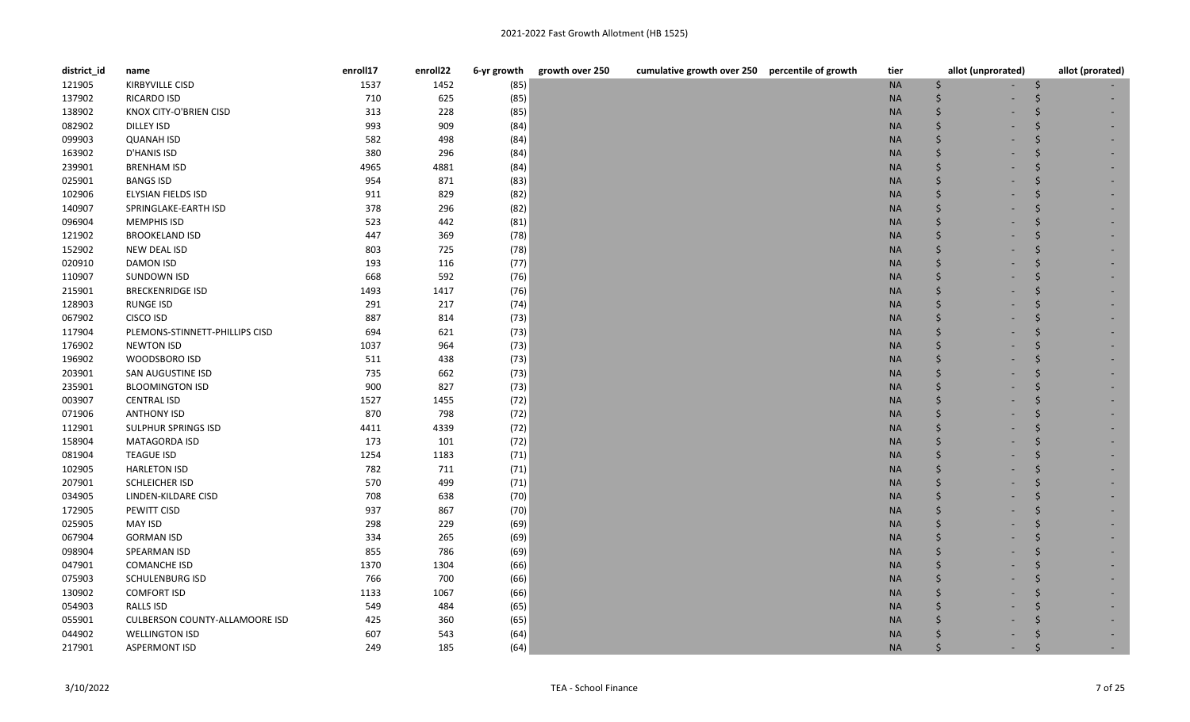| district_id | name                                  | enroll17 | enroll22 | 6-yr growth | growth over 250<br>cumulative growth over 250 percentile of growth | tier      | allot (unprorated) | allot (prorated) |
|-------------|---------------------------------------|----------|----------|-------------|--------------------------------------------------------------------|-----------|--------------------|------------------|
| 121905      | <b>KIRBYVILLE CISD</b>                | 1537     | 1452     | (85)        |                                                                    | $\sf NA$  | \$                 |                  |
| 137902      | <b>RICARDO ISD</b>                    | 710      | 625      | (85)        |                                                                    | <b>NA</b> | Ś                  |                  |
| 138902      | KNOX CITY-O'BRIEN CISD                | 313      | 228      | (85)        |                                                                    | <b>NA</b> | \$                 |                  |
| 082902      | DILLEY ISD                            | 993      | 909      | (84)        |                                                                    | <b>NA</b> | Ś                  |                  |
| 099903      | <b>QUANAH ISD</b>                     | 582      | 498      | (84)        |                                                                    | $\sf NA$  | \$                 |                  |
| 163902      | D'HANIS ISD                           | 380      | 296      | (84)        |                                                                    | <b>NA</b> |                    |                  |
| 239901      | <b>BRENHAM ISD</b>                    | 4965     | 4881     | (84)        |                                                                    | <b>NA</b> |                    |                  |
| 025901      | <b>BANGS ISD</b>                      | 954      | 871      | (83)        |                                                                    | <b>NA</b> |                    |                  |
| 102906      | ELYSIAN FIELDS ISD                    | 911      | 829      | (82)        |                                                                    | $\sf NA$  | Ś                  |                  |
| 140907      | SPRINGLAKE-EARTH ISD                  | 378      | 296      | (82)        |                                                                    | <b>NA</b> | Ś                  |                  |
| 096904      | <b>MEMPHIS ISD</b>                    | 523      | 442      | (81)        |                                                                    | <b>NA</b> |                    |                  |
| 121902      | <b>BROOKELAND ISD</b>                 | 447      | 369      | (78)        |                                                                    | <b>NA</b> |                    |                  |
| 152902      | NEW DEAL ISD                          | 803      | 725      | (78)        |                                                                    | <b>NA</b> | Ś                  |                  |
| 020910      | DAMON ISD                             | 193      | 116      | (77)        |                                                                    | <b>NA</b> |                    |                  |
| 110907      | <b>SUNDOWN ISD</b>                    | 668      | 592      | (76)        |                                                                    | <b>NA</b> |                    |                  |
| 215901      | <b>BRECKENRIDGE ISD</b>               | 1493     | 1417     | (76)        |                                                                    | <b>NA</b> |                    |                  |
| 128903      | <b>RUNGE ISD</b>                      | 291      | 217      | (74)        |                                                                    | <b>NA</b> |                    |                  |
| 067902      | CISCO ISD                             | 887      | 814      | (73)        |                                                                    | <b>NA</b> |                    |                  |
| 117904      | PLEMONS-STINNETT-PHILLIPS CISD        | 694      | 621      | (73)        |                                                                    | <b>NA</b> |                    |                  |
| 176902      | <b>NEWTON ISD</b>                     | 1037     | 964      | (73)        |                                                                    | <b>NA</b> |                    |                  |
| 196902      | WOODSBORO ISD                         | 511      | 438      | (73)        |                                                                    | <b>NA</b> |                    |                  |
| 203901      | SAN AUGUSTINE ISD                     | 735      | 662      | (73)        |                                                                    | <b>NA</b> |                    |                  |
| 235901      | <b>BLOOMINGTON ISD</b>                | 900      | 827      | (73)        |                                                                    | <b>NA</b> |                    |                  |
| 003907      | <b>CENTRAL ISD</b>                    | 1527     | 1455     | (72)        |                                                                    | <b>NA</b> |                    |                  |
| 071906      | <b>ANTHONY ISD</b>                    | 870      | 798      | (72)        |                                                                    | <b>NA</b> |                    |                  |
| 112901      | SULPHUR SPRINGS ISD                   | 4411     | 4339     | (72)        |                                                                    | <b>NA</b> |                    |                  |
| 158904      | <b>MATAGORDA ISD</b>                  | 173      | 101      | (72)        |                                                                    | <b>NA</b> |                    |                  |
| 081904      | <b>TEAGUE ISD</b>                     | 1254     | 1183     | (71)        |                                                                    | <b>NA</b> | Ś                  |                  |
| 102905      | <b>HARLETON ISD</b>                   | 782      | 711      | (71)        |                                                                    | $\sf NA$  |                    |                  |
| 207901      | SCHLEICHER ISD                        | 570      | 499      | (71)        |                                                                    | <b>NA</b> |                    |                  |
| 034905      | LINDEN-KILDARE CISD                   | 708      | 638      | (70)        |                                                                    | <b>NA</b> |                    |                  |
| 172905      | PEWITT CISD                           | 937      | 867      | (70)        |                                                                    | <b>NA</b> |                    |                  |
| 025905      | <b>MAY ISD</b>                        | 298      | 229      | (69)        |                                                                    | <b>NA</b> |                    |                  |
| 067904      | <b>GORMAN ISD</b>                     | 334      | 265      | (69)        |                                                                    | <b>NA</b> |                    |                  |
| 098904      | SPEARMAN ISD                          | 855      | 786      | (69)        |                                                                    | <b>NA</b> |                    |                  |
| 047901      | <b>COMANCHE ISD</b>                   | 1370     | 1304     | (66)        |                                                                    | <b>NA</b> | Ś                  |                  |
| 075903      | <b>SCHULENBURG ISD</b>                | 766      | 700      | (66)        |                                                                    | <b>NA</b> |                    |                  |
| 130902      | <b>COMFORT ISD</b>                    | 1133     | 1067     | (66)        |                                                                    | <b>NA</b> |                    |                  |
| 054903      | RALLS ISD                             | 549      | 484      | (65)        |                                                                    | <b>NA</b> |                    |                  |
| 055901      | <b>CULBERSON COUNTY-ALLAMOORE ISD</b> | 425      | 360      | (65)        |                                                                    | <b>NA</b> |                    |                  |
| 044902      | <b>WELLINGTON ISD</b>                 | 607      | 543      | (64)        |                                                                    | <b>NA</b> |                    |                  |
| 217901      | <b>ASPERMONT ISD</b>                  | 249      | 185      | (64)        |                                                                    | <b>NA</b> |                    |                  |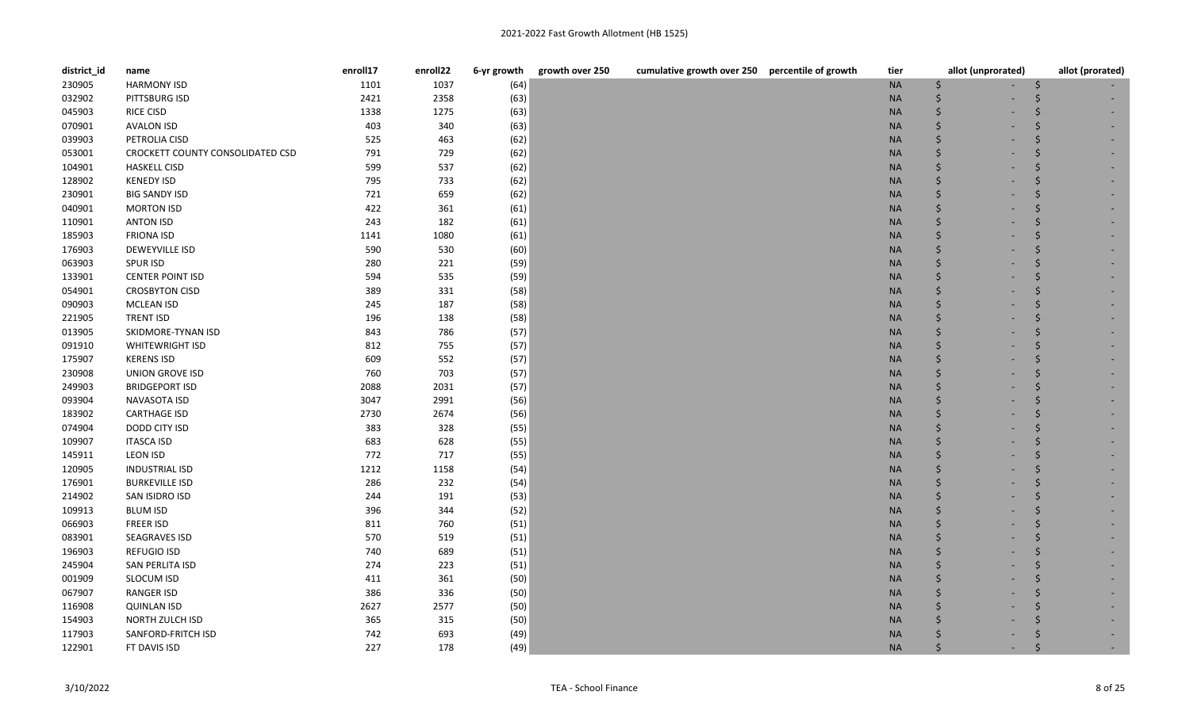| district_id | name                             | enroll17 | enroll22 | 6-yr growth | growth over 250 | cumulative growth over 250 percentile of growth | tier      | allot (unprorated) | allot (prorated) |
|-------------|----------------------------------|----------|----------|-------------|-----------------|-------------------------------------------------|-----------|--------------------|------------------|
| 230905      | <b>HARMONY ISD</b>               | 1101     | 1037     | (64)        |                 |                                                 | $\sf NA$  | \$                 |                  |
| 032902      | PITTSBURG ISD                    | 2421     | 2358     | (63)        |                 |                                                 | <b>NA</b> |                    |                  |
| 045903      | <b>RICE CISD</b>                 | 1338     | 1275     | (63)        |                 |                                                 | <b>NA</b> |                    |                  |
| 070901      | <b>AVALON ISD</b>                | 403      | 340      | (63)        |                 |                                                 | <b>NA</b> | Ś                  |                  |
| 039903      | PETROLIA CISD                    | 525      | 463      | (62)        |                 |                                                 | $\sf NA$  | \$                 |                  |
| 053001      | CROCKETT COUNTY CONSOLIDATED CSD | 791      | 729      | (62)        |                 |                                                 | <b>NA</b> |                    |                  |
| 104901      | <b>HASKELL CISD</b>              | 599      | 537      | (62)        |                 |                                                 | <b>NA</b> |                    |                  |
| 128902      | <b>KENEDY ISD</b>                | 795      | 733      | (62)        |                 |                                                 | <b>NA</b> |                    |                  |
| 230901      | <b>BIG SANDY ISD</b>             | 721      | 659      | (62)        |                 |                                                 | $\sf NA$  |                    |                  |
| 040901      | <b>MORTON ISD</b>                | 422      | 361      | (61)        |                 |                                                 | <b>NA</b> |                    |                  |
| 110901      | <b>ANTON ISD</b>                 | 243      | 182      | (61)        |                 |                                                 | <b>NA</b> |                    |                  |
| 185903      | <b>FRIONA ISD</b>                | 1141     | 1080     | (61)        |                 |                                                 | <b>NA</b> |                    |                  |
| 176903      | DEWEYVILLE ISD                   | 590      | 530      | (60)        |                 |                                                 | <b>NA</b> |                    |                  |
| 063903      | <b>SPUR ISD</b>                  | 280      | 221      | (59)        |                 |                                                 | <b>NA</b> |                    |                  |
| 133901      | <b>CENTER POINT ISD</b>          | 594      | 535      | (59)        |                 |                                                 | <b>NA</b> |                    |                  |
| 054901      | <b>CROSBYTON CISD</b>            | 389      | 331      | (58)        |                 |                                                 | <b>NA</b> |                    |                  |
| 090903      | MCLEAN ISD                       | 245      | 187      | (58)        |                 |                                                 | $\sf NA$  |                    |                  |
| 221905      | <b>TRENT ISD</b>                 | 196      | 138      | (58)        |                 |                                                 | <b>NA</b> |                    |                  |
| 013905      | SKIDMORE-TYNAN ISD               | 843      | 786      | (57)        |                 |                                                 | <b>NA</b> |                    |                  |
| 091910      | <b>WHITEWRIGHT ISD</b>           | 812      | 755      | (57)        |                 |                                                 | <b>NA</b> |                    |                  |
| 175907      | <b>KERENS ISD</b>                | 609      | 552      | (57)        |                 |                                                 | <b>NA</b> |                    |                  |
| 230908      | <b>UNION GROVE ISD</b>           | 760      | 703      | (57)        |                 |                                                 | <b>NA</b> |                    |                  |
| 249903      | <b>BRIDGEPORT ISD</b>            | 2088     | 2031     | (57)        |                 |                                                 | <b>NA</b> |                    |                  |
| 093904      | NAVASOTA ISD                     | 3047     | 2991     | (56)        |                 |                                                 | <b>NA</b> |                    |                  |
| 183902      | <b>CARTHAGE ISD</b>              | 2730     | 2674     | (56)        |                 |                                                 | <b>NA</b> |                    |                  |
| 074904      | DODD CITY ISD                    | 383      | 328      | (55)        |                 |                                                 | <b>NA</b> |                    |                  |
| 109907      | <b>ITASCA ISD</b>                | 683      | 628      | (55)        |                 |                                                 | <b>NA</b> |                    |                  |
| 145911      | <b>LEON ISD</b>                  | 772      | 717      | (55)        |                 |                                                 | <b>NA</b> |                    |                  |
| 120905      | <b>INDUSTRIAL ISD</b>            | 1212     | 1158     | (54)        |                 |                                                 | <b>NA</b> |                    |                  |
| 176901      | <b>BURKEVILLE ISD</b>            | 286      | 232      | (54)        |                 |                                                 | <b>NA</b> |                    |                  |
| 214902      | SAN ISIDRO ISD                   | 244      | 191      | (53)        |                 |                                                 | <b>NA</b> |                    |                  |
| 109913      | <b>BLUM ISD</b>                  | 396      | 344      | (52)        |                 |                                                 | <b>NA</b> |                    |                  |
| 066903      | <b>FREER ISD</b>                 | 811      | 760      | (51)        |                 |                                                 | <b>NA</b> |                    |                  |
| 083901      | SEAGRAVES ISD                    | 570      | 519      | (51)        |                 |                                                 | <b>NA</b> |                    |                  |
| 196903      | <b>REFUGIO ISD</b>               | 740      | 689      | (51)        |                 |                                                 | <b>NA</b> |                    |                  |
| 245904      | SAN PERLITA ISD                  | 274      | 223      | (51)        |                 |                                                 | <b>NA</b> |                    |                  |
| 001909      | SLOCUM ISD                       | 411      | 361      | (50)        |                 |                                                 | <b>NA</b> |                    |                  |
| 067907      | RANGER ISD                       | 386      | 336      | (50)        |                 |                                                 | <b>NA</b> |                    |                  |
| 116908      | <b>QUINLAN ISD</b>               | 2627     | 2577     | (50)        |                 |                                                 | <b>NA</b> |                    |                  |
| 154903      | NORTH ZULCH ISD                  | 365      | 315      | (50)        |                 |                                                 | <b>NA</b> |                    |                  |
| 117903      | SANFORD-FRITCH ISD               | 742      | 693      | (49)        |                 |                                                 | <b>NA</b> |                    |                  |
| 122901      | FT DAVIS ISD                     | 227      | 178      | (49)        |                 |                                                 | <b>NA</b> |                    |                  |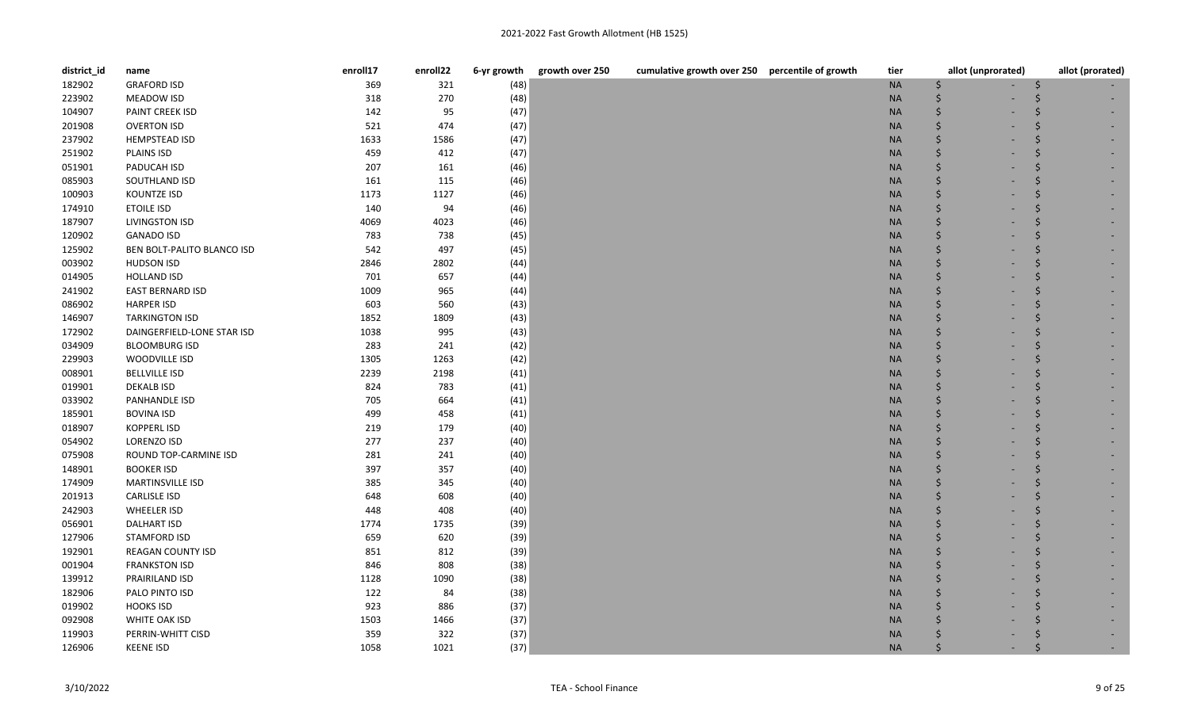| district_id | name                       | enroll17 | enroll22 | 6-yr growth | growth over 250 | cumulative growth over 250 percentile of growth | tier      | allot (unprorated) | allot (prorated) |
|-------------|----------------------------|----------|----------|-------------|-----------------|-------------------------------------------------|-----------|--------------------|------------------|
| 182902      | <b>GRAFORD ISD</b>         | 369      | 321      | (48)        |                 |                                                 | $\sf NA$  | \$                 |                  |
| 223902      | MEADOW ISD                 | 318      | 270      | (48)        |                 |                                                 | <b>NA</b> | Ś                  |                  |
| 104907      | PAINT CREEK ISD            | 142      | 95       | (47)        |                 |                                                 | <b>NA</b> | \$                 |                  |
| 201908      | <b>OVERTON ISD</b>         | 521      | 474      | (47)        |                 |                                                 | <b>NA</b> | \$                 |                  |
| 237902      | <b>HEMPSTEAD ISD</b>       | 1633     | 1586     | (47)        |                 |                                                 | $\sf NA$  | \$                 |                  |
| 251902      | PLAINS ISD                 | 459      | 412      | (47)        |                 |                                                 | <b>NA</b> | Ś                  |                  |
| 051901      | PADUCAH ISD                | 207      | 161      | (46)        |                 |                                                 | <b>NA</b> | \$                 |                  |
| 085903      | SOUTHLAND ISD              | 161      | 115      | (46)        |                 |                                                 | <b>NA</b> | \$                 |                  |
| 100903      | KOUNTZE ISD                | 1173     | 1127     | (46)        |                 |                                                 | <b>NA</b> | \$                 |                  |
| 174910      | <b>ETOILE ISD</b>          | 140      | 94       | (46)        |                 |                                                 | <b>NA</b> | Ś                  |                  |
| 187907      | <b>LIVINGSTON ISD</b>      | 4069     | 4023     | (46)        |                 |                                                 | <b>NA</b> | \$                 |                  |
| 120902      | <b>GANADO ISD</b>          | 783      | 738      | (45)        |                 |                                                 | <b>NA</b> | Ś                  |                  |
| 125902      | BEN BOLT-PALITO BLANCO ISD | 542      | 497      | (45)        |                 |                                                 | <b>NA</b> | Ś                  |                  |
| 003902      | <b>HUDSON ISD</b>          | 2846     | 2802     | (44)        |                 |                                                 | <b>NA</b> | Ś                  |                  |
| 014905      | <b>HOLLAND ISD</b>         | 701      | 657      | (44)        |                 |                                                 | <b>NA</b> | Ś                  |                  |
| 241902      | <b>EAST BERNARD ISD</b>    | 1009     | 965      | (44)        |                 |                                                 | <b>NA</b> | Ś                  |                  |
| 086902      | <b>HARPER ISD</b>          | 603      | 560      | (43)        |                 |                                                 | <b>NA</b> | \$                 |                  |
| 146907      | <b>TARKINGTON ISD</b>      | 1852     | 1809     | (43)        |                 |                                                 | <b>NA</b> | Ś                  |                  |
| 172902      | DAINGERFIELD-LONE STAR ISD | 1038     | 995      | (43)        |                 |                                                 | <b>NA</b> | \$                 |                  |
| 034909      | <b>BLOOMBURG ISD</b>       | 283      | 241      | (42)        |                 |                                                 | <b>NA</b> | Ś                  |                  |
| 229903      | WOODVILLE ISD              | 1305     | 1263     | (42)        |                 |                                                 | <b>NA</b> | Ś                  |                  |
| 008901      | <b>BELLVILLE ISD</b>       | 2239     | 2198     | (41)        |                 |                                                 | <b>NA</b> | Ŝ                  |                  |
| 019901      | <b>DEKALB ISD</b>          | 824      | 783      | (41)        |                 |                                                 | <b>NA</b> |                    |                  |
| 033902      | PANHANDLE ISD              | 705      | 664      | (41)        |                 |                                                 | <b>NA</b> | Ś                  |                  |
| 185901      | <b>BOVINA ISD</b>          | 499      | 458      | (41)        |                 |                                                 | <b>NA</b> | Ś                  |                  |
| 018907      | <b>KOPPERL ISD</b>         | 219      | 179      | (40)        |                 |                                                 | <b>NA</b> | Ś.                 |                  |
| 054902      | LORENZO ISD                | 277      | 237      | (40)        |                 |                                                 | <b>NA</b> | \$                 |                  |
| 075908      | ROUND TOP-CARMINE ISD      | 281      | 241      | (40)        |                 |                                                 | <b>NA</b> | Ś                  |                  |
| 148901      | <b>BOOKER ISD</b>          | 397      | 357      | (40)        |                 |                                                 | <b>NA</b> | \$                 |                  |
| 174909      | MARTINSVILLE ISD           | 385      | 345      | (40)        |                 |                                                 | <b>NA</b> | Ś                  |                  |
| 201913      | <b>CARLISLE ISD</b>        | 648      | 608      | (40)        |                 |                                                 | <b>NA</b> |                    |                  |
| 242903      | <b>WHEELER ISD</b>         | 448      | 408      | (40)        |                 |                                                 | <b>NA</b> | Ś                  |                  |
| 056901      | <b>DALHART ISD</b>         | 1774     | 1735     | (39)        |                 |                                                 | <b>NA</b> | Ś                  |                  |
| 127906      | <b>STAMFORD ISD</b>        | 659      | 620      | (39)        |                 |                                                 | <b>NA</b> | Ś                  |                  |
| 192901      | <b>REAGAN COUNTY ISD</b>   | 851      | 812      | (39)        |                 |                                                 | <b>NA</b> | Ś                  |                  |
| 001904      | <b>FRANKSTON ISD</b>       | 846      | 808      | (38)        |                 |                                                 | <b>NA</b> | Ś                  |                  |
| 139912      | PRAIRILAND ISD             | 1128     | 1090     | (38)        |                 |                                                 | <b>NA</b> | Ś                  |                  |
| 182906      | PALO PINTO ISD             | 122      | 84       | (38)        |                 |                                                 | <b>NA</b> |                    |                  |
| 019902      | <b>HOOKS ISD</b>           | 923      | 886      | (37)        |                 |                                                 | <b>NA</b> |                    |                  |
| 092908      | WHITE OAK ISD              | 1503     | 1466     | (37)        |                 |                                                 | <b>NA</b> | Ś                  |                  |
| 119903      | PERRIN-WHITT CISD          | 359      | 322      | (37)        |                 |                                                 | <b>NA</b> |                    |                  |
| 126906      | <b>KEENE ISD</b>           | 1058     | 1021     | (37)        |                 |                                                 | <b>NA</b> | Ś                  |                  |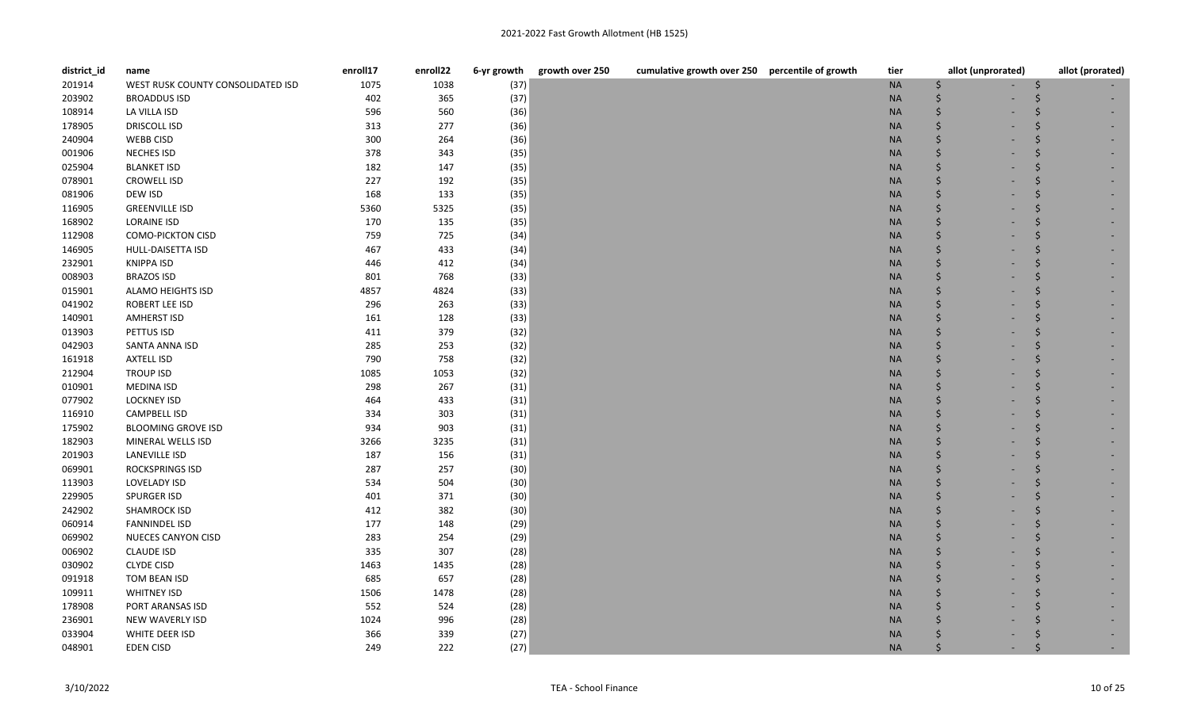| district_id | name                              | enroll17 | enroll22 | 6-yr growth | growth over 250 | cumulative growth over 250 percentile of growth | tier      | allot (unprorated) | allot (prorated) |
|-------------|-----------------------------------|----------|----------|-------------|-----------------|-------------------------------------------------|-----------|--------------------|------------------|
| 201914      | WEST RUSK COUNTY CONSOLIDATED ISD | 1075     | 1038     | (37)        |                 |                                                 | <b>NA</b> | Ś                  |                  |
| 203902      | <b>BROADDUS ISD</b>               | 402      | 365      | (37)        |                 |                                                 | <b>NA</b> |                    |                  |
| 108914      | LA VILLA ISD                      | 596      | 560      | (36)        |                 |                                                 | <b>NA</b> |                    |                  |
| 178905      | <b>DRISCOLL ISD</b>               | 313      | 277      | (36)        |                 |                                                 | <b>NA</b> |                    |                  |
| 240904      | <b>WEBB CISD</b>                  | 300      | 264      | (36)        |                 |                                                 | <b>NA</b> |                    |                  |
| 001906      | <b>NECHES ISD</b>                 | 378      | 343      | (35)        |                 |                                                 | <b>NA</b> |                    |                  |
| 025904      | <b>BLANKET ISD</b>                | 182      | 147      | (35)        |                 |                                                 | <b>NA</b> |                    |                  |
| 078901      | <b>CROWELL ISD</b>                | 227      | 192      | (35)        |                 |                                                 | <b>NA</b> |                    |                  |
| 081906      | DEW ISD                           | 168      | 133      | (35)        |                 |                                                 | <b>NA</b> |                    |                  |
| 116905      | <b>GREENVILLE ISD</b>             | 5360     | 5325     | (35)        |                 |                                                 | <b>NA</b> |                    |                  |
| 168902      | <b>LORAINE ISD</b>                | 170      | 135      | (35)        |                 |                                                 | <b>NA</b> |                    |                  |
| 112908      | <b>COMO-PICKTON CISD</b>          | 759      | 725      | (34)        |                 |                                                 | <b>NA</b> |                    |                  |
| 146905      | HULL-DAISETTA ISD                 | 467      | 433      | (34)        |                 |                                                 | <b>NA</b> |                    |                  |
| 232901      | <b>KNIPPA ISD</b>                 | 446      | 412      | (34)        |                 |                                                 | <b>NA</b> |                    |                  |
| 008903      | <b>BRAZOS ISD</b>                 | 801      | 768      | (33)        |                 |                                                 | <b>NA</b> |                    |                  |
| 015901      | <b>ALAMO HEIGHTS ISD</b>          | 4857     | 4824     | (33)        |                 |                                                 | <b>NA</b> |                    |                  |
| 041902      | ROBERT LEE ISD                    | 296      | 263      | (33)        |                 |                                                 | <b>NA</b> |                    |                  |
| 140901      | <b>AMHERST ISD</b>                | 161      | 128      | (33)        |                 |                                                 | <b>NA</b> |                    |                  |
| 013903      | PETTUS ISD                        | 411      | 379      | (32)        |                 |                                                 | <b>NA</b> |                    |                  |
| 042903      | SANTA ANNA ISD                    | 285      | 253      | (32)        |                 |                                                 | <b>NA</b> |                    |                  |
| 161918      | <b>AXTELL ISD</b>                 | 790      | 758      | (32)        |                 |                                                 | <b>NA</b> |                    |                  |
| 212904      | <b>TROUP ISD</b>                  | 1085     | 1053     | (32)        |                 |                                                 | <b>NA</b> |                    |                  |
| 010901      | <b>MEDINA ISD</b>                 | 298      | 267      | (31)        |                 |                                                 | <b>NA</b> |                    |                  |
| 077902      | <b>LOCKNEY ISD</b>                | 464      | 433      | (31)        |                 |                                                 | <b>NA</b> |                    |                  |
| 116910      | CAMPBELL ISD                      | 334      | 303      | (31)        |                 |                                                 | <b>NA</b> |                    |                  |
| 175902      | <b>BLOOMING GROVE ISD</b>         | 934      | 903      | (31)        |                 |                                                 | <b>NA</b> |                    |                  |
| 182903      | MINERAL WELLS ISD                 | 3266     | 3235     | (31)        |                 |                                                 | <b>NA</b> |                    |                  |
| 201903      | LANEVILLE ISD                     | 187      | 156      | (31)        |                 |                                                 | <b>NA</b> |                    |                  |
| 069901      | ROCKSPRINGS ISD                   | 287      | 257      | (30)        |                 |                                                 | <b>NA</b> |                    |                  |
| 113903      | LOVELADY ISD                      | 534      | 504      | (30)        |                 |                                                 | <b>NA</b> |                    |                  |
| 229905      | SPURGER ISD                       | 401      | 371      | (30)        |                 |                                                 | <b>NA</b> |                    |                  |
| 242902      | <b>SHAMROCK ISD</b>               | 412      | 382      | (30)        |                 |                                                 | <b>NA</b> |                    |                  |
| 060914      | <b>FANNINDEL ISD</b>              | 177      | 148      | (29)        |                 |                                                 | <b>NA</b> |                    |                  |
| 069902      | NUECES CANYON CISD                | 283      | 254      | (29)        |                 |                                                 | <b>NA</b> |                    |                  |
| 006902      | <b>CLAUDE ISD</b>                 | 335      | 307      | (28)        |                 |                                                 | <b>NA</b> |                    |                  |
| 030902      | <b>CLYDE CISD</b>                 | 1463     | 1435     | (28)        |                 |                                                 | <b>NA</b> |                    |                  |
| 091918      | TOM BEAN ISD                      | 685      | 657      | (28)        |                 |                                                 | <b>NA</b> |                    |                  |
| 109911      | <b>WHITNEY ISD</b>                | 1506     | 1478     | (28)        |                 |                                                 | <b>NA</b> |                    |                  |
| 178908      | PORT ARANSAS ISD                  | 552      | 524      | (28)        |                 |                                                 | <b>NA</b> |                    |                  |
| 236901      | NEW WAVERLY ISD                   | 1024     | 996      | (28)        |                 |                                                 | <b>NA</b> |                    |                  |
| 033904      | WHITE DEER ISD                    | 366      | 339      | (27)        |                 |                                                 | <b>NA</b> |                    |                  |
| 048901      | <b>EDEN CISD</b>                  | 249      | 222      | (27)        |                 |                                                 | <b>NA</b> |                    |                  |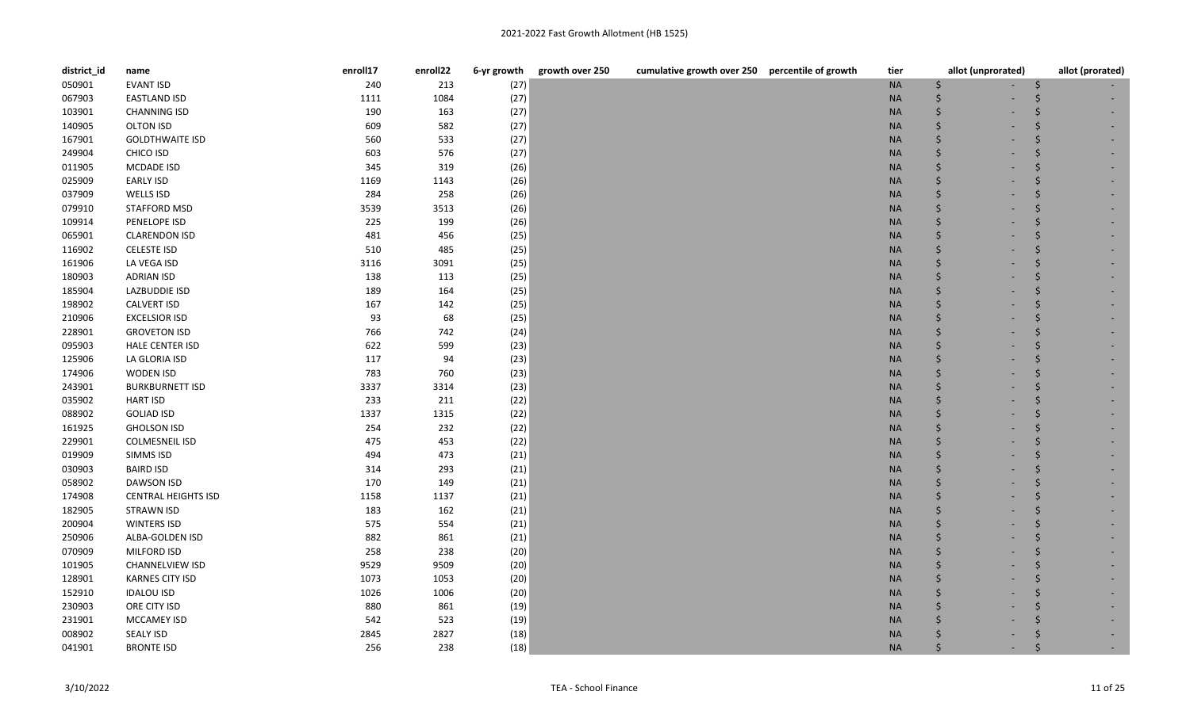| district_id | name                       | enroll17 | enroll22 | 6-yr growth | growth over 250<br>cumulative growth over 250 percentile of growth | tier      | allot (unprorated) | allot (prorated) |
|-------------|----------------------------|----------|----------|-------------|--------------------------------------------------------------------|-----------|--------------------|------------------|
| 050901      | <b>EVANT ISD</b>           | 240      | 213      | (27)        |                                                                    | <b>NA</b> | \$                 | S                |
| 067903      | <b>EASTLAND ISD</b>        | 1111     | 1084     | (27)        |                                                                    | <b>NA</b> | $\zeta$            |                  |
| 103901      | <b>CHANNING ISD</b>        | 190      | 163      | (27)        |                                                                    | <b>NA</b> | $\zeta$            |                  |
| 140905      | <b>OLTON ISD</b>           | 609      | 582      | (27)        |                                                                    | <b>NA</b> | $\zeta$            |                  |
| 167901      | <b>GOLDTHWAITE ISD</b>     | 560      | 533      | (27)        |                                                                    | <b>NA</b> | $\dot{\mathsf{S}}$ |                  |
| 249904      | CHICO ISD                  | 603      | 576      | (27)        |                                                                    | <b>NA</b> | Ś                  |                  |
| 011905      | MCDADE ISD                 | 345      | 319      | (26)        |                                                                    | <b>NA</b> | Ŝ.                 |                  |
| 025909      | <b>EARLY ISD</b>           | 1169     | 1143     | (26)        |                                                                    | <b>NA</b> | $\zeta$            |                  |
| 037909      | WELLS ISD                  | 284      | 258      | (26)        |                                                                    | <b>NA</b> | $\dot{\mathsf{S}}$ |                  |
| 079910      | STAFFORD MSD               | 3539     | 3513     | (26)        |                                                                    | <b>NA</b> | $\dot{\mathsf{S}}$ |                  |
| 109914      | PENELOPE ISD               | 225      | 199      | (26)        |                                                                    | <b>NA</b> | $\dot{\mathsf{S}}$ |                  |
| 065901      | <b>CLARENDON ISD</b>       | 481      | 456      | (25)        |                                                                    | <b>NA</b> | $\zeta$            |                  |
| 116902      | <b>CELESTE ISD</b>         | 510      | 485      | (25)        |                                                                    | <b>NA</b> | $\zeta$            |                  |
| 161906      | LA VEGA ISD                | 3116     | 3091     | (25)        |                                                                    | <b>NA</b> | Ś                  |                  |
| 180903      | <b>ADRIAN ISD</b>          | 138      | 113      | (25)        |                                                                    | <b>NA</b> | Ŝ.                 | Ŝ                |
| 185904      | LAZBUDDIE ISD              | 189      | 164      | (25)        |                                                                    | <b>NA</b> | $\dot{\mathsf{S}}$ |                  |
| 198902      | <b>CALVERT ISD</b>         | 167      | 142      | (25)        |                                                                    | <b>NA</b> | Ŝ.                 |                  |
| 210906      | <b>EXCELSIOR ISD</b>       | 93       | 68       | (25)        |                                                                    | <b>NA</b> | $\zeta$            |                  |
| 228901      | <b>GROVETON ISD</b>        | 766      | 742      | (24)        |                                                                    | <b>NA</b> | $\zeta$            |                  |
| 095903      | HALE CENTER ISD            | 622      | 599      | (23)        |                                                                    | <b>NA</b> | Ś                  |                  |
| 125906      | LA GLORIA ISD              | 117      | 94       | (23)        |                                                                    | <b>NA</b> | Ś                  |                  |
| 174906      | WODEN ISD                  | 783      | 760      | (23)        |                                                                    | <b>NA</b> | <sup>5</sup>       |                  |
| 243901      | <b>BURKBURNETT ISD</b>     | 3337     | 3314     | (23)        |                                                                    | <b>NA</b> | Ŝ.                 |                  |
| 035902      | <b>HART ISD</b>            | 233      | 211      | (22)        |                                                                    | <b>NA</b> | Ś                  |                  |
| 088902      | <b>GOLIAD ISD</b>          | 1337     | 1315     | (22)        |                                                                    | <b>NA</b> | Ś                  |                  |
| 161925      | <b>GHOLSON ISD</b>         | 254      | 232      | (22)        |                                                                    | <b>NA</b> | Ś                  |                  |
| 229901      | <b>COLMESNEIL ISD</b>      | 475      | 453      | (22)        |                                                                    | <b>NA</b> | $\zeta$            |                  |
| 019909      | SIMMS ISD                  | 494      | 473      | (21)        |                                                                    | <b>NA</b> | $\dot{\mathsf{S}}$ |                  |
| 030903      | <b>BAIRD ISD</b>           | 314      | 293      | (21)        |                                                                    | <b>NA</b> | Ś                  |                  |
| 058902      | DAWSON ISD                 | 170      | 149      | (21)        |                                                                    | <b>NA</b> | Ś                  |                  |
| 174908      | <b>CENTRAL HEIGHTS ISD</b> | 1158     | 1137     | (21)        |                                                                    | <b>NA</b> | $\zeta$            |                  |
| 182905      | <b>STRAWN ISD</b>          | 183      | 162      | (21)        |                                                                    | <b>NA</b> | Ś                  |                  |
| 200904      | <b>WINTERS ISD</b>         | 575      | 554      | (21)        |                                                                    | <b>NA</b> | Ś                  |                  |
| 250906      | ALBA-GOLDEN ISD            | 882      | 861      | (21)        |                                                                    | <b>NA</b> | Ŝ.                 |                  |
| 070909      | MILFORD ISD                | 258      | 238      | (20)        |                                                                    | <b>NA</b> | $\zeta$            |                  |
| 101905      | CHANNELVIEW ISD            | 9529     | 9509     | (20)        |                                                                    | <b>NA</b> | $\dot{\mathsf{S}}$ |                  |
| 128901      | <b>KARNES CITY ISD</b>     | 1073     | 1053     | (20)        |                                                                    | <b>NA</b> | $\dot{\mathsf{S}}$ |                  |
| 152910      | <b>IDALOU ISD</b>          | 1026     | 1006     | (20)        |                                                                    | <b>NA</b> | $\dot{\mathsf{S}}$ |                  |
| 230903      | ORE CITY ISD               | 880      | 861      | (19)        |                                                                    | <b>NA</b> | $\zeta$            |                  |
| 231901      | MCCAMEY ISD                | 542      | 523      | (19)        |                                                                    | <b>NA</b> | Ŝ.                 |                  |
| 008902      | <b>SEALY ISD</b>           | 2845     | 2827     | (18)        |                                                                    | <b>NA</b> |                    |                  |
| 041901      | <b>BRONTE ISD</b>          | 256      | 238      | (18)        |                                                                    | <b>NA</b> | Ś                  |                  |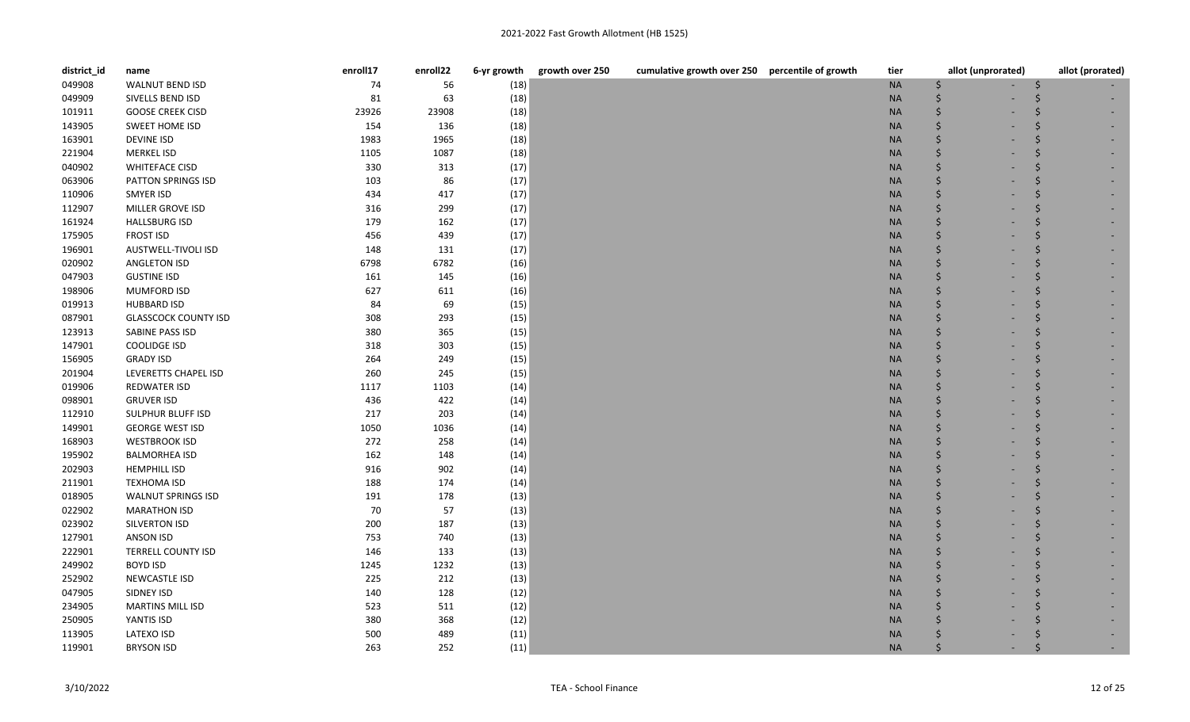| district_id | name                        | enroll17 | enroll22 | 6-yr growth | growth over 250<br>cumulative growth over 250 percentile of growth | tier      | allot (unprorated) | allot (prorated) |
|-------------|-----------------------------|----------|----------|-------------|--------------------------------------------------------------------|-----------|--------------------|------------------|
| 049908      | WALNUT BEND ISD             | 74       | 56       | (18)        |                                                                    | <b>NA</b> | \$                 |                  |
| 049909      | SIVELLS BEND ISD            | 81       | 63       | (18)        |                                                                    | <b>NA</b> | Ś                  |                  |
| 101911      | <b>GOOSE CREEK CISD</b>     | 23926    | 23908    | (18)        |                                                                    | <b>NA</b> | \$                 |                  |
| 143905      | <b>SWEET HOME ISD</b>       | 154      | 136      | (18)        |                                                                    | <b>NA</b> | \$                 |                  |
| 163901      | <b>DEVINE ISD</b>           | 1983     | 1965     | (18)        |                                                                    | <b>NA</b> | \$                 |                  |
| 221904      | <b>MERKEL ISD</b>           | 1105     | 1087     | (18)        |                                                                    | <b>NA</b> | Ś                  |                  |
| 040902      | <b>WHITEFACE CISD</b>       | 330      | 313      | (17)        |                                                                    | <b>NA</b> | Ś                  |                  |
| 063906      | PATTON SPRINGS ISD          | 103      | 86       | (17)        |                                                                    | <b>NA</b> | Ś                  |                  |
| 110906      | <b>SMYER ISD</b>            | 434      | 417      | (17)        |                                                                    | <b>NA</b> | Ś                  |                  |
| 112907      | MILLER GROVE ISD            | 316      | 299      | (17)        |                                                                    | <b>NA</b> | Ś                  |                  |
| 161924      | <b>HALLSBURG ISD</b>        | 179      | 162      | (17)        |                                                                    | <b>NA</b> | Ś                  |                  |
| 175905      | <b>FROST ISD</b>            | 456      | 439      | (17)        |                                                                    | <b>NA</b> | \$                 |                  |
| 196901      | AUSTWELL-TIVOLI ISD         | 148      | 131      | (17)        |                                                                    | <b>NA</b> | \$                 |                  |
| 020902      | <b>ANGLETON ISD</b>         | 6798     | 6782     | (16)        |                                                                    | <b>NA</b> | Ś                  |                  |
| 047903      | <b>GUSTINE ISD</b>          | 161      | 145      | (16)        |                                                                    | <b>NA</b> |                    |                  |
| 198906      | <b>MUMFORD ISD</b>          | 627      | 611      | (16)        |                                                                    | <b>NA</b> | Ś                  |                  |
| 019913      | <b>HUBBARD ISD</b>          | 84       | 69       | (15)        |                                                                    | <b>NA</b> | Ś                  |                  |
| 087901      | <b>GLASSCOCK COUNTY ISD</b> | 308      | 293      | (15)        |                                                                    | <b>NA</b> | Ś                  |                  |
| 123913      | SABINE PASS ISD             | 380      | 365      | (15)        |                                                                    | <b>NA</b> | Ś                  |                  |
| 147901      | COOLIDGE ISD                | 318      | 303      | (15)        |                                                                    | <b>NA</b> | Ś                  |                  |
| 156905      | <b>GRADY ISD</b>            | 264      | 249      | (15)        |                                                                    | <b>NA</b> | \$                 |                  |
| 201904      | LEVERETTS CHAPEL ISD        | 260      | 245      | (15)        |                                                                    | <b>NA</b> | Ś                  |                  |
| 019906      | <b>REDWATER ISD</b>         | 1117     | 1103     | (14)        |                                                                    | <b>NA</b> |                    |                  |
| 098901      | <b>GRUVER ISD</b>           | 436      | 422      | (14)        |                                                                    | <b>NA</b> | Ś                  |                  |
| 112910      | <b>SULPHUR BLUFF ISD</b>    | 217      | 203      | (14)        |                                                                    | <b>NA</b> | Ś                  |                  |
| 149901      | <b>GEORGE WEST ISD</b>      | 1050     | 1036     | (14)        |                                                                    | <b>NA</b> | Ś                  |                  |
| 168903      | <b>WESTBROOK ISD</b>        | 272      | 258      | (14)        |                                                                    | <b>NA</b> | Ś                  |                  |
| 195902      | <b>BALMORHEA ISD</b>        | 162      | 148      | (14)        |                                                                    | <b>NA</b> | Ś                  |                  |
| 202903      | <b>HEMPHILL ISD</b>         | 916      | 902      | (14)        |                                                                    | <b>NA</b> | Ś                  |                  |
| 211901      | <b>TEXHOMA ISD</b>          | 188      | 174      | (14)        |                                                                    | <b>NA</b> | Ś                  |                  |
| 018905      | <b>WALNUT SPRINGS ISD</b>   | 191      | 178      | (13)        |                                                                    | $\sf NA$  |                    |                  |
| 022902      | <b>MARATHON ISD</b>         | 70       | 57       | (13)        |                                                                    | <b>NA</b> | Ś                  |                  |
| 023902      | SILVERTON ISD               | 200      | 187      | (13)        |                                                                    | <b>NA</b> | Ś                  |                  |
| 127901      | <b>ANSON ISD</b>            | 753      | 740      | (13)        |                                                                    | <b>NA</b> | Ś                  |                  |
| 222901      | <b>TERRELL COUNTY ISD</b>   | 146      | 133      | (13)        |                                                                    | <b>NA</b> |                    |                  |
| 249902      | <b>BOYD ISD</b>             | 1245     | 1232     | (13)        |                                                                    | <b>NA</b> | Ś                  |                  |
| 252902      | <b>NEWCASTLE ISD</b>        | 225      | 212      | (13)        |                                                                    | <b>NA</b> |                    |                  |
| 047905      | SIDNEY ISD                  | 140      | 128      | (12)        |                                                                    | <b>NA</b> |                    |                  |
| 234905      | <b>MARTINS MILL ISD</b>     | 523      | 511      | (12)        |                                                                    | <b>NA</b> |                    |                  |
| 250905      | YANTIS ISD                  | 380      | 368      | (12)        |                                                                    | <b>NA</b> |                    |                  |
| 113905      | LATEXO ISD                  | 500      | 489      | (11)        |                                                                    | <b>NA</b> |                    |                  |
| 119901      | <b>BRYSON ISD</b>           | 263      | 252      | (11)        |                                                                    | <b>NA</b> |                    |                  |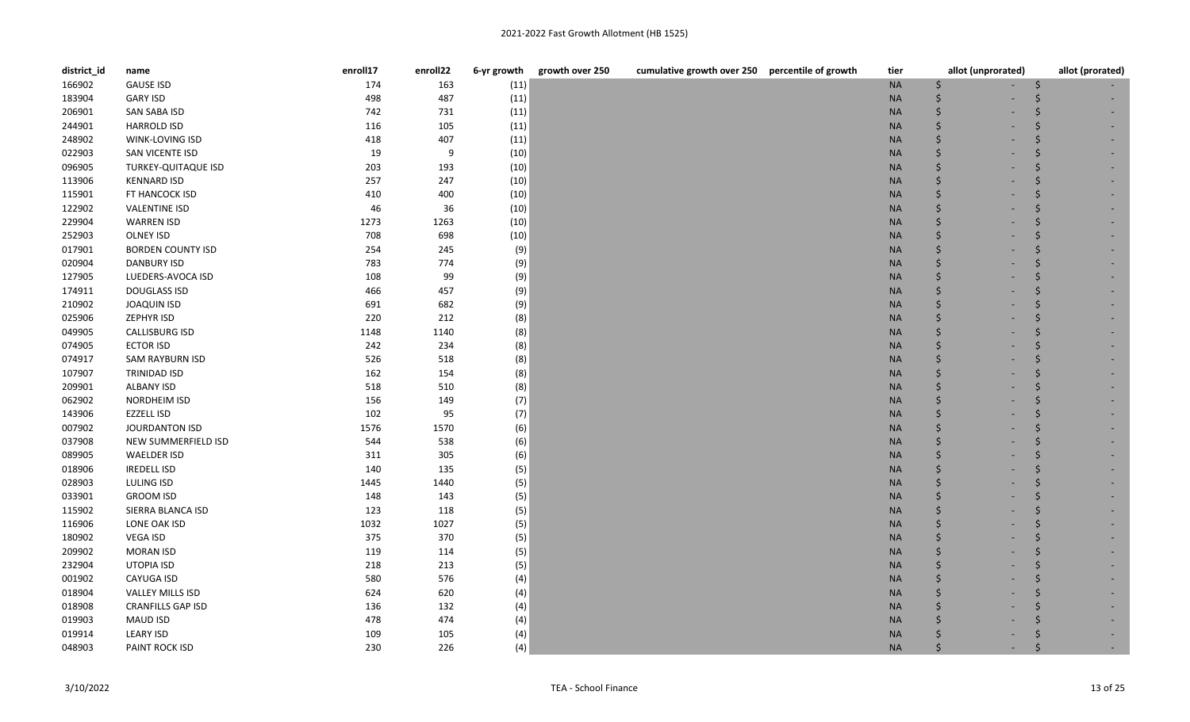| district_id | name                     | enroll17 | enroll22 | 6-yr growth | cumulative growth over 250 percentile of growth<br>growth over 250 | tier      | allot (unprorated) | allot (prorated) |
|-------------|--------------------------|----------|----------|-------------|--------------------------------------------------------------------|-----------|--------------------|------------------|
| 166902      | <b>GAUSE ISD</b>         | 174      | 163      | (11)        |                                                                    | $\sf NA$  | \$                 |                  |
| 183904      | <b>GARY ISD</b>          | 498      | 487      | (11)        |                                                                    | <b>NA</b> | Ś                  |                  |
| 206901      | SAN SABA ISD             | 742      | 731      | (11)        |                                                                    | $\sf NA$  | \$                 |                  |
| 244901      | <b>HARROLD ISD</b>       | 116      | 105      | (11)        |                                                                    | <b>NA</b> | \$                 |                  |
| 248902      | <b>WINK-LOVING ISD</b>   | 418      | 407      | (11)        |                                                                    | <b>NA</b> | Ś                  |                  |
| 022903      | SAN VICENTE ISD          | 19       | 9        | (10)        |                                                                    | <b>NA</b> | Ś                  |                  |
| 096905      | TURKEY-QUITAQUE ISD      | 203      | 193      | (10)        |                                                                    | <b>NA</b> |                    |                  |
| 113906      | <b>KENNARD ISD</b>       | 257      | 247      | (10)        |                                                                    | <b>NA</b> | \$                 |                  |
| 115901      | FT HANCOCK ISD           | 410      | 400      | (10)        |                                                                    | <b>NA</b> | \$                 |                  |
| 122902      | <b>VALENTINE ISD</b>     | 46       | 36       | (10)        |                                                                    | <b>NA</b> | Ś                  |                  |
| 229904      | <b>WARREN ISD</b>        | 1273     | 1263     | (10)        |                                                                    | <b>NA</b> | \$                 |                  |
| 252903      | OLNEY ISD                | 708      | 698      | (10)        |                                                                    | <b>NA</b> | \$                 |                  |
| 017901      | <b>BORDEN COUNTY ISD</b> | 254      | 245      | (9)         |                                                                    | $\sf NA$  | Ś                  |                  |
| 020904      | <b>DANBURY ISD</b>       | 783      | 774      | (9)         |                                                                    | <b>NA</b> |                    |                  |
| 127905      | LUEDERS-AVOCA ISD        | 108      | 99       | (9)         |                                                                    | $\sf NA$  |                    |                  |
| 174911      | <b>DOUGLASS ISD</b>      | 466      | 457      | (9)         |                                                                    | <b>NA</b> | Ś                  |                  |
| 210902      | <b>JOAQUIN ISD</b>       | 691      | 682      | (9)         |                                                                    | <b>NA</b> | Ś                  |                  |
| 025906      | ZEPHYR ISD               | 220      | 212      | (8)         |                                                                    | <b>NA</b> | Ś                  |                  |
| 049905      | <b>CALLISBURG ISD</b>    | 1148     | 1140     | (8)         |                                                                    | <b>NA</b> |                    |                  |
| 074905      | <b>ECTOR ISD</b>         | 242      | 234      | (8)         |                                                                    | <b>NA</b> | Ś                  |                  |
| 074917      | <b>SAM RAYBURN ISD</b>   | 526      | 518      | (8)         |                                                                    | <b>NA</b> | Ś                  |                  |
| 107907      | TRINIDAD ISD             | 162      | 154      | (8)         |                                                                    | <b>NA</b> |                    |                  |
| 209901      | <b>ALBANY ISD</b>        | 518      | 510      | (8)         |                                                                    | $\sf NA$  |                    |                  |
| 062902      | <b>NORDHEIM ISD</b>      | 156      | 149      | (7)         |                                                                    | <b>NA</b> | Ś                  |                  |
| 143906      | <b>EZZELL ISD</b>        | 102      | 95       | (7)         |                                                                    | $\sf NA$  | Ś                  |                  |
| 007902      | <b>JOURDANTON ISD</b>    | 1576     | 1570     | (6)         |                                                                    | <b>NA</b> | Ś                  |                  |
| 037908      | NEW SUMMERFIELD ISD      | 544      | 538      | (6)         |                                                                    | <b>NA</b> | Ś                  |                  |
| 089905      | <b>WAELDER ISD</b>       | 311      | 305      | (6)         |                                                                    | <b>NA</b> | Ś                  |                  |
| 018906      | <b>IREDELL ISD</b>       | 140      | 135      | (5)         |                                                                    | <b>NA</b> | Ś                  |                  |
| 028903      | LULING ISD               | 1445     | 1440     | (5)         |                                                                    | <b>NA</b> |                    |                  |
| 033901      | <b>GROOM ISD</b>         | 148      | 143      | (5)         |                                                                    | <b>NA</b> |                    |                  |
| 115902      | SIERRA BLANCA ISD        | 123      | 118      | (5)         |                                                                    | $\sf NA$  | Ś                  |                  |
| 116906      | LONE OAK ISD             | 1032     | 1027     | (5)         |                                                                    | <b>NA</b> | Ś                  |                  |
| 180902      | <b>VEGA ISD</b>          | 375      | 370      | (5)         |                                                                    | <b>NA</b> | Ś                  |                  |
| 209902      | <b>MORAN ISD</b>         | 119      | 114      | (5)         |                                                                    | <b>NA</b> | Ś                  |                  |
| 232904      | UTOPIA ISD               | 218      | 213      | (5)         |                                                                    | <b>NA</b> | Ś                  |                  |
| 001902      | CAYUGA ISD               | 580      | 576      | (4)         |                                                                    | <b>NA</b> | Ś                  |                  |
| 018904      | <b>VALLEY MILLS ISD</b>  | 624      | 620      | (4)         |                                                                    | <b>NA</b> |                    |                  |
| 018908      | <b>CRANFILLS GAP ISD</b> | 136      | 132      | (4)         |                                                                    | <b>NA</b> |                    |                  |
| 019903      | <b>MAUD ISD</b>          | 478      | 474      | (4)         |                                                                    | <b>NA</b> |                    |                  |
| 019914      | <b>LEARY ISD</b>         | 109      | 105      | (4)         |                                                                    | <b>NA</b> |                    |                  |
| 048903      | PAINT ROCK ISD           | 230      | 226      | (4)         |                                                                    | <b>NA</b> | Ś                  |                  |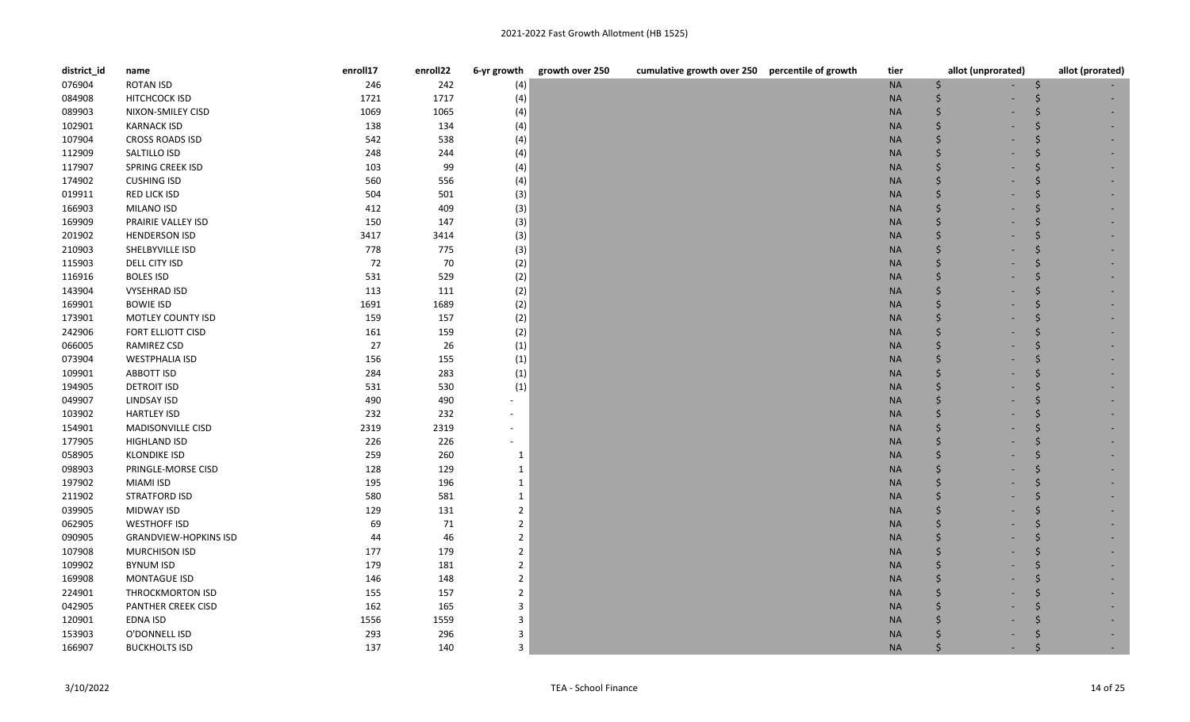| district_id | name                         | enroll17 | enroll22 | 6-yr growth              | growth over 250<br>cumulative growth over 250 percentile of growth | tier      | allot (unprorated) | allot (prorated) |
|-------------|------------------------------|----------|----------|--------------------------|--------------------------------------------------------------------|-----------|--------------------|------------------|
| 076904      | <b>ROTAN ISD</b>             | 246      | 242      | (4)                      |                                                                    | <b>NA</b> | .s                 |                  |
| 084908      | HITCHCOCK ISD                | 1721     | 1717     | (4)                      |                                                                    | <b>NA</b> | Ŝ.                 |                  |
| 089903      | NIXON-SMILEY CISD            | 1069     | 1065     | (4)                      |                                                                    | <b>NA</b> | $\zeta$            |                  |
| 102901      | <b>KARNACK ISD</b>           | 138      | 134      | (4)                      |                                                                    | <b>NA</b> | Ś                  |                  |
| 107904      | <b>CROSS ROADS ISD</b>       | 542      | 538      | (4)                      |                                                                    | <b>NA</b> | Ś                  |                  |
| 112909      | SALTILLO ISD                 | 248      | 244      | (4)                      |                                                                    | <b>NA</b> |                    |                  |
| 117907      | <b>SPRING CREEK ISD</b>      | 103      | 99       | (4)                      |                                                                    | <b>NA</b> | Ŝ.                 |                  |
| 174902      | <b>CUSHING ISD</b>           | 560      | 556      | (4)                      |                                                                    | <b>NA</b> | Ś                  |                  |
| 019911      | RED LICK ISD                 | 504      | 501      | (3)                      |                                                                    | <b>NA</b> | Ś                  |                  |
| 166903      | MILANO ISD                   | 412      | 409      | (3)                      |                                                                    | <b>NA</b> | Ś                  |                  |
| 169909      | PRAIRIE VALLEY ISD           | 150      | 147      | (3)                      |                                                                    | <b>NA</b> | Ŝ.                 |                  |
| 201902      | <b>HENDERSON ISD</b>         | 3417     | 3414     | (3)                      |                                                                    | <b>NA</b> | $\zeta$            |                  |
| 210903      | SHELBYVILLE ISD              | 778      | 775      | (3)                      |                                                                    | <b>NA</b> | $\dot{\mathsf{S}}$ |                  |
| 115903      | DELL CITY ISD                | 72       | 70       | (2)                      |                                                                    | <b>NA</b> | Ŝ.                 |                  |
| 116916      | <b>BOLES ISD</b>             | 531      | 529      | (2)                      |                                                                    | <b>NA</b> | .s                 |                  |
| 143904      | <b>VYSEHRAD ISD</b>          | 113      | 111      | (2)                      |                                                                    | <b>NA</b> | Ŝ.                 |                  |
| 169901      | <b>BOWIE ISD</b>             | 1691     | 1689     | (2)                      |                                                                    | <b>NA</b> | Ŝ.                 |                  |
| 173901      | MOTLEY COUNTY ISD            | 159      | 157      | (2)                      |                                                                    | <b>NA</b> | Ś                  |                  |
| 242906      | FORT ELLIOTT CISD            | 161      | 159      | (2)                      |                                                                    | <b>NA</b> | Ŝ.                 |                  |
| 066005      | RAMIREZ CSD                  | 27       | 26       | (1)                      |                                                                    | <b>NA</b> | Ś                  |                  |
| 073904      | <b>WESTPHALIA ISD</b>        | 156      | 155      | (1)                      |                                                                    | <b>NA</b> | Ś                  |                  |
| 109901      | ABBOTT ISD                   | 284      | 283      | (1)                      |                                                                    | <b>NA</b> | <sup>5</sup>       |                  |
| 194905      | <b>DETROIT ISD</b>           | 531      | 530      | (1)                      |                                                                    | <b>NA</b> | Ŝ.                 |                  |
| 049907      | LINDSAY ISD                  | 490      | 490      | $\overline{\phantom{a}}$ |                                                                    | <b>NA</b> | Ś                  |                  |
| 103902      | <b>HARTLEY ISD</b>           | 232      | 232      | $\blacksquare$           |                                                                    | <b>NA</b> | Ś                  |                  |
| 154901      | MADISONVILLE CISD            | 2319     | 2319     | $\overline{\phantom{a}}$ |                                                                    | <b>NA</b> | Ś                  |                  |
| 177905      | <b>HIGHLAND ISD</b>          | 226      | 226      | $\overline{\phantom{a}}$ |                                                                    | <b>NA</b> | Ŝ.                 |                  |
| 058905      | <b>KLONDIKE ISD</b>          | 259      | 260      | 1                        |                                                                    | <b>NA</b> | Ś                  |                  |
| 098903      | PRINGLE-MORSE CISD           | 128      | 129      | 1                        |                                                                    | <b>NA</b> | Ŝ.                 |                  |
| 197902      | <b>MIAMI ISD</b>             | 195      | 196      | $\mathbf{1}$             |                                                                    | <b>NA</b> |                    |                  |
| 211902      | <b>STRATFORD ISD</b>         | 580      | 581      | 1                        |                                                                    | <b>NA</b> | .s                 |                  |
| 039905      | <b>MIDWAY ISD</b>            | 129      | 131      | $\overline{2}$           |                                                                    | <b>NA</b> | Ś                  |                  |
| 062905      | <b>WESTHOFF ISD</b>          | 69       | 71       | $\overline{2}$           |                                                                    | <b>NA</b> | Ś                  |                  |
| 090905      | <b>GRANDVIEW-HOPKINS ISD</b> | 44       | 46       | $\overline{2}$           |                                                                    | <b>NA</b> | $\zeta$            |                  |
| 107908      | <b>MURCHISON ISD</b>         | 177      | 179      | $\overline{2}$           |                                                                    | <b>NA</b> | Ŝ.                 |                  |
| 109902      | <b>BYNUM ISD</b>             | 179      | 181      | $\overline{2}$           |                                                                    | <b>NA</b> | $\zeta$            |                  |
| 169908      | MONTAGUE ISD                 | 146      | 148      | $\overline{2}$           |                                                                    | <b>NA</b> |                    |                  |
| 224901      | THROCKMORTON ISD             | 155      | 157      | $\overline{2}$           |                                                                    | <b>NA</b> |                    |                  |
| 042905      | PANTHER CREEK CISD           | 162      | 165      | 3                        |                                                                    | <b>NA</b> |                    |                  |
| 120901      | EDNA ISD                     | 1556     | 1559     | 3                        |                                                                    | <b>NA</b> |                    |                  |
| 153903      | O'DONNELL ISD                | 293      | 296      | 3                        |                                                                    | <b>NA</b> |                    |                  |
| 166907      | <b>BUCKHOLTS ISD</b>         | 137      | 140      | 3                        |                                                                    | <b>NA</b> |                    |                  |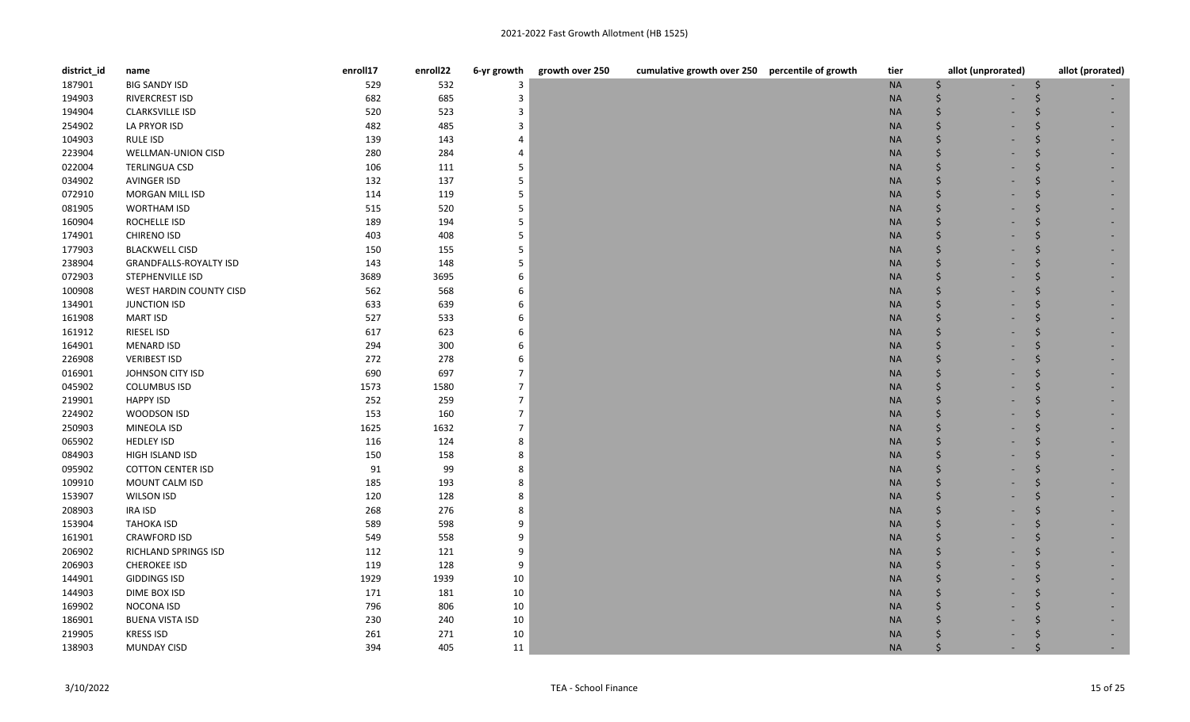| district_id | name                          | enroll17 | enroll22 | 6-yr growth    | growth over 250<br>cumulative growth over 250 percentile of growth | tier      | allot (unprorated) | allot (prorated) |
|-------------|-------------------------------|----------|----------|----------------|--------------------------------------------------------------------|-----------|--------------------|------------------|
| 187901      | <b>BIG SANDY ISD</b>          | 529      | 532      | 3              |                                                                    | <b>NA</b> | \$                 | S                |
| 194903      | <b>RIVERCREST ISD</b>         | 682      | 685      | 3              |                                                                    | <b>NA</b> | Ŝ.                 |                  |
| 194904      | <b>CLARKSVILLE ISD</b>        | 520      | 523      | 3              |                                                                    | <b>NA</b> | Ŝ.                 |                  |
| 254902      | LA PRYOR ISD                  | 482      | 485      | 3              |                                                                    | <b>NA</b> | $\zeta$            |                  |
| 104903      | <b>RULE ISD</b>               | 139      | 143      | 4              |                                                                    | <b>NA</b> | Ŝ.                 |                  |
| 223904      | <b>WELLMAN-UNION CISD</b>     | 280      | 284      | 4              |                                                                    | <b>NA</b> | Ś                  |                  |
| 022004      | <b>TERLINGUA CSD</b>          | 106      | 111      | 5              |                                                                    | <b>NA</b> | Ŝ.                 |                  |
| 034902      | <b>AVINGER ISD</b>            | 132      | 137      | 5              |                                                                    | <b>NA</b> | $\dot{\mathsf{S}}$ |                  |
| 072910      | MORGAN MILL ISD               | 114      | 119      | 5              |                                                                    | <b>NA</b> | $\dot{\mathsf{S}}$ |                  |
| 081905      | <b>WORTHAM ISD</b>            | 515      | 520      | 5              |                                                                    | <b>NA</b> | Ŝ.                 |                  |
| 160904      | ROCHELLE ISD                  | 189      | 194      | 5              |                                                                    | <b>NA</b> | Ŝ.                 |                  |
| 174901      | <b>CHIRENO ISD</b>            | 403      | 408      | 5              |                                                                    | <b>NA</b> | $\zeta$            |                  |
| 177903      | <b>BLACKWELL CISD</b>         | 150      | 155      | 5              |                                                                    | <b>NA</b> | Ŝ.                 |                  |
| 238904      | <b>GRANDFALLS-ROYALTY ISD</b> | 143      | 148      | 5              |                                                                    | <b>NA</b> | Ś                  |                  |
| 072903      | STEPHENVILLE ISD              | 3689     | 3695     | 6              |                                                                    | <b>NA</b> | Ŝ.                 |                  |
| 100908      | WEST HARDIN COUNTY CISD       | 562      | 568      | 6              |                                                                    | <b>NA</b> | Ś                  |                  |
| 134901      | <b>JUNCTION ISD</b>           | 633      | 639      | 6              |                                                                    | <b>NA</b> | Ŝ.                 |                  |
| 161908      | <b>MART ISD</b>               | 527      | 533      | 6              |                                                                    | <b>NA</b> | <sup>5</sup>       |                  |
| 161912      | RIESEL ISD                    | 617      | 623      | 6              |                                                                    | <b>NA</b> | Ŝ.                 |                  |
| 164901      | <b>MENARD ISD</b>             | 294      | 300      | 6              |                                                                    | <b>NA</b> | Ś                  |                  |
| 226908      | <b>VERIBEST ISD</b>           | 272      | 278      | 6              |                                                                    | <b>NA</b> | <sup>5</sup>       |                  |
| 016901      | JOHNSON CITY ISD              | 690      | 697      | $\overline{7}$ |                                                                    | <b>NA</b> |                    |                  |
| 045902      | <b>COLUMBUS ISD</b>           | 1573     | 1580     | $\overline{7}$ |                                                                    | <b>NA</b> | Ŝ.                 |                  |
| 219901      | <b>HAPPY ISD</b>              | 252      | 259      | $\overline{7}$ |                                                                    | <b>NA</b> | Ś                  |                  |
| 224902      | WOODSON ISD                   | 153      | 160      | $\overline{7}$ |                                                                    | <b>NA</b> | Ś                  |                  |
| 250903      | MINEOLA ISD                   | 1625     | 1632     | $\overline{7}$ |                                                                    | <b>NA</b> | $\zeta$            |                  |
| 065902      | <b>HEDLEY ISD</b>             | 116      | 124      | 8              |                                                                    | <b>NA</b> | .s                 |                  |
| 084903      | HIGH ISLAND ISD               | 150      | 158      | 8              |                                                                    | <b>NA</b> | Ś                  |                  |
| 095902      | <b>COTTON CENTER ISD</b>      | 91       | 99       | 8              |                                                                    | <b>NA</b> | <sup>5</sup>       |                  |
| 109910      | MOUNT CALM ISD                | 185      | 193      | 8              |                                                                    | <b>NA</b> | $\zeta$            |                  |
| 153907      | <b>WILSON ISD</b>             | 120      | 128      | 8              |                                                                    | <b>NA</b> | Ś                  |                  |
| 208903      | <b>IRA ISD</b>                | 268      | 276      | 8              |                                                                    | <b>NA</b> | Ś                  |                  |
| 153904      | <b>TAHOKA ISD</b>             | 589      | 598      | 9              |                                                                    | <b>NA</b> | Ś                  |                  |
| 161901      | <b>CRAWFORD ISD</b>           | 549      | 558      | 9              |                                                                    | <b>NA</b> | $\zeta$            |                  |
| 206902      | RICHLAND SPRINGS ISD          | 112      | 121      | 9              |                                                                    | <b>NA</b> | . Ś                |                  |
| 206903      | <b>CHEROKEE ISD</b>           | 119      | 128      | 9              |                                                                    | <b>NA</b> | $\zeta$            |                  |
| 144901      | <b>GIDDINGS ISD</b>           | 1929     | 1939     | 10             |                                                                    | <b>NA</b> |                    |                  |
| 144903      | DIME BOX ISD                  | 171      | 181      | 10             |                                                                    | <b>NA</b> |                    |                  |
| 169902      | NOCONA ISD                    | 796      | 806      | 10             |                                                                    | <b>NA</b> | Ś                  |                  |
| 186901      | <b>BUENA VISTA ISD</b>        | 230      | 240      | 10             |                                                                    | <b>NA</b> |                    |                  |
| 219905      | <b>KRESS ISD</b>              | 261      | 271      | 10             |                                                                    | <b>NA</b> |                    |                  |
| 138903      | <b>MUNDAY CISD</b>            | 394      | 405      | 11             |                                                                    | <b>NA</b> |                    |                  |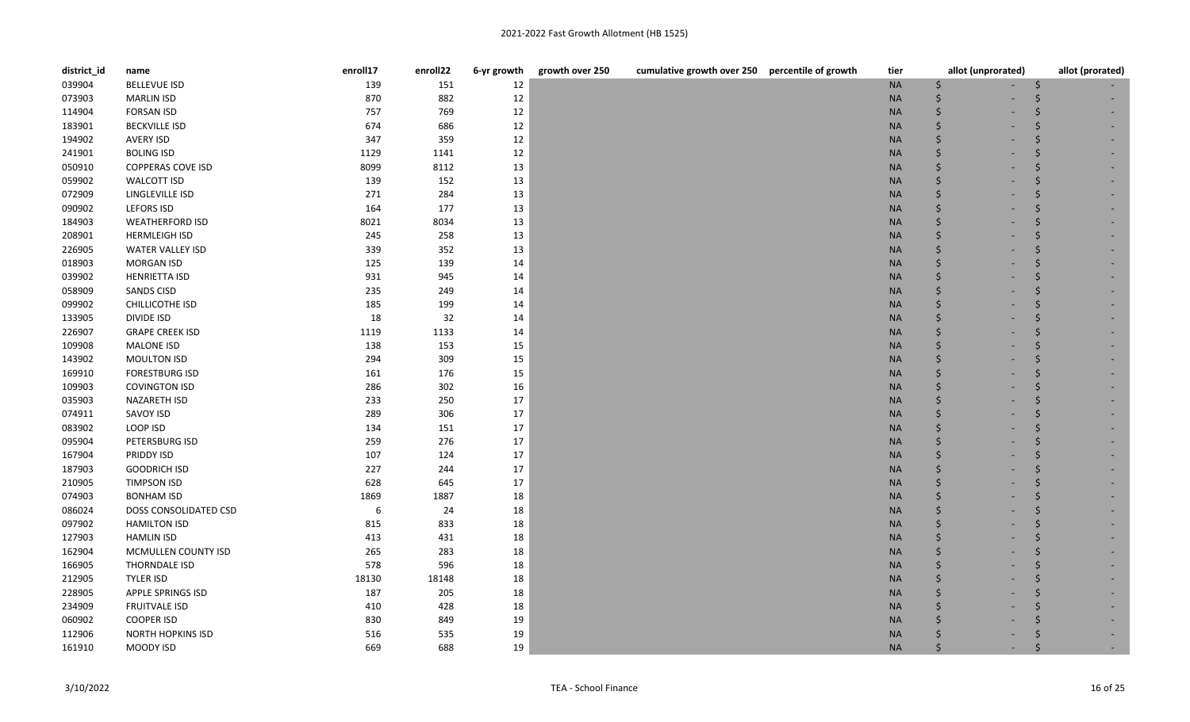| district_id | name                     | enroll17 | enroll22 | 6-yr growth | growth over 250<br>cumulative growth over 250 percentile of growth | tier      | allot (unprorated) | allot (prorated) |
|-------------|--------------------------|----------|----------|-------------|--------------------------------------------------------------------|-----------|--------------------|------------------|
| 039904      | <b>BELLEVUE ISD</b>      | 139      | 151      | 12          |                                                                    | <b>NA</b> | \$                 | S                |
| 073903      | <b>MARLIN ISD</b>        | 870      | 882      | 12          |                                                                    | <b>NA</b> | Ŝ.                 |                  |
| 114904      | <b>FORSAN ISD</b>        | 757      | 769      | 12          |                                                                    | <b>NA</b> | Ŝ.                 |                  |
| 183901      | <b>BECKVILLE ISD</b>     | 674      | 686      | 12          |                                                                    | <b>NA</b> | $\zeta$            |                  |
| 194902      | <b>AVERY ISD</b>         | 347      | 359      | 12          |                                                                    | <b>NA</b> | Ŝ.                 |                  |
| 241901      | <b>BOLING ISD</b>        | 1129     | 1141     | 12          |                                                                    | <b>NA</b> | Ś                  |                  |
| 050910      | <b>COPPERAS COVE ISD</b> | 8099     | 8112     | 13          |                                                                    | <b>NA</b> | Ŝ.                 |                  |
| 059902      | <b>WALCOTT ISD</b>       | 139      | 152      | 13          |                                                                    | <b>NA</b> | $\zeta$            |                  |
| 072909      | LINGLEVILLE ISD          | 271      | 284      | 13          |                                                                    | <b>NA</b> | $\dot{\mathsf{S}}$ |                  |
| 090902      | <b>LEFORS ISD</b>        | 164      | 177      | 13          |                                                                    | <b>NA</b> | Ŝ.                 |                  |
| 184903      | <b>WEATHERFORD ISD</b>   | 8021     | 8034     | 13          |                                                                    | <b>NA</b> | Ŝ.                 |                  |
| 208901      | <b>HERMLEIGH ISD</b>     | 245      | 258      | 13          |                                                                    | <b>NA</b> | $\zeta$            |                  |
| 226905      | <b>WATER VALLEY ISD</b>  | 339      | 352      | 13          |                                                                    | <b>NA</b> | Ŝ.                 |                  |
| 018903      | <b>MORGAN ISD</b>        | 125      | 139      | 14          |                                                                    | <b>NA</b> | Ś                  |                  |
| 039902      | <b>HENRIETTA ISD</b>     | 931      | 945      | 14          |                                                                    | <b>NA</b> | Ŝ.                 | Ŝ.               |
| 058909      | <b>SANDS CISD</b>        | 235      | 249      | 14          |                                                                    | <b>NA</b> | Ś                  |                  |
| 099902      | CHILLICOTHE ISD          | 185      | 199      | 14          |                                                                    | <b>NA</b> | Ŝ.                 |                  |
| 133905      | DIVIDE ISD               | 18       | 32       | 14          |                                                                    | <b>NA</b> | <sup>5</sup>       |                  |
| 226907      | <b>GRAPE CREEK ISD</b>   | 1119     | 1133     | 14          |                                                                    | <b>NA</b> | Ŝ.                 |                  |
| 109908      | <b>MALONE ISD</b>        | 138      | 153      | 15          |                                                                    | <b>NA</b> | Ś                  |                  |
| 143902      | MOULTON ISD              | 294      | 309      | 15          |                                                                    | <b>NA</b> | Ś                  |                  |
| 169910      | <b>FORESTBURG ISD</b>    | 161      | 176      | 15          |                                                                    | <b>NA</b> | $\zeta$            |                  |
| 109903      | <b>COVINGTON ISD</b>     | 286      | 302      | 16          |                                                                    | <b>NA</b> | Ŝ.                 |                  |
| 035903      | NAZARETH ISD             | 233      | 250      | 17          |                                                                    | <b>NA</b> | Ś                  |                  |
| 074911      | SAVOY ISD                | 289      | 306      | $17\,$      |                                                                    | <b>NA</b> | Ś                  |                  |
| 083902      | LOOP ISD                 | 134      | 151      | 17          |                                                                    | <b>NA</b> | $\zeta$            |                  |
| 095904      | PETERSBURG ISD           | 259      | 276      | 17          |                                                                    | <b>NA</b> | $\dot{\mathsf{S}}$ |                  |
| 167904      | PRIDDY ISD               | 107      | 124      | 17          |                                                                    | <b>NA</b> | Ś                  |                  |
| 187903      | <b>GOODRICH ISD</b>      | 227      | 244      | 17          |                                                                    | <b>NA</b> | Ś                  |                  |
| 210905      | <b>TIMPSON ISD</b>       | 628      | 645      | 17          |                                                                    | <b>NA</b> | $\zeta$            |                  |
| 074903      | <b>BONHAM ISD</b>        | 1869     | 1887     | 18          |                                                                    | <b>NA</b> | Ŝ.                 |                  |
| 086024      | DOSS CONSOLIDATED CSD    | 6        | 24       | 18          |                                                                    | <b>NA</b> | Ś                  |                  |
| 097902      | <b>HAMILTON ISD</b>      | 815      | 833      | 18          |                                                                    | <b>NA</b> | Ś                  |                  |
| 127903      | <b>HAMLIN ISD</b>        | 413      | 431      | 18          |                                                                    | <b>NA</b> | $\zeta$            |                  |
| 162904      | MCMULLEN COUNTY ISD      | 265      | 283      | 18          |                                                                    | <b>NA</b> | $\dot{\mathsf{S}}$ |                  |
| 166905      | THORNDALE ISD            | 578      | 596      | 18          |                                                                    | <b>NA</b> | $\zeta$            |                  |
| 212905      | <b>TYLER ISD</b>         | 18130    | 18148    | 18          |                                                                    | <b>NA</b> | Ŝ.                 |                  |
| 228905      | <b>APPLE SPRINGS ISD</b> | 187      | 205      | 18          |                                                                    | <b>NA</b> | <sup>5</sup>       |                  |
| 234909      | <b>FRUITVALE ISD</b>     | 410      | 428      | 18          |                                                                    | <b>NA</b> | Ŝ                  |                  |
| 060902      | <b>COOPER ISD</b>        | 830      | 849      | 19          |                                                                    | <b>NA</b> | Ś                  |                  |
| 112906      | <b>NORTH HOPKINS ISD</b> | 516      | 535      | 19          |                                                                    | <b>NA</b> |                    |                  |
| 161910      | MOODY ISD                | 669      | 688      | 19          |                                                                    | <b>NA</b> |                    |                  |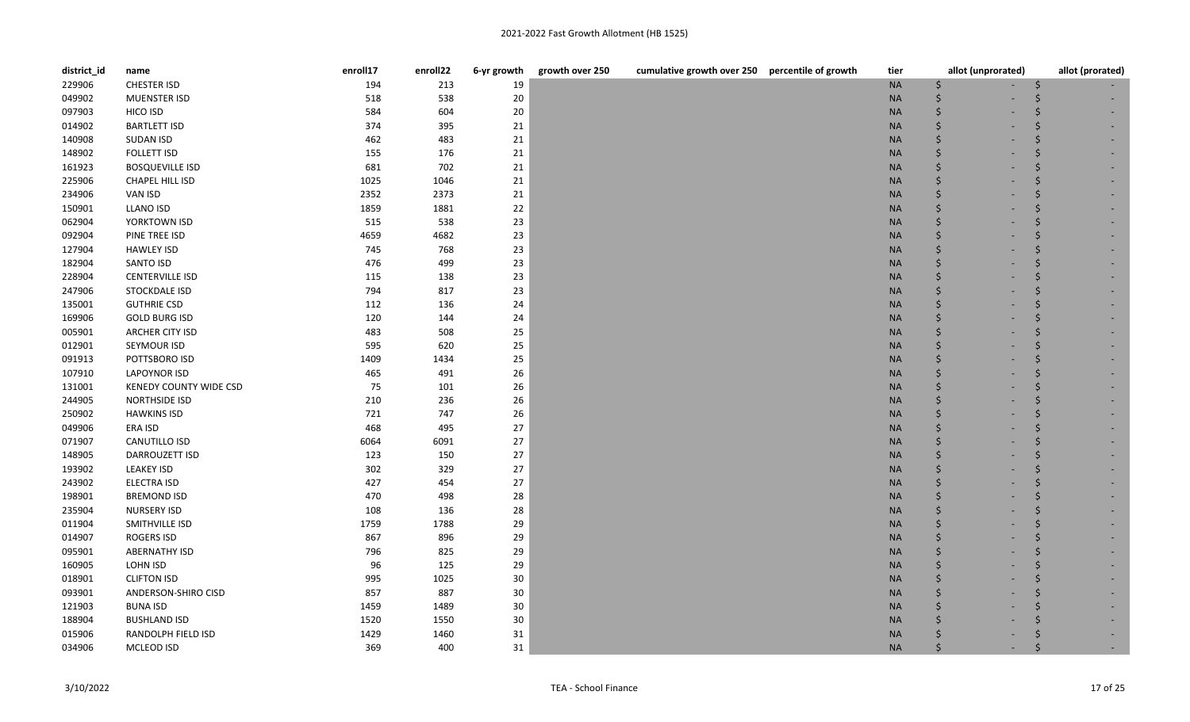| district_id | name                   | enroll17 | enroll22 | 6-yr growth | growth over 250<br>cumulative growth over 250 percentile of growth | tier      | allot (unprorated) | allot (prorated) |
|-------------|------------------------|----------|----------|-------------|--------------------------------------------------------------------|-----------|--------------------|------------------|
| 229906      | <b>CHESTER ISD</b>     | 194      | 213      | 19          |                                                                    | <b>NA</b> | \$                 | S                |
| 049902      | MUENSTER ISD           | 518      | 538      | 20          |                                                                    | <b>NA</b> | Ŝ.                 |                  |
| 097903      | HICO ISD               | 584      | 604      | 20          |                                                                    | <b>NA</b> | $\zeta$            |                  |
| 014902      | <b>BARTLETT ISD</b>    | 374      | 395      | 21          |                                                                    | <b>NA</b> | $\zeta$            |                  |
| 140908      | <b>SUDAN ISD</b>       | 462      | 483      | 21          |                                                                    | <b>NA</b> | $\dot{\mathsf{S}}$ |                  |
| 148902      | <b>FOLLETT ISD</b>     | 155      | 176      | 21          |                                                                    | <b>NA</b> | Ŝ.                 |                  |
| 161923      | <b>BOSQUEVILLE ISD</b> | 681      | 702      | $21\,$      |                                                                    | <b>NA</b> | Ŝ.                 |                  |
| 225906      | CHAPEL HILL ISD        | 1025     | 1046     | 21          |                                                                    | <b>NA</b> | $\dot{\mathsf{S}}$ |                  |
| 234906      | VAN ISD                | 2352     | 2373     | 21          |                                                                    | $\sf NA$  | Ŝ.                 |                  |
| 150901      | <b>LLANO ISD</b>       | 1859     | 1881     | 22          |                                                                    | <b>NA</b> | Ŝ.                 |                  |
| 062904      | YORKTOWN ISD           | 515      | 538      | 23          |                                                                    | <b>NA</b> | Ŝ.                 |                  |
| 092904      | PINE TREE ISD          | 4659     | 4682     | 23          |                                                                    | <b>NA</b> | $\zeta$            |                  |
| 127904      | <b>HAWLEY ISD</b>      | 745      | 768      | 23          |                                                                    | <b>NA</b> | Ŝ.                 |                  |
| 182904      | <b>SANTO ISD</b>       | 476      | 499      | 23          |                                                                    | <b>NA</b> | $\zeta$            |                  |
| 228904      | <b>CENTERVILLE ISD</b> | 115      | 138      | 23          |                                                                    | <b>NA</b> | .s                 | .S               |
| 247906      | STOCKDALE ISD          | 794      | 817      | 23          |                                                                    | <b>NA</b> | Ś                  |                  |
| 135001      | <b>GUTHRIE CSD</b>     | 112      | 136      | 24          |                                                                    | <b>NA</b> | Ŝ.                 |                  |
| 169906      | <b>GOLD BURG ISD</b>   | 120      | 144      | 24          |                                                                    | <b>NA</b> | $\zeta$            |                  |
| 005901      | <b>ARCHER CITY ISD</b> | 483      | 508      | 25          |                                                                    | <b>NA</b> | Ŝ.                 |                  |
| 012901      | SEYMOUR ISD            | 595      | 620      | 25          |                                                                    | <b>NA</b> | Ś                  |                  |
| 091913      | POTTSBORO ISD          | 1409     | 1434     | 25          |                                                                    | <b>NA</b> | Ś                  |                  |
| 107910      | <b>LAPOYNOR ISD</b>    | 465      | 491      | 26          |                                                                    | <b>NA</b> | $\zeta$            |                  |
| 131001      | KENEDY COUNTY WIDE CSD | 75       | 101      | 26          |                                                                    | <b>NA</b> | .s                 |                  |
| 244905      | NORTHSIDE ISD          | 210      | 236      | 26          |                                                                    | <b>NA</b> | Ś                  |                  |
| 250902      | <b>HAWKINS ISD</b>     | 721      | 747      | 26          |                                                                    | <b>NA</b> | Ŝ                  |                  |
| 049906      | ERA ISD                | 468      | 495      | 27          |                                                                    | <b>NA</b> | Ś                  |                  |
| 071907      | CANUTILLO ISD          | 6064     | 6091     | 27          |                                                                    | <b>NA</b> | $\zeta$            |                  |
| 148905      | <b>DARROUZETT ISD</b>  | 123      | 150      | 27          |                                                                    | <b>NA</b> | Ś                  |                  |
| 193902      | <b>LEAKEY ISD</b>      | 302      | 329      | 27          |                                                                    | <b>NA</b> | Ŝ.                 |                  |
| 243902      | ELECTRA ISD            | 427      | 454      | 27          |                                                                    | <b>NA</b> | <sup>5</sup>       |                  |
| 198901      | <b>BREMOND ISD</b>     | 470      | 498      | 28          |                                                                    | <b>NA</b> | Ŝ.                 |                  |
| 235904      | <b>NURSERY ISD</b>     | 108      | 136      | 28          |                                                                    | <b>NA</b> | Ś                  |                  |
| 011904      | SMITHVILLE ISD         | 1759     | 1788     | 29          |                                                                    | <b>NA</b> | Ś                  |                  |
| 014907      | ROGERS ISD             | 867      | 896      | 29          |                                                                    | <b>NA</b> | Ś                  |                  |
| 095901      | <b>ABERNATHY ISD</b>   | 796      | 825      | 29          |                                                                    | <b>NA</b> | $\zeta$            |                  |
| 160905      | LOHN ISD               | 96       | 125      | 29          |                                                                    | <b>NA</b> | Ś                  |                  |
| 018901      | <b>CLIFTON ISD</b>     | 995      | 1025     | 30          |                                                                    | <b>NA</b> | Ŝ.                 |                  |
| 093901      | ANDERSON-SHIRO CISD    | 857      | 887      | 30          |                                                                    | <b>NA</b> | Ŝ.                 |                  |
| 121903      | <b>BUNA ISD</b>        | 1459     | 1489     | 30          |                                                                    | <b>NA</b> | \$                 |                  |
| 188904      | <b>BUSHLAND ISD</b>    | 1520     | 1550     | $30\,$      |                                                                    | <b>NA</b> | Ś                  |                  |
| 015906      | RANDOLPH FIELD ISD     | 1429     | 1460     | 31          |                                                                    | <b>NA</b> |                    |                  |
| 034906      | MCLEOD ISD             | 369      | 400      | 31          |                                                                    | <b>NA</b> | Ś                  |                  |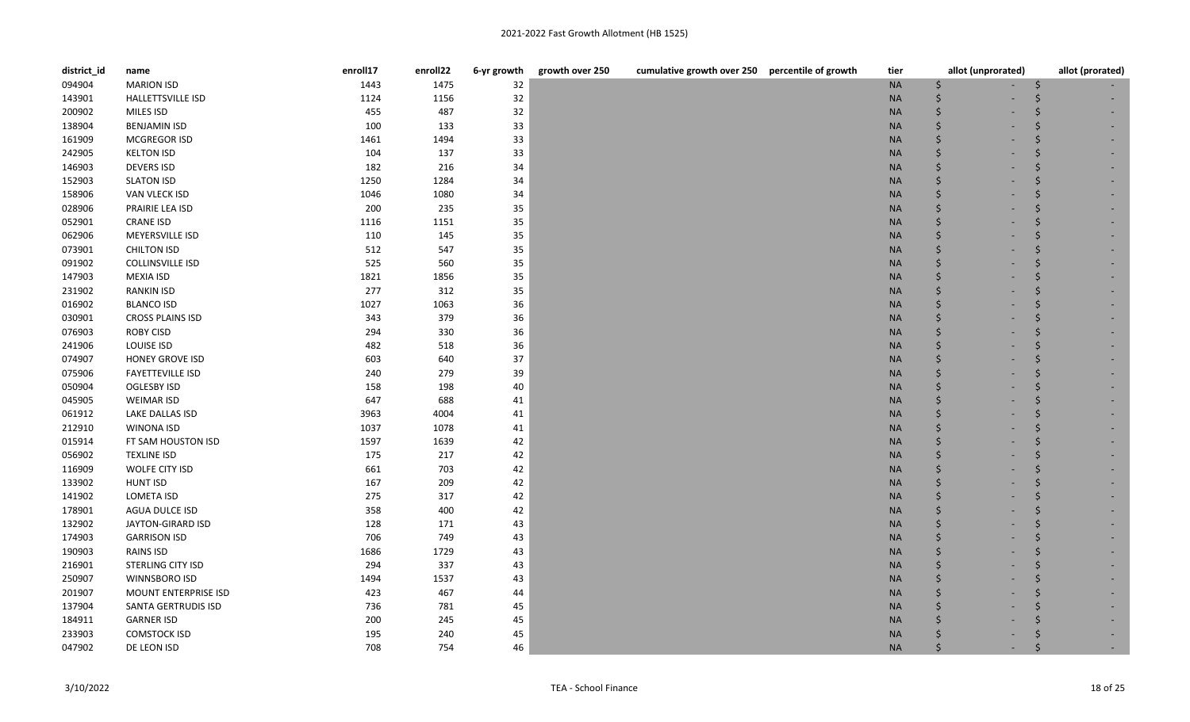| district_id | name                        | enroll17 | enroll22 | 6-yr growth | growth over 250 | cumulative growth over 250 percentile of growth | tier      | allot (unprorated) |   | allot (prorated) |
|-------------|-----------------------------|----------|----------|-------------|-----------------|-------------------------------------------------|-----------|--------------------|---|------------------|
| 094904      | <b>MARION ISD</b>           | 1443     | 1475     | 32          |                 |                                                 | <b>NA</b> | \$                 | S |                  |
| 143901      | <b>HALLETTSVILLE ISD</b>    | 1124     | 1156     | 32          |                 |                                                 | <b>NA</b> | Ŝ.                 |   |                  |
| 200902      | MILES ISD                   | 455      | 487      | 32          |                 |                                                 | <b>NA</b> | Ŝ.                 |   |                  |
| 138904      | <b>BENJAMIN ISD</b>         | 100      | 133      | 33          |                 |                                                 | <b>NA</b> | $\zeta$            |   |                  |
| 161909      | MCGREGOR ISD                | 1461     | 1494     | 33          |                 |                                                 | <b>NA</b> | Ŝ.                 |   |                  |
| 242905      | <b>KELTON ISD</b>           | 104      | 137      | 33          |                 |                                                 | <b>NA</b> | Ś                  |   |                  |
| 146903      | <b>DEVERS ISD</b>           | 182      | 216      | 34          |                 |                                                 | <b>NA</b> | Ŝ.                 |   |                  |
| 152903      | <b>SLATON ISD</b>           | 1250     | 1284     | 34          |                 |                                                 | <b>NA</b> | $\zeta$            |   |                  |
| 158906      | VAN VLECK ISD               | 1046     | 1080     | 34          |                 |                                                 | <b>NA</b> | $\dot{\mathsf{S}}$ |   |                  |
| 028906      | PRAIRIE LEA ISD             | 200      | 235      | 35          |                 |                                                 | <b>NA</b> | Ŝ.                 |   |                  |
| 052901      | <b>CRANE ISD</b>            | 1116     | 1151     | 35          |                 |                                                 | <b>NA</b> | Ŝ.                 |   |                  |
| 062906      | MEYERSVILLE ISD             | 110      | 145      | 35          |                 |                                                 | <b>NA</b> | $\zeta$            |   |                  |
| 073901      | <b>CHILTON ISD</b>          | 512      | 547      | 35          |                 |                                                 | <b>NA</b> | Ŝ.                 |   |                  |
| 091902      | <b>COLLINSVILLE ISD</b>     | 525      | 560      | 35          |                 |                                                 | <b>NA</b> | Ś                  |   |                  |
| 147903      | <b>MEXIA ISD</b>            | 1821     | 1856     | 35          |                 |                                                 | <b>NA</b> | Ŝ.                 | Ŝ |                  |
| 231902      | <b>RANKIN ISD</b>           | 277      | 312      | 35          |                 |                                                 | <b>NA</b> | Ś                  |   |                  |
| 016902      | <b>BLANCO ISD</b>           | 1027     | 1063     | 36          |                 |                                                 | <b>NA</b> | Ŝ.                 |   |                  |
| 030901      | <b>CROSS PLAINS ISD</b>     | 343      | 379      | 36          |                 |                                                 | <b>NA</b> | <sup>5</sup>       |   |                  |
| 076903      | <b>ROBY CISD</b>            | 294      | 330      | 36          |                 |                                                 | <b>NA</b> | . Ś                |   |                  |
| 241906      | LOUISE ISD                  | 482      | 518      | 36          |                 |                                                 | <b>NA</b> | Ś                  |   |                  |
| 074907      | <b>HONEY GROVE ISD</b>      | 603      | 640      | 37          |                 |                                                 | <b>NA</b> | Ś                  |   |                  |
| 075906      | <b>FAYETTEVILLE ISD</b>     | 240      | 279      | 39          |                 |                                                 | <b>NA</b> |                    |   |                  |
| 050904      | OGLESBY ISD                 | 158      | 198      | 40          |                 |                                                 | <b>NA</b> | Ŝ.                 |   |                  |
| 045905      | <b>WEIMAR ISD</b>           | 647      | 688      | 41          |                 |                                                 | <b>NA</b> | Ś                  |   |                  |
| 061912      | LAKE DALLAS ISD             | 3963     | 4004     | 41          |                 |                                                 | <b>NA</b> | Ś                  |   |                  |
| 212910      | <b>WINONA ISD</b>           | 1037     | 1078     | 41          |                 |                                                 | <b>NA</b> | $\zeta$            |   |                  |
| 015914      | FT SAM HOUSTON ISD          | 1597     | 1639     | 42          |                 |                                                 | <b>NA</b> | . Ś                |   |                  |
| 056902      | <b>TEXLINE ISD</b>          | 175      | 217      | 42          |                 |                                                 | <b>NA</b> | Ś                  |   |                  |
| 116909      | WOLFE CITY ISD              | 661      | 703      | 42          |                 |                                                 | <b>NA</b> | Ś                  |   |                  |
| 133902      | <b>HUNT ISD</b>             | 167      | 209      | 42          |                 |                                                 | <b>NA</b> |                    |   |                  |
| 141902      | <b>LOMETA ISD</b>           | 275      | 317      | 42          |                 |                                                 | <b>NA</b> | Ŝ.                 |   |                  |
| 178901      | AGUA DULCE ISD              | 358      | 400      | 42          |                 |                                                 | <b>NA</b> | Ś                  |   |                  |
| 132902      | JAYTON-GIRARD ISD           | 128      | 171      | 43          |                 |                                                 | <b>NA</b> | Ś                  |   |                  |
| 174903      | <b>GARRISON ISD</b>         | 706      | 749      | 43          |                 |                                                 | <b>NA</b> | $\zeta$            |   |                  |
| 190903      | RAINS ISD                   | 1686     | 1729     | 43          |                 |                                                 | <b>NA</b> | . Ś                |   |                  |
| 216901      | STERLING CITY ISD           | 294      | 337      | 43          |                 |                                                 | <b>NA</b> | $\zeta$            |   |                  |
| 250907      | WINNSBORO ISD               | 1494     | 1537     | 43          |                 |                                                 | <b>NA</b> |                    |   |                  |
| 201907      | <b>MOUNT ENTERPRISE ISD</b> | 423      | 467      | 44          |                 |                                                 | <b>NA</b> |                    |   |                  |
| 137904      | SANTA GERTRUDIS ISD         | 736      | 781      | 45          |                 |                                                 | <b>NA</b> |                    |   |                  |
| 184911      | <b>GARNER ISD</b>           | 200      | 245      | 45          |                 |                                                 | <b>NA</b> |                    |   |                  |
| 233903      | <b>COMSTOCK ISD</b>         | 195      | 240      | 45          |                 |                                                 | <b>NA</b> |                    |   |                  |
| 047902      | DE LEON ISD                 | 708      | 754      | 46          |                 |                                                 | <b>NA</b> |                    |   |                  |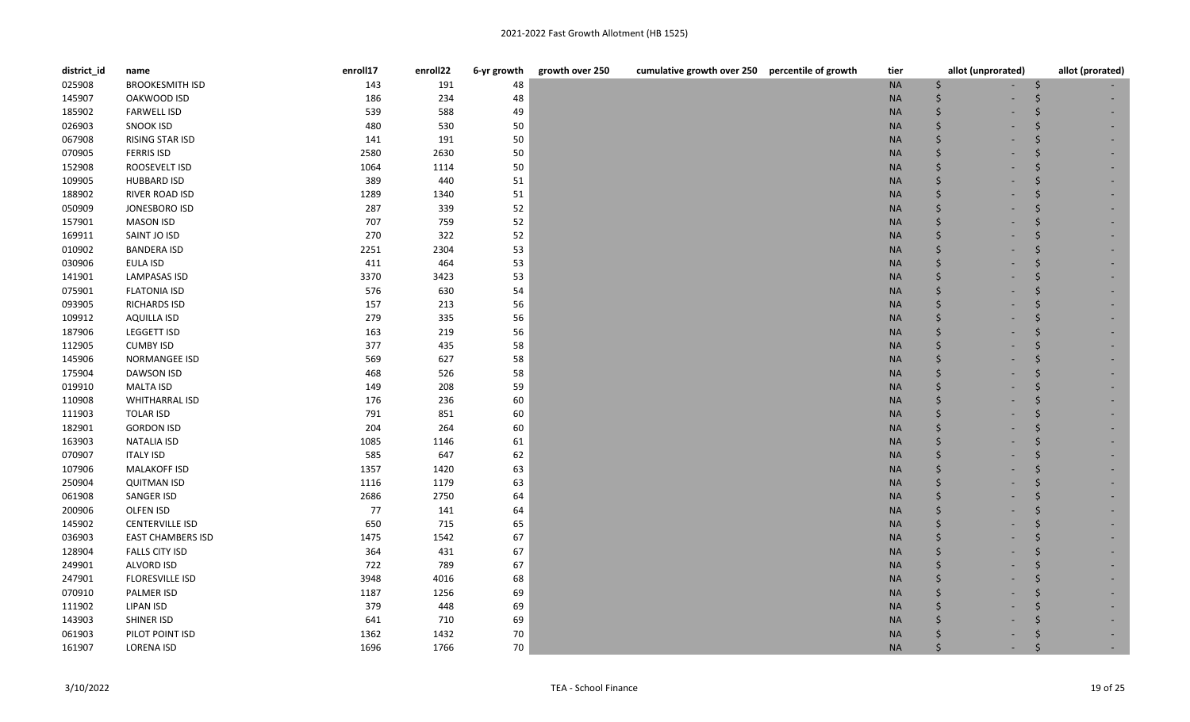| district_id | name                     | enroll17 | enroll22 | 6-yr growth | growth over 250 | cumulative growth over 250 percentile of growth | tier      | allot (unprorated) | allot (prorated) |
|-------------|--------------------------|----------|----------|-------------|-----------------|-------------------------------------------------|-----------|--------------------|------------------|
| 025908      | <b>BROOKESMITH ISD</b>   | 143      | 191      | 48          |                 |                                                 | <b>NA</b> | . Ś                | S                |
| 145907      | OAKWOOD ISD              | 186      | 234      | 48          |                 |                                                 | <b>NA</b> | Ś                  |                  |
| 185902      | <b>FARWELL ISD</b>       | 539      | 588      | 49          |                 |                                                 | <b>NA</b> | $\zeta$            |                  |
| 026903      | <b>SNOOK ISD</b>         | 480      | 530      | 50          |                 |                                                 | <b>NA</b> | $\zeta$            |                  |
| 067908      | RISING STAR ISD          | 141      | 191      | 50          |                 |                                                 | <b>NA</b> | Ś                  |                  |
| 070905      | <b>FERRIS ISD</b>        | 2580     | 2630     | 50          |                 |                                                 | <b>NA</b> |                    |                  |
| 152908      | ROOSEVELT ISD            | 1064     | 1114     | 50          |                 |                                                 | <b>NA</b> | Ŝ.                 |                  |
| 109905      | <b>HUBBARD ISD</b>       | 389      | 440      | 51          |                 |                                                 | <b>NA</b> | Ŝ.                 |                  |
| 188902      | RIVER ROAD ISD           | 1289     | 1340     | 51          |                 |                                                 | <b>NA</b> | Ŝ.                 |                  |
| 050909      | JONESBORO ISD            | 287      | 339      | 52          |                 |                                                 | <b>NA</b> | \$                 |                  |
| 157901      | <b>MASON ISD</b>         | 707      | 759      | 52          |                 |                                                 | <b>NA</b> | Ŝ.                 |                  |
| 169911      | SAINT JO ISD             | 270      | 322      | 52          |                 |                                                 | <b>NA</b> | $\zeta$            |                  |
| 010902      | <b>BANDERA ISD</b>       | 2251     | 2304     | 53          |                 |                                                 | <b>NA</b> | $\dot{\mathsf{S}}$ |                  |
| 030906      | <b>EULA ISD</b>          | 411      | 464      | 53          |                 |                                                 | <b>NA</b> | $\dot{\mathsf{S}}$ |                  |
| 141901      | <b>LAMPASAS ISD</b>      | 3370     | 3423     | 53          |                 |                                                 | <b>NA</b> | Ŝ.                 |                  |
| 075901      | <b>FLATONIA ISD</b>      | 576      | 630      | 54          |                 |                                                 | <b>NA</b> | Ŝ.                 | Ŝ                |
| 093905      | <b>RICHARDS ISD</b>      | 157      | 213      | 56          |                 |                                                 | <b>NA</b> | $\zeta$            | Ŝ                |
| 109912      | <b>AQUILLA ISD</b>       | 279      | 335      | 56          |                 |                                                 | <b>NA</b> | Ŝ.                 |                  |
| 187906      | <b>LEGGETT ISD</b>       | 163      | 219      | 56          |                 |                                                 | <b>NA</b> | $\zeta$            |                  |
| 112905      | <b>CUMBY ISD</b>         | 377      | 435      | 58          |                 |                                                 | <b>NA</b> | $\zeta$            |                  |
| 145906      | NORMANGEE ISD            | 569      | 627      | 58          |                 |                                                 | <b>NA</b> | Ŝ.                 |                  |
| 175904      | <b>DAWSON ISD</b>        | 468      | 526      | 58          |                 |                                                 | <b>NA</b> | <sup>5</sup>       |                  |
| 019910      | <b>MALTA ISD</b>         | 149      | 208      | 59          |                 |                                                 | <b>NA</b> | .s                 | Ŝ.               |
| 110908      | <b>WHITHARRAL ISD</b>    | 176      | 236      | 60          |                 |                                                 | <b>NA</b> | Ś                  |                  |
| 111903      | <b>TOLAR ISD</b>         | 791      | 851      | 60          |                 |                                                 | <b>NA</b> | Ś                  |                  |
| 182901      | <b>GORDON ISD</b>        | 204      | 264      | 60          |                 |                                                 | <b>NA</b> | Ś                  |                  |
| 163903      | <b>NATALIA ISD</b>       | 1085     | 1146     | 61          |                 |                                                 | <b>NA</b> | $\zeta$            |                  |
| 070907      | <b>ITALY ISD</b>         | 585      | 647      | 62          |                 |                                                 | <b>NA</b> | Ś                  |                  |
| 107906      | <b>MALAKOFF ISD</b>      | 1357     | 1420     | 63          |                 |                                                 | <b>NA</b> | Ŝ.                 |                  |
| 250904      | <b>QUITMAN ISD</b>       | 1116     | 1179     | 63          |                 |                                                 | <b>NA</b> | <sup>5</sup>       |                  |
| 061908      | SANGER ISD               | 2686     | 2750     | 64          |                 |                                                 | <b>NA</b> | Ŝ.                 | Ŝ                |
| 200906      | OLFEN ISD                | 77       | 141      | 64          |                 |                                                 | <b>NA</b> | Ś                  |                  |
| 145902      | <b>CENTERVILLE ISD</b>   | 650      | 715      | 65          |                 |                                                 | <b>NA</b> | Ś                  |                  |
| 036903      | <b>EAST CHAMBERS ISD</b> | 1475     | 1542     | 67          |                 |                                                 | <b>NA</b> | Ś                  |                  |
| 128904      | <b>FALLS CITY ISD</b>    | 364      | 431      | 67          |                 |                                                 | <b>NA</b> | Ŝ.                 |                  |
| 249901      | ALVORD ISD               | 722      | 789      | 67          |                 |                                                 | <b>NA</b> | Ś                  |                  |
| 247901      | FLORESVILLE ISD          | 3948     | 4016     | 68          |                 |                                                 | <b>NA</b> |                    |                  |
| 070910      | PALMER ISD               | 1187     | 1256     | 69          |                 |                                                 | <b>NA</b> |                    |                  |
| 111902      | <b>LIPAN ISD</b>         | 379      | 448      | 69          |                 |                                                 | <b>NA</b> | Ś                  |                  |
| 143903      | SHINER ISD               | 641      | 710      | 69          |                 |                                                 | <b>NA</b> |                    |                  |
| 061903      | PILOT POINT ISD          | 1362     | 1432     | 70          |                 |                                                 | <b>NA</b> |                    |                  |
| 161907      | <b>LORENA ISD</b>        | 1696     | 1766     | 70          |                 |                                                 | <b>NA</b> |                    |                  |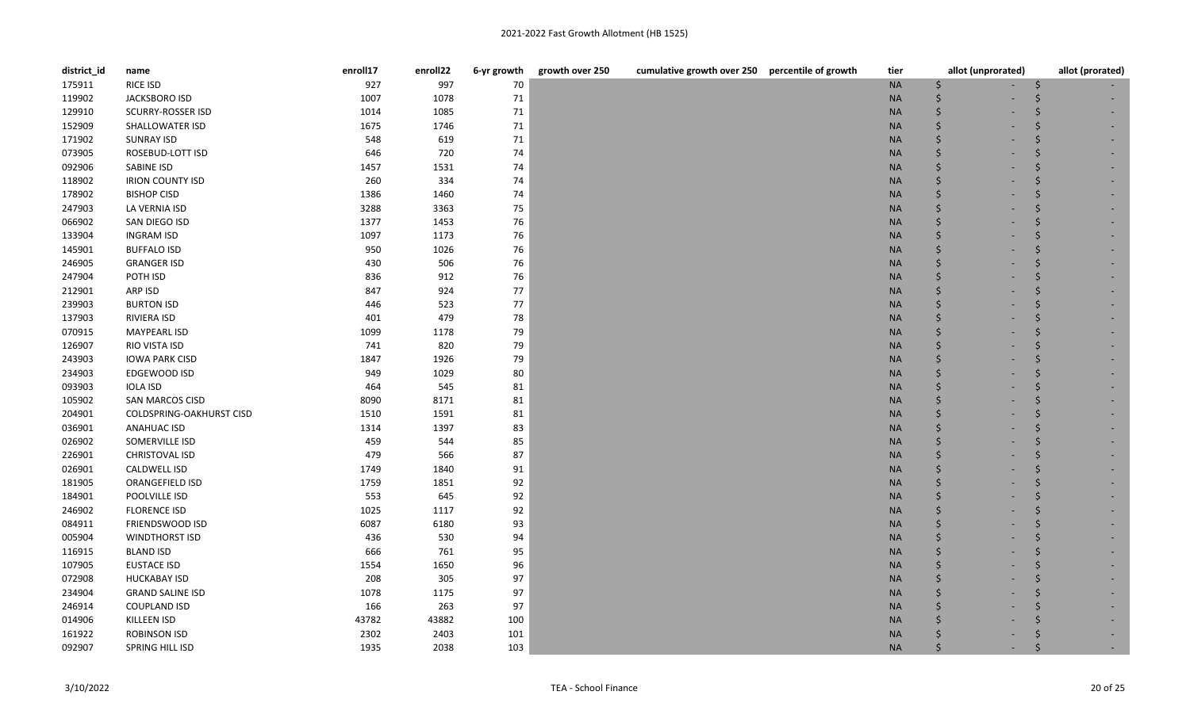| district_id | name                     | enroll17 | enroll22 | 6-yr growth | growth over 250<br>cumulative growth over 250 percentile of growth | tier      | allot (unprorated) | allot (prorated) |
|-------------|--------------------------|----------|----------|-------------|--------------------------------------------------------------------|-----------|--------------------|------------------|
| 175911      | RICE ISD                 | 927      | 997      | 70          |                                                                    | <b>NA</b> | Ŝ.                 | S                |
| 119902      | JACKSBORO ISD            | 1007     | 1078     | 71          |                                                                    | <b>NA</b> |                    |                  |
| 129910      | <b>SCURRY-ROSSER ISD</b> | 1014     | 1085     | 71          |                                                                    | <b>NA</b> | $\zeta$            |                  |
| 152909      | SHALLOWATER ISD          | 1675     | 1746     | 71          |                                                                    | <b>NA</b> | $\dot{\mathsf{S}}$ |                  |
| 171902      | <b>SUNRAY ISD</b>        | 548      | 619      | 71          |                                                                    | <b>NA</b> | Ŝ.                 |                  |
| 073905      | ROSEBUD-LOTT ISD         | 646      | 720      | 74          |                                                                    | <b>NA</b> |                    |                  |
| 092906      | SABINE ISD               | 1457     | 1531     | 74          |                                                                    | <b>NA</b> | Ŝ.                 |                  |
| 118902      | <b>IRION COUNTY ISD</b>  | 260      | 334      | 74          |                                                                    | <b>NA</b> | <sup>\$</sup>      |                  |
| 178902      | <b>BISHOP CISD</b>       | 1386     | 1460     | 74          |                                                                    | <b>NA</b> | Ŝ.                 | Ŝ.               |
| 247903      | LA VERNIA ISD            | 3288     | 3363     | 75          |                                                                    | <b>NA</b> | Ŝ.                 |                  |
| 066902      | SAN DIEGO ISD            | 1377     | 1453     | 76          |                                                                    | <b>NA</b> | $\zeta$            |                  |
| 133904      | <b>INGRAM ISD</b>        | 1097     | 1173     | 76          |                                                                    | <b>NA</b> | $\zeta$            |                  |
| 145901      | <b>BUFFALO ISD</b>       | 950      | 1026     | 76          |                                                                    | <b>NA</b> | Ŝ.                 |                  |
| 246905      | <b>GRANGER ISD</b>       | 430      | 506      | 76          |                                                                    | <b>NA</b> |                    |                  |
| 247904      | POTH ISD                 | 836      | 912      | 76          |                                                                    | <b>NA</b> | <sup>5</sup>       | .S               |
| 212901      | ARP ISD                  | 847      | 924      | 77          |                                                                    | <b>NA</b> | Ś.                 |                  |
| 239903      | <b>BURTON ISD</b>        | 446      | 523      | 77          |                                                                    | <b>NA</b> | Ŝ.                 |                  |
| 137903      | RIVIERA ISD              | 401      | 479      | 78          |                                                                    | <b>NA</b> | $\zeta$            |                  |
| 070915      | MAYPEARL ISD             | 1099     | 1178     | 79          |                                                                    | <b>NA</b> | Ŝ.                 |                  |
| 126907      | RIO VISTA ISD            | 741      | 820      | 79          |                                                                    | <b>NA</b> | Ś.                 |                  |
| 243903      | <b>IOWA PARK CISD</b>    | 1847     | 1926     | 79          |                                                                    | <b>NA</b> |                    |                  |
| 234903      | EDGEWOOD ISD             | 949      | 1029     | 80          |                                                                    | <b>NA</b> |                    |                  |
| 093903      | <b>IOLA ISD</b>          | 464      | 545      | 81          |                                                                    | <b>NA</b> |                    |                  |
| 105902      | SAN MARCOS CISD          | 8090     | 8171     | 81          |                                                                    | <b>NA</b> | $\zeta$            |                  |
| 204901      | COLDSPRING-OAKHURST CISD | 1510     | 1591     | 81          |                                                                    | <b>NA</b> |                    |                  |
| 036901      | <b>ANAHUAC ISD</b>       | 1314     | 1397     | 83          |                                                                    | <b>NA</b> | Ŝ.                 |                  |
| 026902      | SOMERVILLE ISD           | 459      | 544      | 85          |                                                                    | <b>NA</b> | Ś                  |                  |
| 226901      | CHRISTOVAL ISD           | 479      | 566      | 87          |                                                                    | <b>NA</b> | Ś.                 |                  |
| 026901      | <b>CALDWELL ISD</b>      | 1749     | 1840     | 91          |                                                                    | <b>NA</b> |                    |                  |
| 181905      | ORANGEFIELD ISD          | 1759     | 1851     | 92          |                                                                    | <b>NA</b> |                    |                  |
| 184901      | POOLVILLE ISD            | 553      | 645      | 92          |                                                                    | <b>NA</b> |                    |                  |
| 246902      | <b>FLORENCE ISD</b>      | 1025     | 1117     | 92          |                                                                    | <b>NA</b> | $\zeta$            |                  |
| 084911      | FRIENDSWOOD ISD          | 6087     | 6180     | 93          |                                                                    | <b>NA</b> |                    |                  |
| 005904      | <b>WINDTHORST ISD</b>    | 436      | 530      | 94          |                                                                    | <b>NA</b> | Ś.                 |                  |
| 116915      | <b>BLAND ISD</b>         | 666      | 761      | 95          |                                                                    | <b>NA</b> |                    |                  |
| 107905      | <b>EUSTACE ISD</b>       | 1554     | 1650     | 96          |                                                                    | <b>NA</b> | Ś.                 |                  |
| 072908      | <b>HUCKABAY ISD</b>      | 208      | 305      | 97          |                                                                    | <b>NA</b> |                    |                  |
| 234904      | <b>GRAND SALINE ISD</b>  | 1078     | 1175     | 97          |                                                                    | <b>NA</b> |                    |                  |
| 246914      | <b>COUPLAND ISD</b>      | 166      | 263      | 97          |                                                                    | <b>NA</b> |                    |                  |
| 014906      | KILLEEN ISD              | 43782    | 43882    | 100         |                                                                    | <b>NA</b> | Ś                  |                  |
| 161922      | ROBINSON ISD             | 2302     | 2403     | 101         |                                                                    | <b>NA</b> |                    |                  |
| 092907      | SPRING HILL ISD          | 1935     | 2038     | 103         |                                                                    | <b>NA</b> |                    |                  |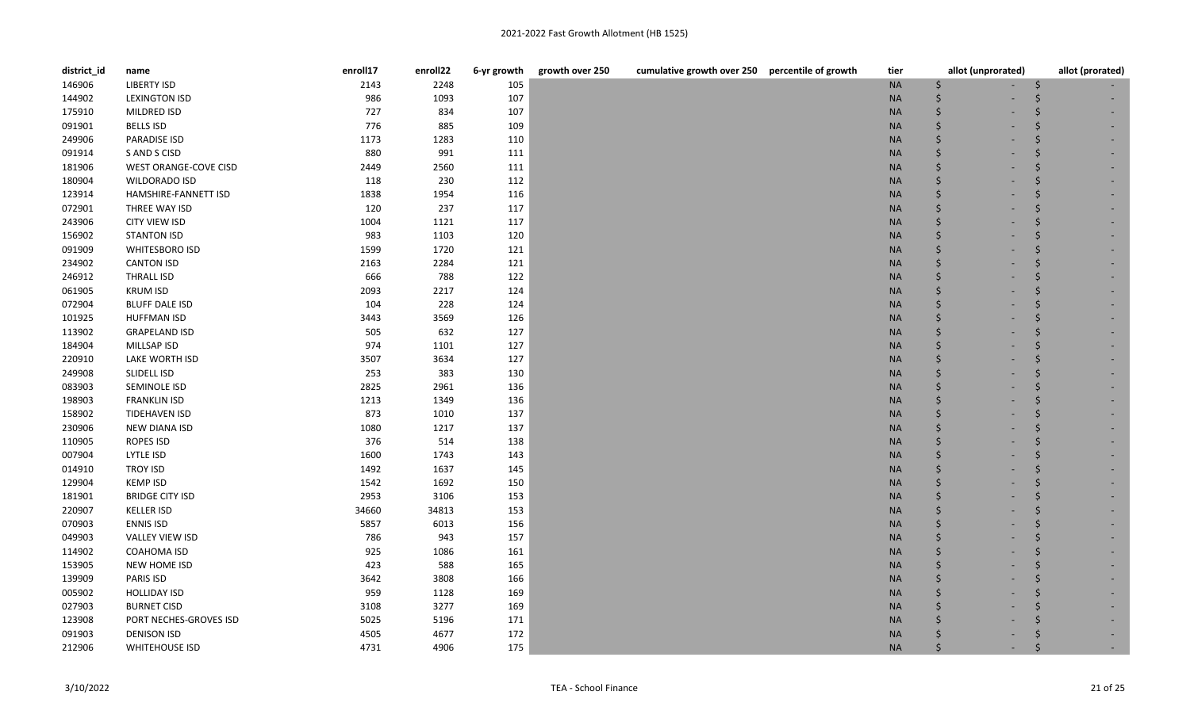| district_id | name                   | enroll17 | enroll22 | 6-yr growth | growth over 250 | cumulative growth over 250 percentile of growth | tier      | allot (unprorated) | allot (prorated) |
|-------------|------------------------|----------|----------|-------------|-----------------|-------------------------------------------------|-----------|--------------------|------------------|
| 146906      | <b>LIBERTY ISD</b>     | 2143     | 2248     | 105         |                 |                                                 | $\sf NA$  | Ś                  |                  |
| 144902      | <b>LEXINGTON ISD</b>   | 986      | 1093     | 107         |                 |                                                 | <b>NA</b> |                    |                  |
| 175910      | MILDRED ISD            | 727      | 834      | 107         |                 |                                                 | <b>NA</b> |                    |                  |
| 091901      | <b>BELLS ISD</b>       | 776      | 885      | 109         |                 |                                                 | <b>NA</b> |                    |                  |
| 249906      | <b>PARADISE ISD</b>    | 1173     | 1283     | 110         |                 |                                                 | <b>NA</b> |                    |                  |
| 091914      | S AND S CISD           | 880      | 991      | 111         |                 |                                                 | <b>NA</b> |                    |                  |
| 181906      | WEST ORANGE-COVE CISD  | 2449     | 2560     | 111         |                 |                                                 | <b>NA</b> |                    |                  |
| 180904      | WILDORADO ISD          | 118      | 230      | 112         |                 |                                                 | <b>NA</b> |                    |                  |
| 123914      | HAMSHIRE-FANNETT ISD   | 1838     | 1954     | 116         |                 |                                                 | <b>NA</b> |                    |                  |
| 072901      | THREE WAY ISD          | 120      | 237      | 117         |                 |                                                 | <b>NA</b> |                    |                  |
| 243906      | <b>CITY VIEW ISD</b>   | 1004     | 1121     | 117         |                 |                                                 | <b>NA</b> |                    |                  |
| 156902      | <b>STANTON ISD</b>     | 983      | 1103     | 120         |                 |                                                 | <b>NA</b> |                    |                  |
| 091909      | WHITESBORO ISD         | 1599     | 1720     | 121         |                 |                                                 | <b>NA</b> |                    |                  |
| 234902      | <b>CANTON ISD</b>      | 2163     | 2284     | 121         |                 |                                                 | <b>NA</b> |                    |                  |
| 246912      | THRALL ISD             | 666      | 788      | 122         |                 |                                                 | <b>NA</b> |                    |                  |
| 061905      | <b>KRUM ISD</b>        | 2093     | 2217     | 124         |                 |                                                 | <b>NA</b> |                    |                  |
| 072904      | <b>BLUFF DALE ISD</b>  | 104      | 228      | 124         |                 |                                                 | <b>NA</b> |                    |                  |
| 101925      | <b>HUFFMAN ISD</b>     | 3443     | 3569     | 126         |                 |                                                 | <b>NA</b> |                    |                  |
| 113902      | <b>GRAPELAND ISD</b>   | 505      | 632      | 127         |                 |                                                 | <b>NA</b> |                    |                  |
| 184904      | MILLSAP ISD            | 974      | 1101     | 127         |                 |                                                 | <b>NA</b> |                    |                  |
| 220910      | LAKE WORTH ISD         | 3507     | 3634     | 127         |                 |                                                 | <b>NA</b> |                    |                  |
| 249908      | SLIDELL ISD            | 253      | 383      | 130         |                 |                                                 | <b>NA</b> |                    |                  |
| 083903      | SEMINOLE ISD           | 2825     | 2961     | 136         |                 |                                                 | <b>NA</b> |                    |                  |
| 198903      | <b>FRANKLIN ISD</b>    | 1213     | 1349     | 136         |                 |                                                 | <b>NA</b> |                    |                  |
| 158902      | <b>TIDEHAVEN ISD</b>   | 873      | 1010     | 137         |                 |                                                 | <b>NA</b> |                    |                  |
| 230906      | NEW DIANA ISD          | 1080     | 1217     | 137         |                 |                                                 | <b>NA</b> |                    |                  |
| 110905      | ROPES ISD              | 376      | 514      | 138         |                 |                                                 | <b>NA</b> |                    |                  |
| 007904      | LYTLE ISD              | 1600     | 1743     | 143         |                 |                                                 | <b>NA</b> |                    |                  |
| 014910      | <b>TROY ISD</b>        | 1492     | 1637     | 145         |                 |                                                 | <b>NA</b> |                    |                  |
| 129904      | <b>KEMP ISD</b>        | 1542     | 1692     | 150         |                 |                                                 | <b>NA</b> |                    |                  |
| 181901      | <b>BRIDGE CITY ISD</b> | 2953     | 3106     | 153         |                 |                                                 | <b>NA</b> |                    |                  |
| 220907      | <b>KELLER ISD</b>      | 34660    | 34813    | 153         |                 |                                                 | <b>NA</b> |                    |                  |
| 070903      | <b>ENNIS ISD</b>       | 5857     | 6013     | 156         |                 |                                                 | <b>NA</b> |                    |                  |
| 049903      | <b>VALLEY VIEW ISD</b> | 786      | 943      | 157         |                 |                                                 | <b>NA</b> |                    |                  |
| 114902      | COAHOMA ISD            | 925      | 1086     | 161         |                 |                                                 | <b>NA</b> |                    |                  |
| 153905      | NEW HOME ISD           | 423      | 588      | 165         |                 |                                                 | <b>NA</b> |                    |                  |
| 139909      | PARIS ISD              | 3642     | 3808     | 166         |                 |                                                 | <b>NA</b> |                    |                  |
| 005902      | <b>HOLLIDAY ISD</b>    | 959      | 1128     | 169         |                 |                                                 | <b>NA</b> |                    |                  |
| 027903      | <b>BURNET CISD</b>     | 3108     | 3277     | 169         |                 |                                                 | <b>NA</b> |                    |                  |
| 123908      | PORT NECHES-GROVES ISD | 5025     | 5196     | 171         |                 |                                                 | <b>NA</b> |                    |                  |
| 091903      | <b>DENISON ISD</b>     | 4505     | 4677     | 172         |                 |                                                 | <b>NA</b> |                    |                  |
| 212906      | <b>WHITEHOUSE ISD</b>  | 4731     | 4906     | 175         |                 |                                                 | <b>NA</b> |                    |                  |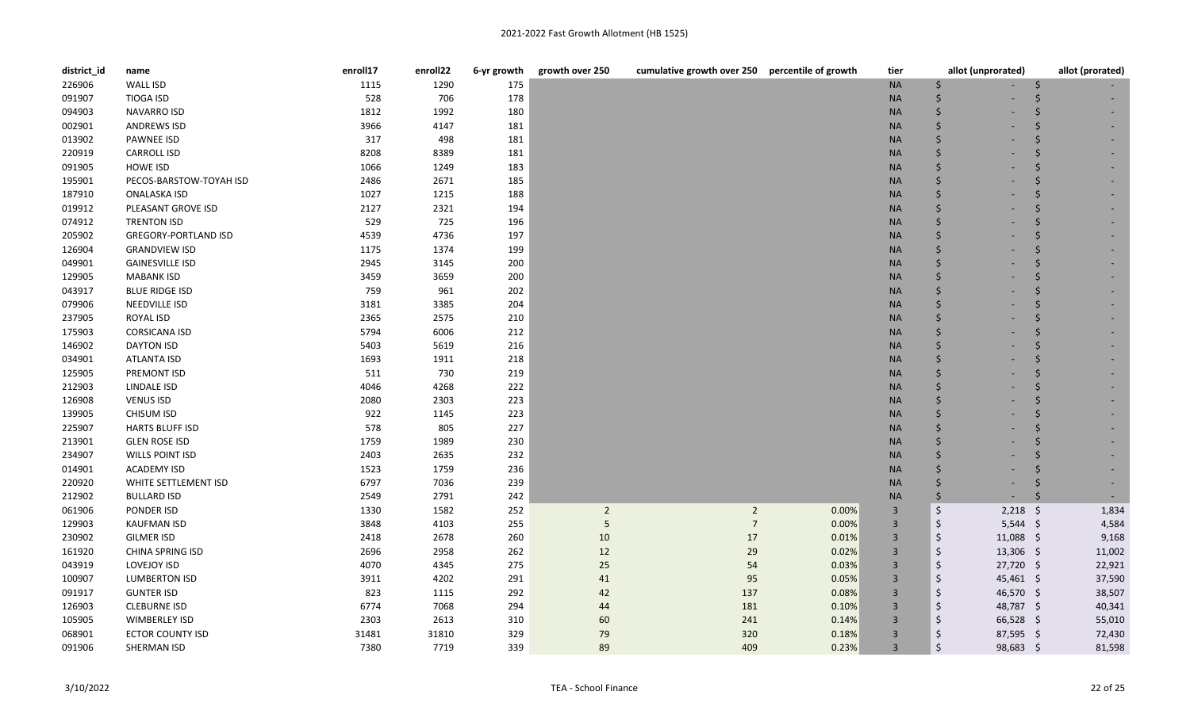| district_id | name                        | enroll17 | enroll22 | 6-yr growth | growth over 250 | cumulative growth over 250 percentile of growth |       | tier           | allot (unprorated)    | allot (prorated) |
|-------------|-----------------------------|----------|----------|-------------|-----------------|-------------------------------------------------|-------|----------------|-----------------------|------------------|
| 226906      | <b>WALL ISD</b>             | 1115     | 1290     | 175         |                 |                                                 |       | <b>NA</b>      |                       |                  |
| 091907      | <b>TIOGA ISD</b>            | 528      | 706      | 178         |                 |                                                 |       | <b>NA</b>      |                       |                  |
| 094903      | <b>NAVARRO ISD</b>          | 1812     | 1992     | 180         |                 |                                                 |       | <b>NA</b>      |                       |                  |
| 002901      | <b>ANDREWS ISD</b>          | 3966     | 4147     | 181         |                 |                                                 |       | <b>NA</b>      |                       |                  |
| 013902      | <b>PAWNEE ISD</b>           | 317      | 498      | 181         |                 |                                                 |       | <b>NA</b>      |                       |                  |
| 220919      | <b>CARROLL ISD</b>          | 8208     | 8389     | 181         |                 |                                                 |       | <b>NA</b>      |                       |                  |
| 091905      | <b>HOWE ISD</b>             | 1066     | 1249     | 183         |                 |                                                 |       | <b>NA</b>      |                       |                  |
| 195901      | PECOS-BARSTOW-TOYAH ISD     | 2486     | 2671     | 185         |                 |                                                 |       | <b>NA</b>      |                       |                  |
| 187910      | <b>ONALASKA ISD</b>         | 1027     | 1215     | 188         |                 |                                                 |       | <b>NA</b>      |                       |                  |
| 019912      | PLEASANT GROVE ISD          | 2127     | 2321     | 194         |                 |                                                 |       | <b>NA</b>      |                       |                  |
| 074912      | <b>TRENTON ISD</b>          | 529      | 725      | 196         |                 |                                                 |       | <b>NA</b>      |                       |                  |
| 205902      | <b>GREGORY-PORTLAND ISD</b> | 4539     | 4736     | 197         |                 |                                                 |       | <b>NA</b>      |                       |                  |
| 126904      | <b>GRANDVIEW ISD</b>        | 1175     | 1374     | 199         |                 |                                                 |       | <b>NA</b>      |                       |                  |
| 049901      | <b>GAINESVILLE ISD</b>      | 2945     | 3145     | 200         |                 |                                                 |       | <b>NA</b>      |                       |                  |
| 129905      | <b>MABANK ISD</b>           | 3459     | 3659     | 200         |                 |                                                 |       | <b>NA</b>      |                       |                  |
| 043917      | <b>BLUE RIDGE ISD</b>       | 759      | 961      | 202         |                 |                                                 |       | <b>NA</b>      |                       |                  |
| 079906      | NEEDVILLE ISD               | 3181     | 3385     | 204         |                 |                                                 |       | <b>NA</b>      |                       |                  |
| 237905      | ROYAL ISD                   | 2365     | 2575     | 210         |                 |                                                 |       | <b>NA</b>      |                       |                  |
| 175903      | <b>CORSICANA ISD</b>        | 5794     | 6006     | 212         |                 |                                                 |       | <b>NA</b>      |                       |                  |
| 146902      | <b>DAYTON ISD</b>           | 5403     | 5619     | 216         |                 |                                                 |       | <b>NA</b>      |                       |                  |
| 034901      | ATLANTA ISD                 | 1693     | 1911     | 218         |                 |                                                 |       | <b>NA</b>      |                       |                  |
| 125905      | PREMONT ISD                 | 511      | 730      | 219         |                 |                                                 |       | <b>NA</b>      |                       |                  |
| 212903      | LINDALE ISD                 | 4046     | 4268     | 222         |                 |                                                 |       | <b>NA</b>      |                       |                  |
| 126908      | <b>VENUS ISD</b>            | 2080     | 2303     | 223         |                 |                                                 |       | <b>NA</b>      |                       |                  |
| 139905      | <b>CHISUM ISD</b>           | 922      | 1145     | 223         |                 |                                                 |       | <b>NA</b>      |                       |                  |
| 225907      | <b>HARTS BLUFF ISD</b>      | 578      | 805      | 227         |                 |                                                 |       | <b>NA</b>      |                       |                  |
| 213901      | <b>GLEN ROSE ISD</b>        | 1759     | 1989     | 230         |                 |                                                 |       | <b>NA</b>      |                       |                  |
| 234907      | WILLS POINT ISD             | 2403     | 2635     | 232         |                 |                                                 |       | <b>NA</b>      |                       |                  |
| 014901      | <b>ACADEMY ISD</b>          | 1523     | 1759     | 236         |                 |                                                 |       | <b>NA</b>      |                       |                  |
| 220920      | WHITE SETTLEMENT ISD        | 6797     | 7036     | 239         |                 |                                                 |       | <b>NA</b>      |                       |                  |
| 212902      | <b>BULLARD ISD</b>          | 2549     | 2791     | 242         |                 |                                                 |       | <b>NA</b>      | $\zeta$               |                  |
| 061906      | PONDER ISD                  | 1330     | 1582     | 252         | $\overline{2}$  | $\overline{2}$                                  | 0.00% | $\overline{3}$ | $\zeta$<br>$2,218$ \$ | 1,834            |
| 129903      | <b>KAUFMAN ISD</b>          | 3848     | 4103     | 255         | 5               | $\overline{7}$                                  | 0.00% | $\overline{3}$ | \$<br>$5,544$ \$      | 4,584            |
| 230902      | <b>GILMER ISD</b>           | 2418     | 2678     | 260         | $10\,$          | $17\,$                                          | 0.01% | $\overline{3}$ | \$<br>11,088 \$       | 9,168            |
| 161920      | <b>CHINA SPRING ISD</b>     | 2696     | 2958     | 262         | 12              | 29                                              | 0.02% | $\overline{3}$ | \$<br>$13,306$ \$     | 11,002           |
| 043919      | LOVEJOY ISD                 | 4070     | 4345     | 275         | 25              | 54                                              | 0.03% | $\overline{3}$ | \$<br>27,720 \$       | 22,921           |
| 100907      | <b>LUMBERTON ISD</b>        | 3911     | 4202     | 291         | 41              | 95                                              | 0.05% | $\overline{3}$ | $\zeta$<br>45,461 \$  | 37,590           |
| 091917      | <b>GUNTER ISD</b>           | 823      | 1115     | 292         | 42              | 137                                             | 0.08% | $\overline{3}$ | $\zeta$<br>46,570 \$  | 38,507           |
| 126903      | <b>CLEBURNE ISD</b>         | 6774     | 7068     | 294         | 44              | 181                                             | 0.10% | $\overline{3}$ | \$<br>48,787 \$       | 40,341           |
| 105905      | <b>WIMBERLEY ISD</b>        | 2303     | 2613     | 310         | 60              | 241                                             | 0.14% | $\overline{3}$ | Ś.<br>66,528 \$       | 55,010           |
| 068901      | <b>ECTOR COUNTY ISD</b>     | 31481    | 31810    | 329         | 79              | 320                                             | 0.18% | $\overline{3}$ | \$<br>87,595 \$       | 72,430           |
| 091906      | SHERMAN ISD                 | 7380     | 7719     | 339         | 89              | 409                                             | 0.23% | $\overline{3}$ | Ś<br>98,683 \$        | 81,598           |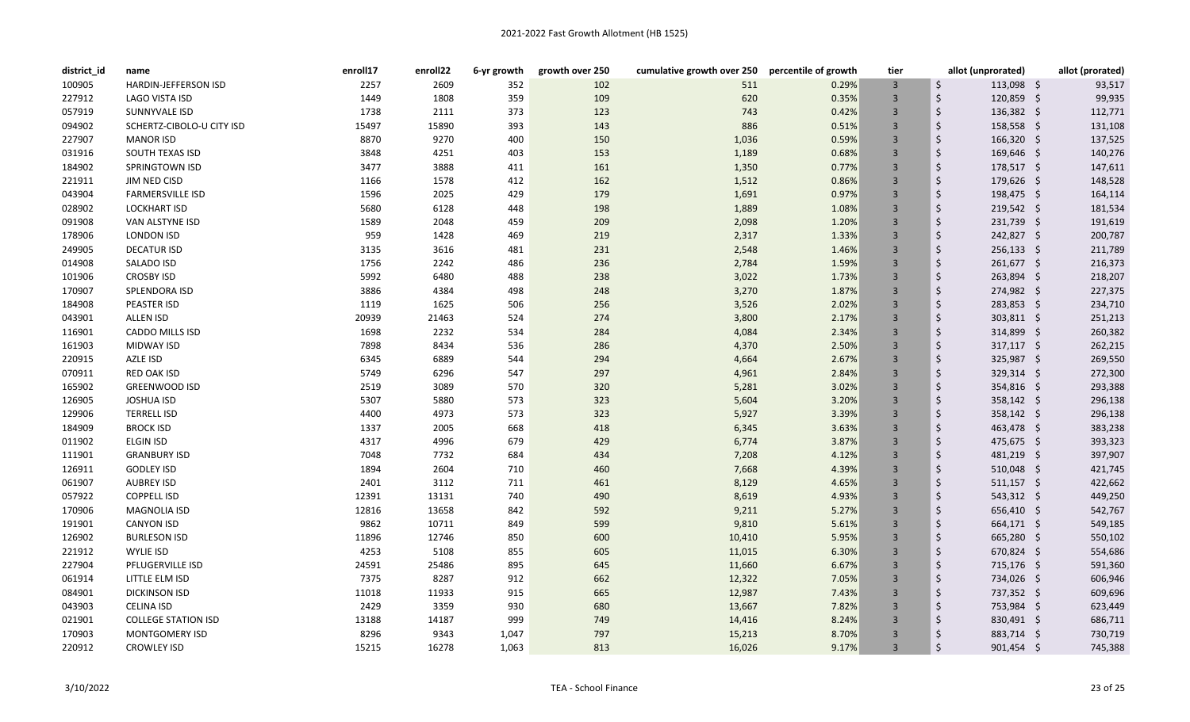| district_id | name                        | enroll17 | enroll22 | 6-yr growth | growth over 250 | cumulative growth over 250 percentile of growth |       | tier           | allot (unprorated)      | allot (prorated) |
|-------------|-----------------------------|----------|----------|-------------|-----------------|-------------------------------------------------|-------|----------------|-------------------------|------------------|
| 100905      | <b>HARDIN-JEFFERSON ISD</b> | 2257     | 2609     | 352         | 102             | 511                                             | 0.29% | $\overline{3}$ | \$<br>$113,098$ \$      | 93,517           |
| 227912      | LAGO VISTA ISD              | 1449     | 1808     | 359         | 109             | 620                                             | 0.35% | $\overline{3}$ | \$<br>$120,859$ \$      | 99,935           |
| 057919      | SUNNYVALE ISD               | 1738     | 2111     | 373         | 123             | 743                                             | 0.42% | $\overline{3}$ | Ś.<br>$136,382 \quad $$ | 112,771          |
| 094902      | SCHERTZ-CIBOLO-U CITY ISD   | 15497    | 15890    | 393         | 143             | 886                                             | 0.51% | $\overline{3}$ | \$<br>158,558 \$        | 131,108          |
| 227907      | <b>MANOR ISD</b>            | 8870     | 9270     | 400         | 150             | 1,036                                           | 0.59% | $\overline{3}$ | Ś.<br>166,320 \$        | 137,525          |
| 031916      | SOUTH TEXAS ISD             | 3848     | 4251     | 403         | 153             | 1,189                                           | 0.68% | $\overline{3}$ | Ś.<br>169,646 \$        | 140,276          |
| 184902      | SPRINGTOWN ISD              | 3477     | 3888     | 411         | 161             | 1,350                                           | 0.77% | $\overline{3}$ | \$<br>178,517 \$        | 147,611          |
| 221911      | JIM NED CISD                | 1166     | 1578     | 412         | 162             | 1,512                                           | 0.86% | $\overline{3}$ | \$<br>179,626 \$        | 148,528          |
| 043904      | <b>FARMERSVILLE ISD</b>     | 1596     | 2025     | 429         | 179             | 1,691                                           | 0.97% | $\overline{3}$ | \$<br>198,475 \$        | 164,114          |
| 028902      | <b>LOCKHART ISD</b>         | 5680     | 6128     | 448         | 198             | 1,889                                           | 1.08% | $\overline{3}$ | Ś.<br>219,542 \$        | 181,534          |
| 091908      | VAN ALSTYNE ISD             | 1589     | 2048     | 459         | 209             | 2,098                                           | 1.20% | $\overline{3}$ | \$<br>231,739 \$        | 191,619          |
| 178906      | <b>LONDON ISD</b>           | 959      | 1428     | 469         | 219             | 2,317                                           | 1.33% | $\overline{3}$ | \$<br>242,827 \$        | 200,787          |
| 249905      | <b>DECATUR ISD</b>          | 3135     | 3616     | 481         | 231             | 2,548                                           | 1.46% | $\overline{3}$ | Ś.<br>$256,133$ \$      | 211,789          |
| 014908      | <b>SALADO ISD</b>           | 1756     | 2242     | 486         | 236             | 2,784                                           | 1.59% | $\overline{3}$ | Ś.<br>261,677 \$        | 216,373          |
| 101906      | <b>CROSBY ISD</b>           | 5992     | 6480     | 488         | 238             | 3,022                                           | 1.73% | $\overline{3}$ | \$<br>263,894 \$        | 218,207          |
| 170907      | SPLENDORA ISD               | 3886     | 4384     | 498         | 248             | 3,270                                           | 1.87% | $\overline{3}$ | Ś.<br>274,982 \$        | 227,375          |
| 184908      | <b>PEASTER ISD</b>          | 1119     | 1625     | 506         | 256             | 3,526                                           | 2.02% | $\overline{3}$ | \$<br>283,853 \$        | 234,710          |
| 043901      | <b>ALLEN ISD</b>            | 20939    | 21463    | 524         | 274             | 3,800                                           | 2.17% | $\overline{3}$ | Ś.<br>$303,811$ \$      | 251,213          |
| 116901      | <b>CADDO MILLS ISD</b>      | 1698     | 2232     | 534         | 284             | 4,084                                           | 2.34% | $\overline{3}$ | \$<br>$314,899$ \$      | 260,382          |
| 161903      | <b>MIDWAY ISD</b>           | 7898     | 8434     | 536         | 286             | 4,370                                           | 2.50% | $\overline{3}$ | Ś.<br>$317,117$ \$      | 262,215          |
| 220915      | AZLE ISD                    | 6345     | 6889     | 544         | 294             | 4,664                                           | 2.67% | $\overline{3}$ | Ś.<br>325,987 \$        | 269,550          |
| 070911      | <b>RED OAK ISD</b>          | 5749     | 6296     | 547         | 297             | 4,961                                           | 2.84% | $\overline{3}$ | Ś.<br>$329,314$ \$      | 272,300          |
| 165902      | <b>GREENWOOD ISD</b>        | 2519     | 3089     | 570         | 320             | 5,281                                           | 3.02% | $\overline{3}$ | \$<br>354,816 \$        | 293,388          |
| 126905      | <b>JOSHUA ISD</b>           | 5307     | 5880     | 573         | 323             | 5,604                                           | 3.20% | $\overline{3}$ | Ś.<br>358,142 \$        | 296,138          |
| 129906      | <b>TERRELL ISD</b>          | 4400     | 4973     | 573         | 323             | 5,927                                           | 3.39% | $\overline{3}$ | \$<br>358,142 \$        | 296,138          |
| 184909      | <b>BROCK ISD</b>            | 1337     | 2005     | 668         | 418             | 6,345                                           | 3.63% | $\overline{3}$ | Ś.<br>463,478 \$        | 383,238          |
| 011902      | <b>ELGIN ISD</b>            | 4317     | 4996     | 679         | 429             | 6,774                                           | 3.87% | $\overline{3}$ | \$<br>$475,675$ \$      | 393,323          |
| 111901      | <b>GRANBURY ISD</b>         | 7048     | 7732     | 684         | 434             | 7,208                                           | 4.12% | $\overline{3}$ | Ś.<br>481,219 \$        | 397,907          |
| 126911      | <b>GODLEY ISD</b>           | 1894     | 2604     | 710         | 460             | 7,668                                           | 4.39% | $\overline{3}$ | Ś.<br>$510,048$ \$      | 421,745          |
| 061907      | <b>AUBREY ISD</b>           | 2401     | 3112     | 711         | 461             | 8,129                                           | 4.65% | $\overline{3}$ | Ś.<br>$511,157$ \$      | 422,662          |
| 057922      | <b>COPPELL ISD</b>          | 12391    | 13131    | 740         | 490             | 8,619                                           | 4.93% | $\overline{3}$ | \$<br>$543,312$ \$      | 449,250          |
| 170906      | <b>MAGNOLIA ISD</b>         | 12816    | 13658    | 842         | 592             | 9,211                                           | 5.27% | $\overline{3}$ | Ś.<br>656,410 \$        | 542,767          |
| 191901      | <b>CANYON ISD</b>           | 9862     | 10711    | 849         | 599             | 9,810                                           | 5.61% | $\overline{3}$ | Ś.<br>$664,171$ \$      | 549,185          |
| 126902      | <b>BURLESON ISD</b>         | 11896    | 12746    | 850         | 600             | 10,410                                          | 5.95% | $\overline{3}$ | Ś.<br>$665,280$ \$      | 550,102          |
| 221912      | <b>WYLIE ISD</b>            | 4253     | 5108     | 855         | 605             | 11,015                                          | 6.30% | $\overline{3}$ | \$<br>670,824 \$        | 554,686          |
| 227904      | PFLUGERVILLE ISD            | 24591    | 25486    | 895         | 645             | 11,660                                          | 6.67% | $\overline{3}$ | Ś.<br>715,176 \$        | 591,360          |
| 061914      | LITTLE ELM ISD              | 7375     | 8287     | 912         | 662             | 12,322                                          | 7.05% | $\overline{3}$ | Ś.<br>734,026 \$        | 606,946          |
| 084901      | <b>DICKINSON ISD</b>        | 11018    | 11933    | 915         | 665             | 12,987                                          | 7.43% | $\overline{3}$ | Ś.<br>737,352 \$        | 609,696          |
| 043903      | <b>CELINA ISD</b>           | 2429     | 3359     | 930         | 680             | 13,667                                          | 7.82% | $\overline{3}$ | \$<br>753,984 \$        | 623,449          |
| 021901      | <b>COLLEGE STATION ISD</b>  | 13188    | 14187    | 999         | 749             | 14,416                                          | 8.24% | $\overline{3}$ | Ś.<br>830,491 \$        | 686,711          |
| 170903      | MONTGOMERY ISD              | 8296     | 9343     | 1,047       | 797             | 15,213                                          | 8.70% | $\overline{3}$ | Ś.<br>883,714 \$        | 730,719          |
| 220912      | <b>CROWLEY ISD</b>          | 15215    | 16278    | 1,063       | 813             | 16,026                                          | 9.17% | $\overline{3}$ | Ś.<br>$901,454$ \$      | 745,388          |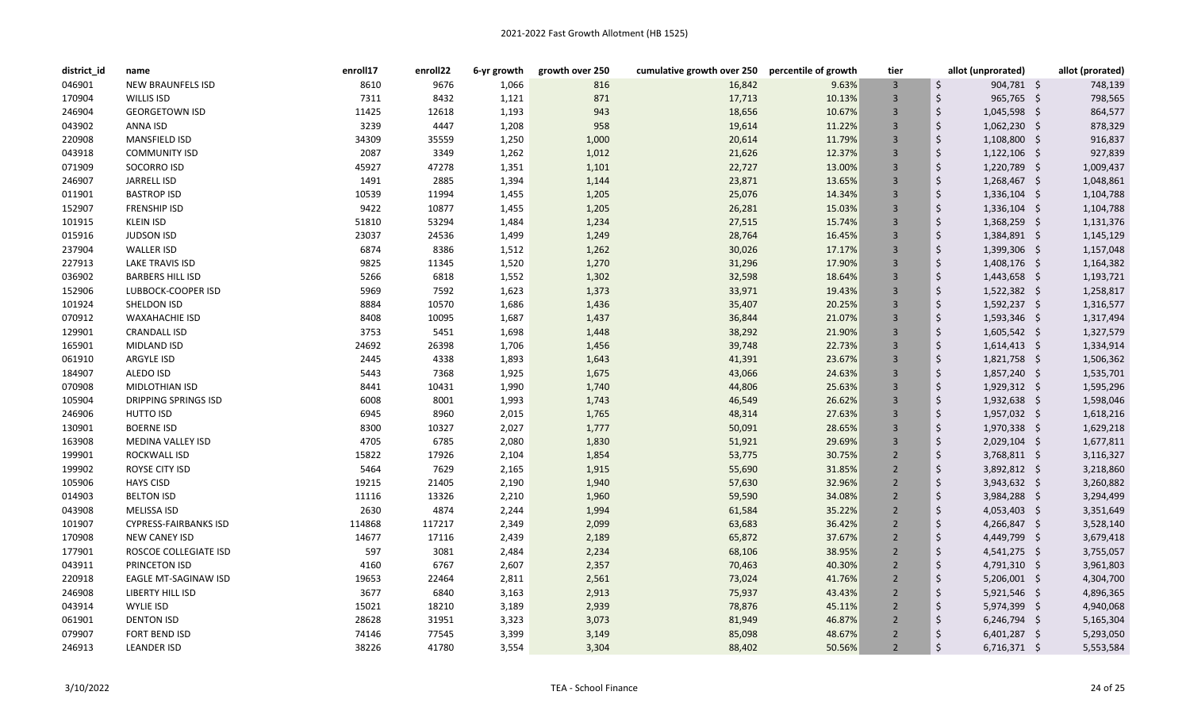| district id | name                         | enroll17 | enroll22 | 6-yr growth | growth over 250 | cumulative growth over 250 percentile of growth |        | tier           | allot (unprorated)   | allot (prorated) |
|-------------|------------------------------|----------|----------|-------------|-----------------|-------------------------------------------------|--------|----------------|----------------------|------------------|
| 046901      | <b>NEW BRAUNFELS ISD</b>     | 8610     | 9676     | 1,066       | 816             | 16,842                                          | 9.63%  | $\overline{3}$ | \$<br>904,781 \$     | 748,139          |
| 170904      | WILLIS ISD                   | 7311     | 8432     | 1,121       | 871             | 17,713                                          | 10.13% | $\overline{3}$ | \$<br>965,765 \$     | 798,565          |
| 246904      | <b>GEORGETOWN ISD</b>        | 11425    | 12618    | 1,193       | 943             | 18,656                                          | 10.67% | $\overline{3}$ | \$<br>1,045,598 \$   | 864,577          |
| 043902      | ANNA ISD                     | 3239     | 4447     | 1,208       | 958             | 19,614                                          | 11.22% | $\overline{3}$ | \$<br>1,062,230 \$   | 878,329          |
| 220908      | MANSFIELD ISD                | 34309    | 35559    | 1,250       | 1,000           | 20,614                                          | 11.79% | $\overline{3}$ | \$<br>1,108,800 \$   | 916,837          |
| 043918      | <b>COMMUNITY ISD</b>         | 2087     | 3349     | 1,262       | 1,012           | 21,626                                          | 12.37% | $\overline{3}$ | \$<br>1,122,106 \$   | 927,839          |
| 071909      | SOCORRO ISD                  | 45927    | 47278    | 1,351       | 1,101           | 22,727                                          | 13.00% | $\overline{3}$ | \$<br>1,220,789 \$   | 1,009,437        |
| 246907      | JARRELL ISD                  | 1491     | 2885     | 1,394       | 1,144           | 23,871                                          | 13.65% | $\overline{3}$ | \$<br>1,268,467 \$   | 1,048,861        |
| 011901      | <b>BASTROP ISD</b>           | 10539    | 11994    | 1,455       | 1,205           | 25,076                                          | 14.34% | $\overline{3}$ | \$<br>1,336,104 \$   | 1,104,788        |
| 152907      | <b>FRENSHIP ISD</b>          | 9422     | 10877    | 1,455       | 1,205           | 26,281                                          | 15.03% | $\overline{3}$ | \$<br>1,336,104 \$   | 1,104,788        |
| 101915      | <b>KLEIN ISD</b>             | 51810    | 53294    | 1,484       | 1,234           | 27,515                                          | 15.74% | $\overline{3}$ | \$<br>1,368,259 \$   | 1,131,376        |
| 015916      | <b>JUDSON ISD</b>            | 23037    | 24536    | 1,499       | 1,249           | 28,764                                          | 16.45% | $\overline{3}$ | \$<br>1,384,891 \$   | 1,145,129        |
| 237904      | <b>WALLER ISD</b>            | 6874     | 8386     | 1,512       | 1,262           | 30,026                                          | 17.17% | $\overline{3}$ | \$<br>$1,399,306$ \$ | 1,157,048        |
| 227913      | LAKE TRAVIS ISD              | 9825     | 11345    | 1,520       | 1,270           | 31,296                                          | 17.90% | $\overline{3}$ | \$<br>1,408,176 \$   | 1,164,382        |
| 036902      | <b>BARBERS HILL ISD</b>      | 5266     | 6818     | 1,552       | 1,302           | 32,598                                          | 18.64% | $\overline{3}$ | \$<br>1,443,658 \$   | 1,193,721        |
| 152906      | LUBBOCK-COOPER ISD           | 5969     | 7592     | 1,623       | 1,373           | 33,971                                          | 19.43% | $\overline{3}$ | \$<br>1,522,382 \$   | 1,258,817        |
| 101924      | SHELDON ISD                  | 8884     | 10570    | 1,686       | 1,436           | 35,407                                          | 20.25% | $\overline{3}$ | \$<br>1,592,237 \$   | 1,316,577        |
| 070912      | <b>WAXAHACHIE ISD</b>        | 8408     | 10095    | 1,687       | 1,437           | 36,844                                          | 21.07% | $\overline{3}$ | \$<br>$1,593,346$ \$ | 1,317,494        |
| 129901      | <b>CRANDALL ISD</b>          | 3753     | 5451     | 1,698       | 1,448           | 38,292                                          | 21.90% | $\overline{3}$ | \$<br>1,605,542 \$   | 1,327,579        |
| 165901      | MIDLAND ISD                  | 24692    | 26398    | 1,706       | 1,456           | 39,748                                          | 22.73% | $\overline{3}$ | Ś.<br>$1,614,413$ \$ | 1,334,914        |
| 061910      | ARGYLE ISD                   | 2445     | 4338     | 1,893       | 1,643           | 41,391                                          | 23.67% | $\overline{3}$ | Ś.<br>1,821,758 \$   | 1,506,362        |
| 184907      | ALEDO ISD                    | 5443     | 7368     | 1,925       | 1,675           | 43,066                                          | 24.63% | $\overline{3}$ | \$<br>1,857,240 \$   | 1,535,701        |
| 070908      | MIDLOTHIAN ISD               | 8441     | 10431    | 1,990       | 1,740           | 44,806                                          | 25.63% | $\overline{3}$ | \$<br>1,929,312 \$   | 1,595,296        |
| 105904      | <b>DRIPPING SPRINGS ISD</b>  | 6008     | 8001     | 1,993       | 1,743           | 46,549                                          | 26.62% | $\overline{3}$ | \$<br>1,932,638 \$   | 1,598,046        |
| 246906      | <b>HUTTO ISD</b>             | 6945     | 8960     | 2,015       | 1,765           | 48,314                                          | 27.63% | $\overline{3}$ | \$<br>1,957,032 \$   | 1,618,216        |
| 130901      | <b>BOERNE ISD</b>            | 8300     | 10327    | 2,027       | 1,777           | 50,091                                          | 28.65% | $\overline{3}$ | \$<br>1,970,338 \$   | 1,629,218        |
| 163908      | MEDINA VALLEY ISD            | 4705     | 6785     | 2,080       | 1,830           | 51,921                                          | 29.69% | $\overline{3}$ | \$<br>2,029,104 \$   | 1,677,811        |
| 199901      | ROCKWALL ISD                 | 15822    | 17926    | 2,104       | 1,854           | 53,775                                          | 30.75% | $\overline{2}$ | \$<br>3,768,811 \$   | 3,116,327        |
| 199902      | ROYSE CITY ISD               | 5464     | 7629     | 2,165       | 1,915           | 55,690                                          | 31.85% | $\overline{2}$ | \$<br>$3,892,812$ \$ | 3,218,860        |
| 105906      | <b>HAYS CISD</b>             | 19215    | 21405    | 2,190       | 1,940           | 57,630                                          | 32.96% | $\overline{2}$ | \$<br>$3,943,632$ \$ | 3,260,882        |
| 014903      | <b>BELTON ISD</b>            | 11116    | 13326    | 2,210       | 1,960           | 59,590                                          | 34.08% | $\overline{2}$ | \$<br>$3,984,288$ \$ | 3,294,499        |
| 043908      | <b>MELISSA ISD</b>           | 2630     | 4874     | 2,244       | 1,994           | 61,584                                          | 35.22% | $\overline{2}$ | Ś.<br>$4,053,403$ \$ | 3,351,649        |
| 101907      | <b>CYPRESS-FAIRBANKS ISD</b> | 114868   | 117217   | 2,349       | 2,099           | 63,683                                          | 36.42% | $\overline{2}$ | Ś.<br>4,266,847 \$   | 3,528,140        |
| 170908      | <b>NEW CANEY ISD</b>         | 14677    | 17116    | 2,439       | 2,189           | 65,872                                          | 37.67% | $\overline{2}$ | \$<br>$4,449,799$ \$ | 3,679,418        |
| 177901      | ROSCOE COLLEGIATE ISD        | 597      | 3081     | 2,484       | 2,234           | 68,106                                          | 38.95% | $\overline{2}$ | \$<br>$4,541,275$ \$ | 3,755,057        |
| 043911      | PRINCETON ISD                | 4160     | 6767     | 2,607       | 2,357           | 70,463                                          | 40.30% | $\overline{2}$ | Ś.<br>4,791,310 \$   | 3,961,803        |
| 220918      | EAGLE MT-SAGINAW ISD         | 19653    | 22464    | 2,811       | 2,561           | 73,024                                          | 41.76% | $\overline{2}$ | \$<br>$5,206,001$ \$ | 4,304,700        |
| 246908      | LIBERTY HILL ISD             | 3677     | 6840     | 3,163       | 2,913           | 75,937                                          | 43.43% | $\overline{2}$ | \$<br>$5,921,546$ \$ | 4,896,365        |
| 043914      | <b>WYLIE ISD</b>             | 15021    | 18210    | 3,189       | 2,939           | 78,876                                          | 45.11% | $\overline{2}$ | \$<br>5,974,399 \$   | 4,940,068        |
| 061901      | <b>DENTON ISD</b>            | 28628    | 31951    | 3,323       | 3,073           | 81,949                                          | 46.87% | $\overline{2}$ | \$<br>$6,246,794$ \$ | 5,165,304        |
| 079907      | <b>FORT BEND ISD</b>         | 74146    | 77545    | 3,399       | 3,149           | 85,098                                          | 48.67% | $\overline{2}$ | \$<br>$6,401,287$ \$ | 5,293,050        |
| 246913      | <b>LEANDER ISD</b>           | 38226    | 41780    | 3,554       | 3,304           | 88,402                                          | 50.56% | $\overline{2}$ | \$<br>$6,716,371$ \$ | 5,553,584        |